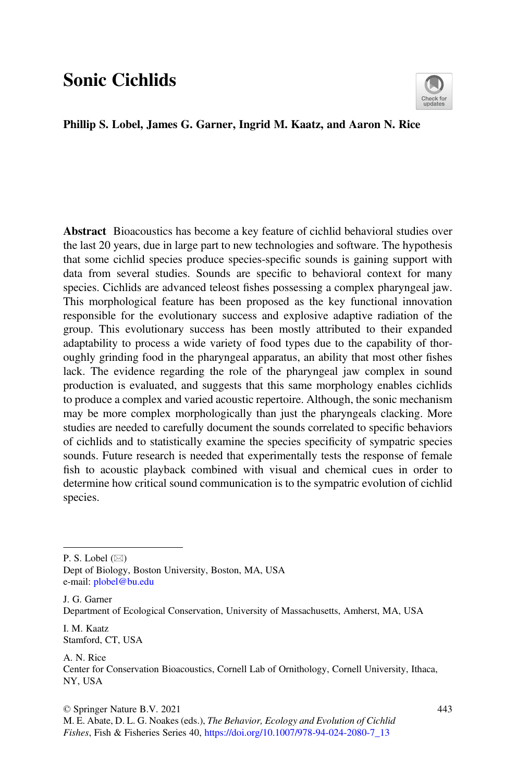# Sonic Cichlids



#### Phillip S. Lobel, James G. Garner, Ingrid M. Kaatz, and Aaron N. Rice

Abstract Bioacoustics has become a key feature of cichlid behavioral studies over the last 20 years, due in large part to new technologies and software. The hypothesis that some cichlid species produce species-specific sounds is gaining support with data from several studies. Sounds are specific to behavioral context for many species. Cichlids are advanced teleost fishes possessing a complex pharyngeal jaw. This morphological feature has been proposed as the key functional innovation responsible for the evolutionary success and explosive adaptive radiation of the group. This evolutionary success has been mostly attributed to their expanded adaptability to process a wide variety of food types due to the capability of thoroughly grinding food in the pharyngeal apparatus, an ability that most other fishes lack. The evidence regarding the role of the pharyngeal jaw complex in sound production is evaluated, and suggests that this same morphology enables cichlids to produce a complex and varied acoustic repertoire. Although, the sonic mechanism may be more complex morphologically than just the pharyngeals clacking. More studies are needed to carefully document the sounds correlated to specific behaviors of cichlids and to statistically examine the species specificity of sympatric species sounds. Future research is needed that experimentally tests the response of female fish to acoustic playback combined with visual and chemical cues in order to determine how critical sound communication is to the sympatric evolution of cichlid species.

P. S. Lobel  $(\boxtimes)$ 

Dept of Biology, Boston University, Boston, MA, USA e-mail: [plobel@bu.edu](mailto:plobel@bu.edu)

J. G. Garner Department of Ecological Conservation, University of Massachusetts, Amherst, MA, USA

I. M. Kaatz Stamford, CT, USA

A. N. Rice Center for Conservation Bioacoustics, Cornell Lab of Ornithology, Cornell University, Ithaca, NY, USA

© Springer Nature B.V. 2021 M. E. Abate, D. L. G. Noakes (eds.), The Behavior, Ecology and Evolution of Cichlid Fishes, Fish & Fisheries Series 40, [https://doi.org/10.1007/978-94-024-2080-7\\_13](https://doi.org/10.1007/978-94-024-2080-7_13#DOI)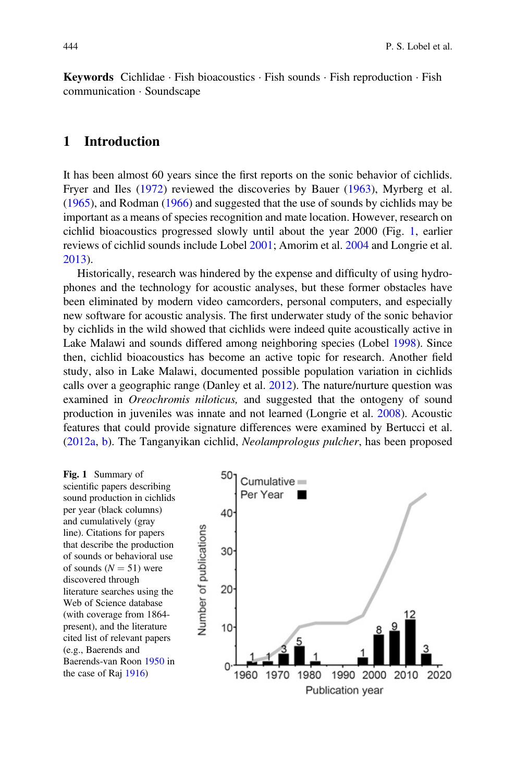**Keywords** Cichlidae · Fish bioacoustics · Fish sounds · Fish reproduction · Fish communication · Soundscape

#### 1 Introduction

It has been almost 60 years since the first reports on the sonic behavior of cichlids. Fryer and Iles (1972) reviewed the discoveries by Bauer (1963), Myrberg et al. (1965), and Rodman (1966) and suggested that the use of sounds by cichlids may be important as a means of species recognition and mate location. However, research on cichlid bioacoustics progressed slowly until about the year 2000 (Fig. 1, earlier reviews of cichlid sounds include Lobel 2001; Amorim et al. 2004 and Longrie et al. 2013).

Historically, research was hindered by the expense and difficulty of using hydrophones and the technology for acoustic analyses, but these former obstacles have been eliminated by modern video camcorders, personal computers, and especially new software for acoustic analysis. The first underwater study of the sonic behavior by cichlids in the wild showed that cichlids were indeed quite acoustically active in Lake Malawi and sounds differed among neighboring species (Lobel 1998). Since then, cichlid bioacoustics has become an active topic for research. Another field study, also in Lake Malawi, documented possible population variation in cichlids calls over a geographic range (Danley et al. 2012). The nature/nurture question was examined in *Oreochromis niloticus*, and suggested that the ontogeny of sound production in juveniles was innate and not learned (Longrie et al. 2008). Acoustic features that could provide signature differences were examined by Bertucci et al. (2012a, b). The Tanganyikan cichlid, Neolamprologus pulcher, has been proposed

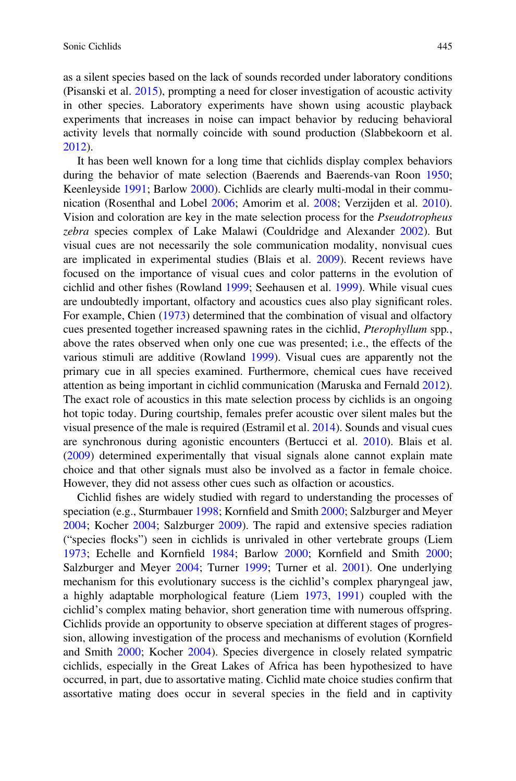as a silent species based on the lack of sounds recorded under laboratory conditions (Pisanski et al. 2015), prompting a need for closer investigation of acoustic activity in other species. Laboratory experiments have shown using acoustic playback experiments that increases in noise can impact behavior by reducing behavioral activity levels that normally coincide with sound production (Slabbekoorn et al. 2012).

It has been well known for a long time that cichlids display complex behaviors during the behavior of mate selection (Baerends and Baerends-van Roon 1950; Keenleyside 1991; Barlow 2000). Cichlids are clearly multi-modal in their communication (Rosenthal and Lobel 2006; Amorim et al. 2008; Verzijden et al. 2010). Vision and coloration are key in the mate selection process for the Pseudotropheus zebra species complex of Lake Malawi (Couldridge and Alexander 2002). But visual cues are not necessarily the sole communication modality, nonvisual cues are implicated in experimental studies (Blais et al. 2009). Recent reviews have focused on the importance of visual cues and color patterns in the evolution of cichlid and other fishes (Rowland 1999; Seehausen et al. 1999). While visual cues are undoubtedly important, olfactory and acoustics cues also play significant roles. For example, Chien (1973) determined that the combination of visual and olfactory cues presented together increased spawning rates in the cichlid, Pterophyllum spp., above the rates observed when only one cue was presented; i.e., the effects of the various stimuli are additive (Rowland 1999). Visual cues are apparently not the primary cue in all species examined. Furthermore, chemical cues have received attention as being important in cichlid communication (Maruska and Fernald 2012). The exact role of acoustics in this mate selection process by cichlids is an ongoing hot topic today. During courtship, females prefer acoustic over silent males but the visual presence of the male is required (Estramil et al. 2014). Sounds and visual cues are synchronous during agonistic encounters (Bertucci et al. 2010). Blais et al. (2009) determined experimentally that visual signals alone cannot explain mate choice and that other signals must also be involved as a factor in female choice. However, they did not assess other cues such as olfaction or acoustics.

Cichlid fishes are widely studied with regard to understanding the processes of speciation (e.g., Sturmbauer 1998; Kornfield and Smith 2000; Salzburger and Meyer 2004; Kocher 2004; Salzburger 2009). The rapid and extensive species radiation ("species flocks") seen in cichlids is unrivaled in other vertebrate groups (Liem 1973; Echelle and Kornfield 1984; Barlow 2000; Kornfield and Smith 2000; Salzburger and Meyer 2004; Turner 1999; Turner et al. 2001). One underlying mechanism for this evolutionary success is the cichlid's complex pharyngeal jaw, a highly adaptable morphological feature (Liem 1973, 1991) coupled with the cichlid's complex mating behavior, short generation time with numerous offspring. Cichlids provide an opportunity to observe speciation at different stages of progression, allowing investigation of the process and mechanisms of evolution (Kornfield and Smith 2000; Kocher 2004). Species divergence in closely related sympatric cichlids, especially in the Great Lakes of Africa has been hypothesized to have occurred, in part, due to assortative mating. Cichlid mate choice studies confirm that assortative mating does occur in several species in the field and in captivity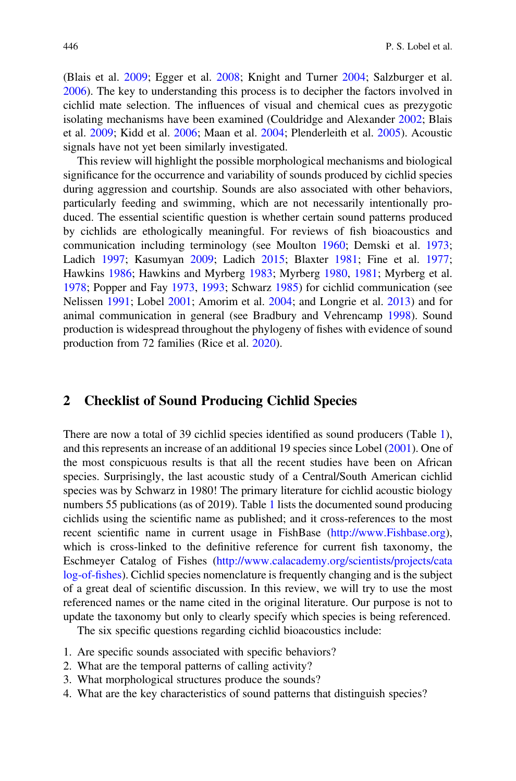(Blais et al. 2009; Egger et al. 2008; Knight and Turner 2004; Salzburger et al. 2006). The key to understanding this process is to decipher the factors involved in cichlid mate selection. The influences of visual and chemical cues as prezygotic isolating mechanisms have been examined (Couldridge and Alexander 2002; Blais et al. 2009; Kidd et al. 2006; Maan et al. 2004; Plenderleith et al. 2005). Acoustic signals have not yet been similarly investigated.

This review will highlight the possible morphological mechanisms and biological significance for the occurrence and variability of sounds produced by cichlid species during aggression and courtship. Sounds are also associated with other behaviors, particularly feeding and swimming, which are not necessarily intentionally produced. The essential scientific question is whether certain sound patterns produced by cichlids are ethologically meaningful. For reviews of fish bioacoustics and communication including terminology (see Moulton 1960; Demski et al. 1973; Ladich 1997; Kasumyan 2009; Ladich 2015; Blaxter 1981; Fine et al. 1977; Hawkins 1986; Hawkins and Myrberg 1983; Myrberg 1980, 1981; Myrberg et al. 1978; Popper and Fay 1973, 1993; Schwarz 1985) for cichlid communication (see Nelissen 1991; Lobel 2001; Amorim et al. 2004; and Longrie et al. 2013) and for animal communication in general (see Bradbury and Vehrencamp 1998). Sound production is widespread throughout the phylogeny of fishes with evidence of sound production from 72 families (Rice et al. 2020).

#### 2 Checklist of Sound Producing Cichlid Species

There are now a total of 39 cichlid species identified as sound producers (Table 1), and this represents an increase of an additional 19 species since Lobel (2001). One of the most conspicuous results is that all the recent studies have been on African species. Surprisingly, the last acoustic study of a Central/South American cichlid species was by Schwarz in 1980! The primary literature for cichlid acoustic biology numbers 55 publications (as of 2019). Table 1 lists the documented sound producing cichlids using the scientific name as published; and it cross-references to the most recent scientific name in current usage in FishBase ([http://www.Fishbase.org\)](http://www.Fishbase.org), which is cross-linked to the definitive reference for current fish taxonomy, the Eschmeyer Catalog of Fishes ([http://www.calacademy.org/scientists/projects/cata](http://www.calacademy.org/scientists/projects/catalog-of-fishes) [log-of-](http://www.calacademy.org/scientists/projects/catalog-of-fishes)fishes). Cichlid species nomenclature is frequently changing and is the subject of a great deal of scientific discussion. In this review, we will try to use the most referenced names or the name cited in the original literature. Our purpose is not to update the taxonomy but only to clearly specify which species is being referenced.

The six specific questions regarding cichlid bioacoustics include:

- 1. Are specific sounds associated with specific behaviors?
- 2. What are the temporal patterns of calling activity?
- 3. What morphological structures produce the sounds?
- 4. What are the key characteristics of sound patterns that distinguish species?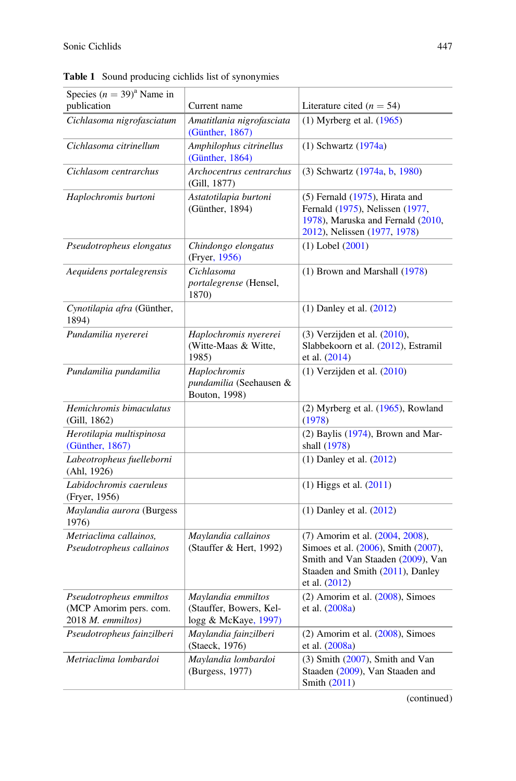| Species $(n = 39)^{a}$ Name in                                         |                                                                       |                                                                                                                                                                    |
|------------------------------------------------------------------------|-----------------------------------------------------------------------|--------------------------------------------------------------------------------------------------------------------------------------------------------------------|
| publication                                                            | Current name                                                          | Literature cited ( $n = 54$ )                                                                                                                                      |
| Cichlasoma nigrofasciatum                                              | Amatitlania nigrofasciata<br>(Günther, 1867)                          | $(1)$ Myrberg et al. $(1965)$                                                                                                                                      |
| Cichlasoma citrinellum                                                 | Amphilophus citrinellus<br>(Günther, 1864)                            | $(1)$ Schwartz $(1974a)$                                                                                                                                           |
| Cichlasom centrarchus                                                  | Archocentrus centrarchus<br>(Gill, 1877)                              | (3) Schwartz (1974a, b, 1980)                                                                                                                                      |
| Haplochromis burtoni                                                   | Astatotilapia burtoni<br>(Günther, 1894)                              | $(5)$ Fernald $(1975)$ , Hirata and<br>Fernald (1975), Nelissen (1977,<br>1978), Maruska and Fernald (2010,<br>2012), Nelissen (1977, 1978)                        |
| Pseudotropheus elongatus                                               | Chindongo elongatus<br>(Fryer, 1956)                                  | $(1)$ Lobel $(2001)$                                                                                                                                               |
| Aequidens portalegrensis                                               | Cichlasoma<br>portalegrense (Hensel,<br>1870)                         | $(1)$ Brown and Marshall $(1978)$                                                                                                                                  |
| Cynotilapia afra (Günther,<br>1894)                                    |                                                                       | $(1)$ Danley et al. $(2012)$                                                                                                                                       |
| Pundamilia nyererei                                                    | Haplochromis nyererei<br>(Witte-Maas & Witte,<br>1985)                | $(3)$ Verzijden et al. $(2010)$ ,<br>Slabbekoorn et al. (2012), Estramil<br>et al. (2014)                                                                          |
| Pundamilia pundamilia                                                  | Haplochromis<br>pundamilia (Seehausen &<br>Bouton, 1998)              | $(1)$ Verzijden et al. $(2010)$                                                                                                                                    |
| Hemichromis bimaculatus<br>(Gill, 1862)                                |                                                                       | $(2)$ Myrberg et al. $(1965)$ , Rowland<br>(1978)                                                                                                                  |
| Herotilapia multispinosa<br>(Günther, 1867)                            |                                                                       | $(2)$ Baylis $(1974)$ , Brown and Mar-<br>shall (1978)                                                                                                             |
| Labeotropheus fuelleborni<br>(Ahl, 1926)                               |                                                                       | $(1)$ Danley et al. $(2012)$                                                                                                                                       |
| Labidochromis caeruleus<br>(Fryer, 1956)                               |                                                                       | $(1)$ Higgs et al. $(2011)$                                                                                                                                        |
| Maylandia aurora (Burgess<br>1976)                                     |                                                                       | $(1)$ Danley et al. $(2012)$                                                                                                                                       |
| Metriaclima callainos.<br>Pseudotropheus callainos                     | Maylandia callainos<br>(Stauffer & Hert, 1992)                        | (7) Amorim et al. (2004, 2008),<br>Simoes et al. (2006), Smith (2007),<br>Smith and Van Staaden (2009), Van<br>Staaden and Smith (2011), Danley<br>et al. $(2012)$ |
| Pseudotropheus emmiltos<br>(MCP Amorim pers. com.<br>2018 M. emmiltos) | Maylandia emmiltos<br>(Stauffer, Bowers, Kel-<br>logg & McKaye, 1997) | $(2)$ Amorim et al. $(2008)$ , Simoes<br>et al. (2008a)                                                                                                            |
| Pseudotropheus fainzilberi                                             | Maylandia fainzilberi<br>(Staeck, 1976)                               | $(2)$ Amorim et al. $(2008)$ , Simoes<br>et al. (2008a)                                                                                                            |
| Metriaclima lombardoi                                                  | Maylandia lombardoi<br>(Burgess, 1977)                                | $(3)$ Smith $(2007)$ , Smith and Van<br>Staaden (2009), Van Staaden and<br>Smith (2011)                                                                            |

Table 1 Sound producing cichlids list of synonymies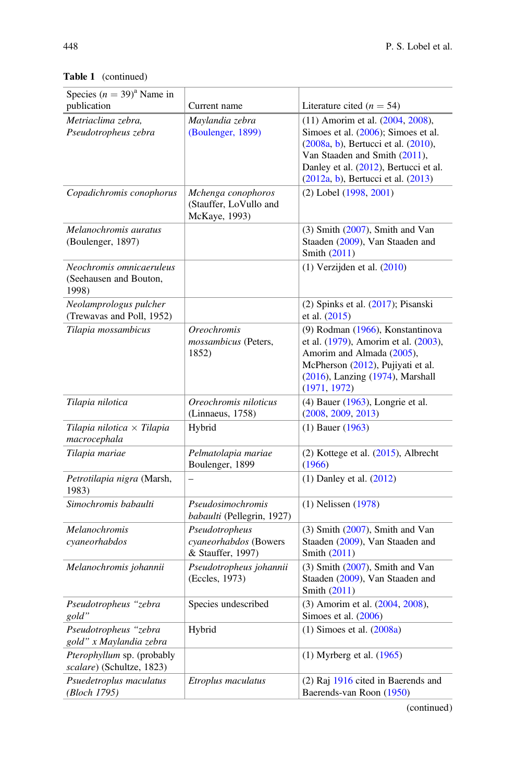| Species $(n = 39)^{a}$ Name in<br>publication               | Current name                                                  | Literature cited ( $n = 54$ )                                                                                                                                                                                                       |
|-------------------------------------------------------------|---------------------------------------------------------------|-------------------------------------------------------------------------------------------------------------------------------------------------------------------------------------------------------------------------------------|
| Metriaclima zebra,<br>Pseudotropheus zebra                  | Maylandia zebra<br>(Boulenger, 1899)                          | (11) Amorim et al. (2004, 2008),<br>Simoes et al. (2006); Simoes et al.<br>(2008a, b), Bertucci et al. (2010),<br>Van Staaden and Smith (2011),<br>Danley et al. (2012), Bertucci et al.<br>$(2012a, b)$ , Bertucci et al. $(2013)$ |
| Copadichromis conophorus                                    | Mchenga conophoros<br>(Stauffer, LoVullo and<br>McKaye, 1993) | (2) Lobel (1998, 2001)                                                                                                                                                                                                              |
| Melanochromis auratus<br>(Boulenger, 1897)                  |                                                               | $(3)$ Smith $(2007)$ , Smith and Van<br>Staaden (2009), Van Staaden and<br>Smith (2011)                                                                                                                                             |
| Neochromis omnicaeruleus<br>(Seehausen and Bouton,<br>1998) |                                                               | $(1)$ Verzijden et al. $(2010)$                                                                                                                                                                                                     |
| Neolamprologus pulcher<br>(Trewavas and Poll, 1952)         |                                                               | (2) Spinks et al. (2017); Pisanski<br>et al. (2015)                                                                                                                                                                                 |
| Tilapia mossambicus                                         | <b>Oreochromis</b><br>mossambicus (Peters,<br>1852)           | (9) Rodman (1966), Konstantinova<br>et al. (1979), Amorim et al. (2003),<br>Amorim and Almada (2005),<br>McPherson (2012), Pujiyati et al.<br>(2016), Lanzing (1974), Marshall<br>(1971, 1972)                                      |
| Tilapia nilotica                                            | Oreochromis niloticus<br>(Linnaeus, 1758)                     | $(4)$ Bauer $(1963)$ , Longrie et al.<br>(2008, 2009, 2013)                                                                                                                                                                         |
| Tilapia nilotica $\times$ Tilapia<br>macrocephala           | Hybrid                                                        | $(1)$ Bauer $(1963)$                                                                                                                                                                                                                |
| Tilapia mariae                                              | Pelmatolapia mariae<br>Boulenger, 1899                        | (2) Kottege et al. (2015), Albrecht<br>(1966)                                                                                                                                                                                       |
| Petrotilapia nigra (Marsh,<br>1983)                         |                                                               | $(1)$ Danley et al. $(2012)$                                                                                                                                                                                                        |
| Simochromis babaulti                                        | Pseudosimochromis<br>babaulti (Pellegrin, 1927)               | $(1)$ Nelissen $(1978)$                                                                                                                                                                                                             |
| Melanochromis<br>cyaneorhabdos                              | Pseudotropheus<br>cyaneorhabdos (Bowers<br>& Stauffer, 1997)  | $(3)$ Smith $(2007)$ , Smith and Van<br>Staaden (2009), Van Staaden and<br>Smith (2011)                                                                                                                                             |
| Melanochromis johannii                                      | Pseudotropheus johannii<br>(Eccles, 1973)                     | $(3)$ Smith $(2007)$ , Smith and Van<br>Staaden (2009), Van Staaden and<br>Smith (2011)                                                                                                                                             |
| Pseudotropheus "zebra<br>gold"                              | Species undescribed                                           | (3) Amorim et al. (2004, 2008),<br>Simoes et al. (2006)                                                                                                                                                                             |
| Pseudotropheus "zebra<br>gold" x Maylandia zebra            | Hybrid                                                        | $(1)$ Simoes et al. $(2008a)$                                                                                                                                                                                                       |
| Pterophyllum sp. (probably<br>scalare) (Schultze, 1823)     |                                                               | $(1)$ Myrberg et al. $(1965)$                                                                                                                                                                                                       |
| Psuedetroplus maculatus<br>(Bloch 1795)                     | Etroplus maculatus                                            | $(2)$ Raj 1916 cited in Baerends and<br>Baerends-van Roon (1950)                                                                                                                                                                    |

Table 1 (continued)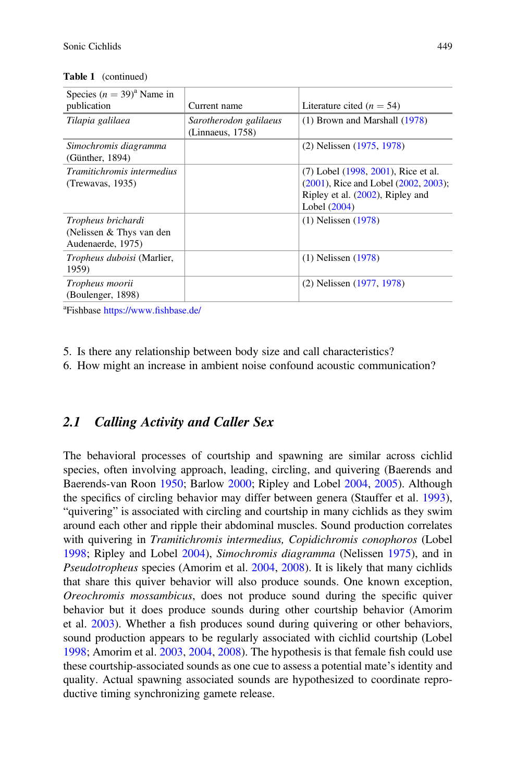| Species $(n = 39)^{a}$ Name in<br>publication                       | Current name                               | Literature cited ( $n = 54$ )                                                                                                              |
|---------------------------------------------------------------------|--------------------------------------------|--------------------------------------------------------------------------------------------------------------------------------------------|
| Tilapia galilaea                                                    | Sarotherodon galilaeus<br>(Linnaeus, 1758) | $(1)$ Brown and Marshall $(1978)$                                                                                                          |
| Simochromis diagramma<br>(Günther, 1894)                            |                                            | (2) Nelissen (1975, 1978)                                                                                                                  |
| <i>Tramitichromis intermedius</i><br>(Trewavas, 1935)               |                                            | (7) Lobel (1998, 2001), Rice et al.<br>$(2001)$ , Rice and Lobel $(2002, 2003)$ ;<br>Ripley et al. $(2002)$ , Ripley and<br>Lobel $(2004)$ |
| Tropheus brichardi<br>(Nelissen & Thys van den<br>Audenaerde, 1975) |                                            | $(1)$ Nelissen $(1978)$                                                                                                                    |
| Tropheus duboisi (Marlier,<br>1959)                                 |                                            | $(1)$ Nelissen $(1978)$                                                                                                                    |
| Tropheus moorii<br>(Boulenger, 1898)                                |                                            | $(2)$ Nelissen $(1977, 1978)$                                                                                                              |

Table 1 (continued)

<sup>a</sup>Fishbase [https://www.](https://www.fishbase.de/)fishbase.de/

5. Is there any relationship between body size and call characteristics?

6. How might an increase in ambient noise confound acoustic communication?

#### 2.1 Calling Activity and Caller Sex

The behavioral processes of courtship and spawning are similar across cichlid species, often involving approach, leading, circling, and quivering (Baerends and Baerends-van Roon 1950; Barlow 2000; Ripley and Lobel 2004, 2005). Although the specifics of circling behavior may differ between genera (Stauffer et al. 1993), "quivering" is associated with circling and courtship in many cichlids as they swim around each other and ripple their abdominal muscles. Sound production correlates with quivering in Tramitichromis intermedius, Copidichromis conophoros (Lobel 1998; Ripley and Lobel 2004), Simochromis diagramma (Nelissen 1975), and in Pseudotropheus species (Amorim et al. 2004, 2008). It is likely that many cichlids that share this quiver behavior will also produce sounds. One known exception, Oreochromis mossambicus, does not produce sound during the specific quiver behavior but it does produce sounds during other courtship behavior (Amorim et al. 2003). Whether a fish produces sound during quivering or other behaviors, sound production appears to be regularly associated with cichlid courtship (Lobel 1998; Amorim et al. 2003, 2004, 2008). The hypothesis is that female fish could use these courtship-associated sounds as one cue to assess a potential mate's identity and quality. Actual spawning associated sounds are hypothesized to coordinate reproductive timing synchronizing gamete release.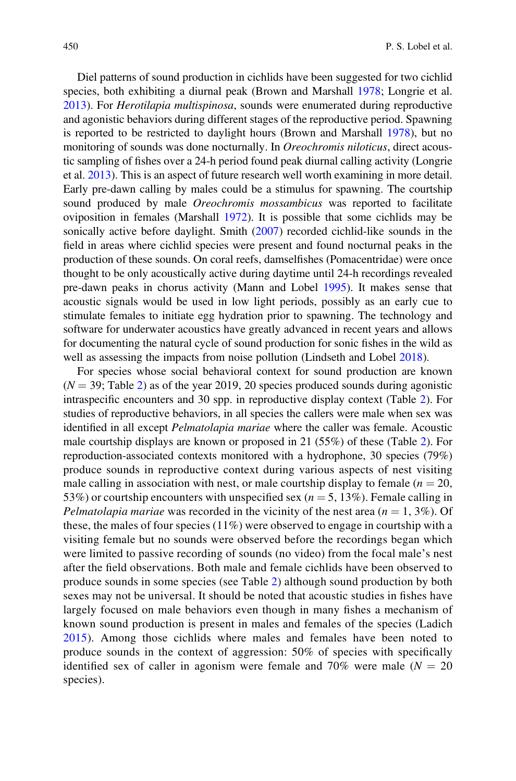Diel patterns of sound production in cichlids have been suggested for two cichlid species, both exhibiting a diurnal peak (Brown and Marshall 1978; Longrie et al. 2013). For Herotilapia multispinosa, sounds were enumerated during reproductive and agonistic behaviors during different stages of the reproductive period. Spawning is reported to be restricted to daylight hours (Brown and Marshall 1978), but no monitoring of sounds was done nocturnally. In Oreochromis niloticus, direct acoustic sampling of fishes over a 24-h period found peak diurnal calling activity (Longrie et al. 2013). This is an aspect of future research well worth examining in more detail. Early pre-dawn calling by males could be a stimulus for spawning. The courtship sound produced by male *Oreochromis mossambicus* was reported to facilitate oviposition in females (Marshall 1972). It is possible that some cichlids may be sonically active before daylight. Smith (2007) recorded cichlid-like sounds in the field in areas where cichlid species were present and found nocturnal peaks in the production of these sounds. On coral reefs, damselfishes (Pomacentridae) were once thought to be only acoustically active during daytime until 24-h recordings revealed pre-dawn peaks in chorus activity (Mann and Lobel 1995). It makes sense that acoustic signals would be used in low light periods, possibly as an early cue to stimulate females to initiate egg hydration prior to spawning. The technology and software for underwater acoustics have greatly advanced in recent years and allows for documenting the natural cycle of sound production for sonic fishes in the wild as well as assessing the impacts from noise pollution (Lindseth and Lobel 2018).

For species whose social behavioral context for sound production are known  $(N = 39;$  Table 2) as of the year 2019, 20 species produced sounds during agonistic intraspecific encounters and 30 spp. in reproductive display context (Table 2). For studies of reproductive behaviors, in all species the callers were male when sex was identified in all except Pelmatolapia mariae where the caller was female. Acoustic male courtship displays are known or proposed in 21 (55%) of these (Table 2). For reproduction-associated contexts monitored with a hydrophone, 30 species (79%) produce sounds in reproductive context during various aspects of nest visiting male calling in association with nest, or male courtship display to female ( $n = 20$ , 53%) or courtship encounters with unspecified sex ( $n = 5, 13\%$ ). Female calling in *Pelmatolapia mariae* was recorded in the vicinity of the nest area  $(n = 1, 3\%)$ . Of these, the males of four species (11%) were observed to engage in courtship with a visiting female but no sounds were observed before the recordings began which were limited to passive recording of sounds (no video) from the focal male's nest after the field observations. Both male and female cichlids have been observed to produce sounds in some species (see Table 2) although sound production by both sexes may not be universal. It should be noted that acoustic studies in fishes have largely focused on male behaviors even though in many fishes a mechanism of known sound production is present in males and females of the species (Ladich 2015). Among those cichlids where males and females have been noted to produce sounds in the context of aggression: 50% of species with specifically identified sex of caller in agonism were female and 70% were male  $(N = 20$ species).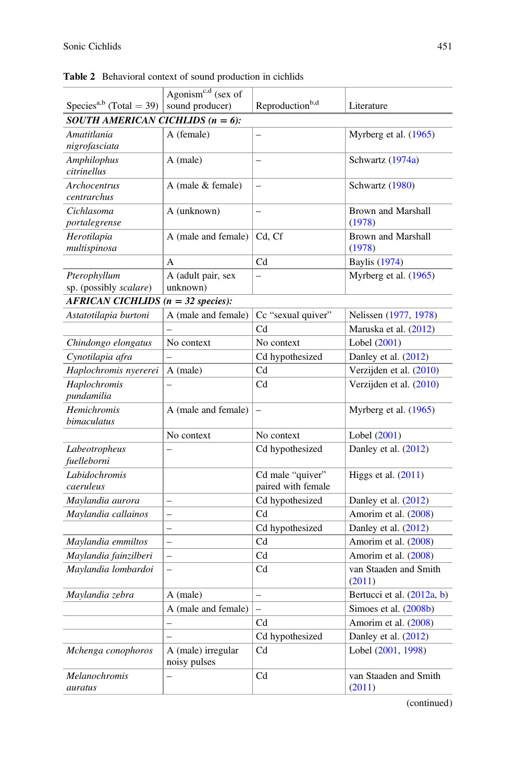|                                      | Agonism <sup>c,d</sup> (sex of |                             |                                 |
|--------------------------------------|--------------------------------|-----------------------------|---------------------------------|
| Species <sup>a,b</sup> (Total = 39)  | sound producer)                | Reproduction <sup>b,d</sup> | Literature                      |
| SOUTH AMERICAN CICHLIDS $(n = 6)$ :  |                                |                             |                                 |
| Amatitlania                          | A (female)                     |                             | Myrberg et al. $(1965)$         |
| nigrofasciata                        |                                |                             |                                 |
| Amphilophus                          | A (male)                       |                             | Schwartz (1974a)                |
| citrinellus                          |                                |                             |                                 |
| Archocentrus                         | A (male & female)              | $\equiv$                    | Schwartz (1980)                 |
| centrarchus                          |                                | $\equiv$                    |                                 |
| Cichlasoma<br>portalegrense          | A (unknown)                    |                             | Brown and Marshall<br>(1978)    |
| Herotilapia                          | A (male and female)            | Cd, Cf                      | <b>Brown and Marshall</b>       |
| multispinosa                         |                                |                             | (1978)                          |
|                                      | $\overline{A}$                 | Cd                          | <b>Baylis</b> (1974)            |
| Pterophyllum                         | A (adult pair, sex             | $\overline{\phantom{0}}$    | Myrberg et al. (1965)           |
| sp. (possibly scalare)               | unknown)                       |                             |                                 |
| $AFRICAN CICHLIDS (n = 32 species):$ |                                |                             |                                 |
| Astatotilapia burtoni                | A (male and female)            | Cc "sexual quiver"          | Nelissen (1977, 1978)           |
|                                      |                                | Cd                          | Maruska et al. (2012)           |
| Chindongo elongatus                  | No context                     | No context                  | Lobel (2001)                    |
| Cynotilapia afra                     |                                | Cd hypothesized             | Danley et al. $(2012)$          |
| Haplochromis nyererei                | A (male)                       | $_{\rm Cd}$                 | Verzijden et al. (2010)         |
| Haplochromis                         |                                | $_{\rm Cd}$                 | Verzijden et al. (2010)         |
| pundamilia                           |                                |                             |                                 |
| Hemichromis                          | A (male and female)            |                             | Myrberg et al. (1965)           |
| bimaculatus                          |                                |                             |                                 |
|                                      | No context                     | No context                  | Lobel (2001)                    |
| Labeotropheus                        |                                | Cd hypothesized             | Danley et al. (2012)            |
| fuelleborni                          |                                |                             |                                 |
| Labidochromis                        |                                | Cd male "quiver"            | Higgs et al. $(2011)$           |
| caeruleus                            |                                | paired with female          |                                 |
| Maylandia aurora                     | $\overline{\phantom{0}}$       | Cd hypothesized             | Danley et al. $(2012)$          |
| Maylandia callainos                  | $\overline{a}$                 | C <sub>d</sub>              | Amorim et al. (2008)            |
|                                      | $\overline{\phantom{0}}$       | Cd hypothesized             | Danley et al. (2012)            |
| Maylandia emmiltos                   | $\overline{a}$                 | Cd                          | Amorim et al. (2008)            |
| Maylandia fainzilberi                | $\overline{\phantom{0}}$       | $_{\rm Cd}$                 | Amorim et al. (2008)            |
| Maylandia lombardoi                  | $\overline{a}$                 | Cd                          | van Staaden and Smith<br>(2011) |
| Maylandia zebra                      | A (male)                       | $\overline{a}$              | Bertucci et al. (2012a, b)      |
|                                      | A (male and female)            | $\overline{a}$              | Simoes et al. (2008b)           |
|                                      | L.                             | Cd                          | Amorim et al. (2008)            |
|                                      |                                | Cd hypothesized             | Danley et al. $(2012)$          |
|                                      | A (male) irregular             | C <sub>d</sub>              | Lobel (2001, 1998)              |
| Mchenga conophoros                   | noisy pulses                   |                             |                                 |
| Melanochromis                        |                                | C <sub>d</sub>              | van Staaden and Smith           |
| auratus                              |                                |                             | (2011)                          |

Table 2 Behavioral context of sound production in cichlids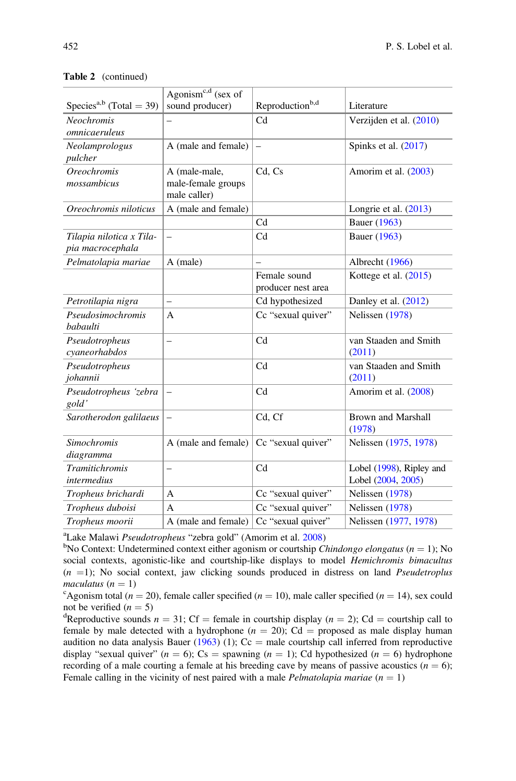| Species <sup>a,b</sup> (Total = 39)          | Agonism <sup>c,d</sup> (sex of<br>sound producer)   | Reproduction <sup>b,d</sup>        | Literature                                     |
|----------------------------------------------|-----------------------------------------------------|------------------------------------|------------------------------------------------|
| <b>Neochromis</b><br>omnicaeruleus           |                                                     | C <sub>d</sub>                     | Verzijden et al. (2010)                        |
| Neolamprologus<br>pulcher                    | A (male and female)                                 | $\qquad \qquad -$                  | Spinks et al. $(2017)$                         |
| <b>Oreochromis</b><br>mossambicus            | A (male-male,<br>male-female groups<br>male caller) | Cd, Cs                             | Amorim et al. (2003)                           |
| Oreochromis niloticus                        | A (male and female)                                 |                                    | Longrie et al. $(2013)$                        |
|                                              |                                                     | C <sub>d</sub>                     | Bauer (1963)                                   |
| Tilapia nilotica x Tila-<br>pia macrocephala | $\overline{\phantom{0}}$                            | Cd                                 | Bauer (1963)                                   |
| Pelmatolapia mariae                          | A (male)                                            |                                    | Albrecht (1966)                                |
|                                              |                                                     | Female sound<br>producer nest area | Kottege et al. (2015)                          |
| Petrotilapia nigra                           | $\overline{\phantom{0}}$                            | Cd hypothesized                    | Danley et al. (2012)                           |
| Pseudosimochromis<br><b>babaulti</b>         | $\overline{A}$                                      | Cc "sexual quiver"                 | Nelissen (1978)                                |
| Pseudotropheus<br>cyaneorhabdos              | $\overline{\phantom{0}}$                            | C <sub>d</sub>                     | van Staaden and Smith<br>(2011)                |
| Pseudotropheus<br>johannii                   |                                                     | Cd                                 | van Staaden and Smith<br>(2011)                |
| Pseudotropheus 'zebra<br>gold'               | $\qquad \qquad -$                                   | Cd                                 | Amorim et al. (2008)                           |
| Sarotherodon galilaeus                       | $\qquad \qquad -$                                   | Cd, Cf                             | <b>Brown and Marshall</b><br>(1978)            |
| <b>Simochromis</b><br>diagramma              | A (male and female)                                 | Cc "sexual quiver"                 | Nelissen (1975, 1978)                          |
| <b>Tramitichromis</b><br>intermedius         | -                                                   | Cd                                 | Lobel (1998), Ripley and<br>Lobel (2004, 2005) |
| Tropheus brichardi                           | A                                                   | Cc "sexual quiver"                 | Nelissen (1978)                                |
| Tropheus duboisi                             | A                                                   | Cc "sexual quiver"                 | Nelissen (1978)                                |
| Tropheus moorii                              | A (male and female)                                 | Cc "sexual quiver"                 | Nelissen (1977, 1978)                          |

#### Table 2 (continued)

<sup>a</sup>Lake Malawi *Pseudotropheus* "zebra gold" (Amorim et al. 2008)<sup>b</sup>No Context: Undetermined context either agonism or courtship C

<sup>b</sup>No Context: Undetermined context either agonism or courtship *Chindongo elongatus* ( $n = 1$ ); No social contexts, agonistic-like and courtship-like displays to model *Hemichromis bimacultus*  $(n = 1)$ ; No social context, jaw clicking sounds produced in distress on land *Pseudetroplus* maculatus ( $n = 1$ )

<sup>c</sup>Agonism total ( $n = 20$ ), female caller specified ( $n = 10$ ), male caller specified ( $n = 14$ ), sex could not be verified  $(n = 5)$ 

<sup>d</sup>Reproductive sounds  $n = 31$ ; Cf = female in courtship display ( $n = 2$ ); Cd = courtship call to female by male detected with a hydrophone ( $n = 20$ ); Cd = proposed as male display human audition no data analysis Bauer (1963) (1);  $Cc =$  male courtship call inferred from reproductive display "sexual quiver" ( $n = 6$ ); Cs = spawning ( $n = 1$ ); Cd hypothesized ( $n = 6$ ) hydrophone recording of a male courting a female at his breeding cave by means of passive acoustics ( $n = 6$ ); Female calling in the vicinity of nest paired with a male *Pelmatolapia mariae*  $(n = 1)$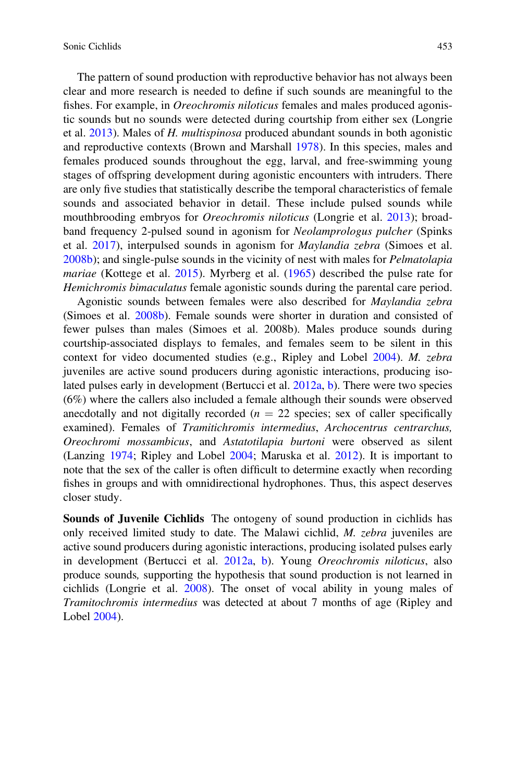The pattern of sound production with reproductive behavior has not always been clear and more research is needed to define if such sounds are meaningful to the fishes. For example, in *Oreochromis niloticus* females and males produced agonistic sounds but no sounds were detected during courtship from either sex (Longrie et al. 2013). Males of H. multispinosa produced abundant sounds in both agonistic and reproductive contexts (Brown and Marshall 1978). In this species, males and females produced sounds throughout the egg, larval, and free-swimming young stages of offspring development during agonistic encounters with intruders. There are only five studies that statistically describe the temporal characteristics of female sounds and associated behavior in detail. These include pulsed sounds while mouthbrooding embryos for Oreochromis niloticus (Longrie et al. 2013); broadband frequency 2-pulsed sound in agonism for Neolamprologus pulcher (Spinks et al. 2017), interpulsed sounds in agonism for Maylandia zebra (Simoes et al. 2008b); and single-pulse sounds in the vicinity of nest with males for Pelmatolapia mariae (Kottege et al. 2015). Myrberg et al. (1965) described the pulse rate for Hemichromis bimaculatus female agonistic sounds during the parental care period.

Agonistic sounds between females were also described for Maylandia zebra (Simoes et al. 2008b). Female sounds were shorter in duration and consisted of fewer pulses than males (Simoes et al. 2008b). Males produce sounds during courtship-associated displays to females, and females seem to be silent in this context for video documented studies (e.g., Ripley and Lobel 2004). M. zebra juveniles are active sound producers during agonistic interactions, producing isolated pulses early in development (Bertucci et al. 2012a, b). There were two species (6%) where the callers also included a female although their sounds were observed anecdotally and not digitally recorded ( $n = 22$  species; sex of caller specifically examined). Females of Tramitichromis intermedius, Archocentrus centrarchus, Oreochromi mossambicus, and Astatotilapia burtoni were observed as silent (Lanzing 1974; Ripley and Lobel 2004; Maruska et al. 2012). It is important to note that the sex of the caller is often difficult to determine exactly when recording fishes in groups and with omnidirectional hydrophones. Thus, this aspect deserves closer study.

Sounds of Juvenile Cichlids The ontogeny of sound production in cichlids has only received limited study to date. The Malawi cichlid, M. zebra juveniles are active sound producers during agonistic interactions, producing isolated pulses early in development (Bertucci et al. 2012a, b). Young Oreochromis niloticus, also produce sounds, supporting the hypothesis that sound production is not learned in cichlids (Longrie et al. 2008). The onset of vocal ability in young males of Tramitochromis intermedius was detected at about 7 months of age (Ripley and Lobel 2004).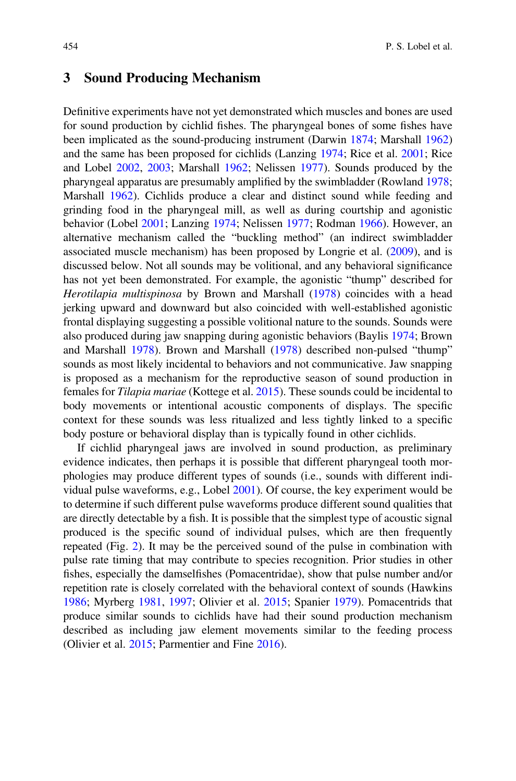#### 3 Sound Producing Mechanism

Definitive experiments have not yet demonstrated which muscles and bones are used for sound production by cichlid fishes. The pharyngeal bones of some fishes have been implicated as the sound-producing instrument (Darwin 1874; Marshall 1962) and the same has been proposed for cichlids (Lanzing 1974; Rice et al. 2001; Rice and Lobel 2002, 2003; Marshall 1962; Nelissen 1977). Sounds produced by the pharyngeal apparatus are presumably amplified by the swimbladder (Rowland 1978; Marshall 1962). Cichlids produce a clear and distinct sound while feeding and grinding food in the pharyngeal mill, as well as during courtship and agonistic behavior (Lobel 2001; Lanzing 1974; Nelissen 1977; Rodman 1966). However, an alternative mechanism called the "buckling method" (an indirect swimbladder associated muscle mechanism) has been proposed by Longrie et al. (2009), and is discussed below. Not all sounds may be volitional, and any behavioral significance has not yet been demonstrated. For example, the agonistic "thump" described for Herotilapia multispinosa by Brown and Marshall (1978) coincides with a head jerking upward and downward but also coincided with well-established agonistic frontal displaying suggesting a possible volitional nature to the sounds. Sounds were also produced during jaw snapping during agonistic behaviors (Baylis 1974; Brown and Marshall 1978). Brown and Marshall (1978) described non-pulsed "thump" sounds as most likely incidental to behaviors and not communicative. Jaw snapping is proposed as a mechanism for the reproductive season of sound production in females for Tilapia mariae (Kottege et al. 2015). These sounds could be incidental to body movements or intentional acoustic components of displays. The specific context for these sounds was less ritualized and less tightly linked to a specific body posture or behavioral display than is typically found in other cichlids.

If cichlid pharyngeal jaws are involved in sound production, as preliminary evidence indicates, then perhaps it is possible that different pharyngeal tooth morphologies may produce different types of sounds (i.e., sounds with different individual pulse waveforms, e.g., Lobel 2001). Of course, the key experiment would be to determine if such different pulse waveforms produce different sound qualities that are directly detectable by a fish. It is possible that the simplest type of acoustic signal produced is the specific sound of individual pulses, which are then frequently repeated (Fig. 2). It may be the perceived sound of the pulse in combination with pulse rate timing that may contribute to species recognition. Prior studies in other fishes, especially the damselfishes (Pomacentridae), show that pulse number and/or repetition rate is closely correlated with the behavioral context of sounds (Hawkins 1986; Myrberg 1981, 1997; Olivier et al. 2015; Spanier 1979). Pomacentrids that produce similar sounds to cichlids have had their sound production mechanism described as including jaw element movements similar to the feeding process (Olivier et al. 2015; Parmentier and Fine 2016).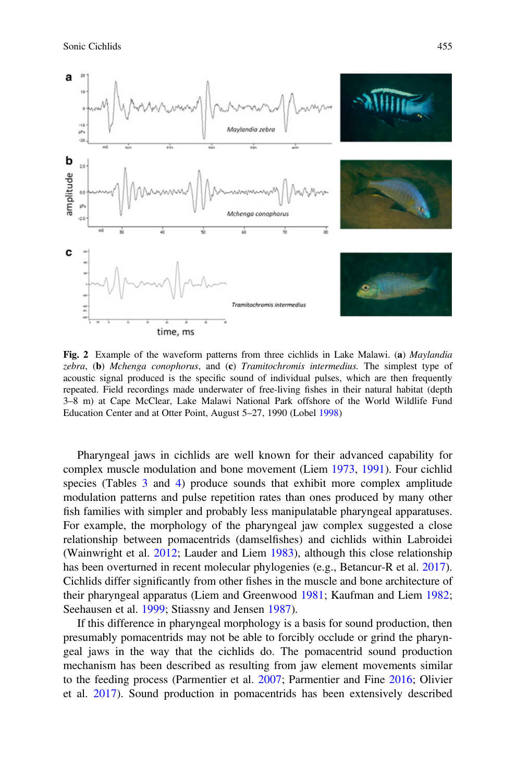

Fig. 2 Example of the waveform patterns from three cichlids in Lake Malawi. (a) Maylandia zebra,  $(b)$  Mchenga conophorus, and  $(c)$  Tramitochromis intermedius. The simplest type of acoustic signal produced is the specific sound of individual pulses, which are then frequently repeated. Field recordings made underwater of free-living fishes in their natural habitat (depth 3–8 m) at Cape McClear, Lake Malawi National Park offshore of the World Wildlife Fund Education Center and at Otter Point, August 5–27, 1990 (Lobel 1998)

Pharyngeal jaws in cichlids are well known for their advanced capability for complex muscle modulation and bone movement (Liem 1973, 1991). Four cichlid species (Tables 3 and 4) produce sounds that exhibit more complex amplitude modulation patterns and pulse repetition rates than ones produced by many other fish families with simpler and probably less manipulatable pharyngeal apparatuses. For example, the morphology of the pharyngeal jaw complex suggested a close relationship between pomacentrids (damselfishes) and cichlids within Labroidei (Wainwright et al. 2012; Lauder and Liem 1983), although this close relationship has been overturned in recent molecular phylogenies (e.g., Betancur-R et al. 2017). Cichlids differ significantly from other fishes in the muscle and bone architecture of their pharyngeal apparatus (Liem and Greenwood 1981; Kaufman and Liem 1982; Seehausen et al. 1999; Stiassny and Jensen 1987).

If this difference in pharyngeal morphology is a basis for sound production, then presumably pomacentrids may not be able to forcibly occlude or grind the pharyngeal jaws in the way that the cichlids do. The pomacentrid sound production mechanism has been described as resulting from jaw element movements similar to the feeding process (Parmentier et al. 2007; Parmentier and Fine 2016; Olivier et al. 2017). Sound production in pomacentrids has been extensively described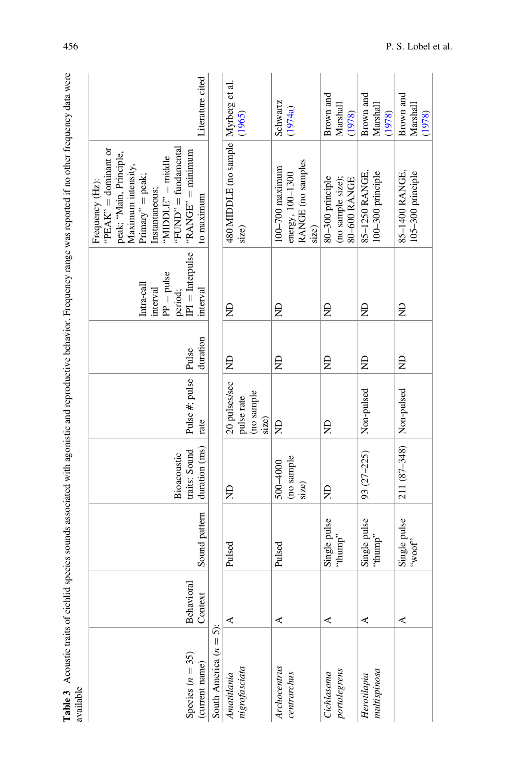|                                                                                                                                                                     | Literature cited                                                                                                                                                                                                    |                                     |                                                    | Schwartz<br>(1974a)                                                   | Brown and<br>Marshall                                 | Brown and<br>Marshall               | Brown and<br>Marshall              |
|---------------------------------------------------------------------------------------------------------------------------------------------------------------------|---------------------------------------------------------------------------------------------------------------------------------------------------------------------------------------------------------------------|-------------------------------------|----------------------------------------------------|-----------------------------------------------------------------------|-------------------------------------------------------|-------------------------------------|------------------------------------|
|                                                                                                                                                                     |                                                                                                                                                                                                                     |                                     | (1965)                                             |                                                                       | (1978)                                                | (1978)                              | (1978)                             |
| Table 3 Acoustic traits of cichlid species sounds associated with agonistic and reproductive behavior. Frequency range was reported if no other frequency data were | "FUND" = fundamental<br>"PEAK" = dominant or<br>$"RANGE" = minimum$<br>peak; "Main, Principle,<br>$MIDDLE" = middle$<br>Maximum intensity,<br>$Primary' = peak;$<br>Frequency (Hz):<br>Instantaneous;<br>to maximum |                                     | 480 MIDDLE (no sample   Myrberg et al.<br>size)    | RANGE (no samples<br>$100 - 700$ maximum<br>energy, 100-1300<br>size) | (no sample size);<br>80-300 principle<br>80-600 RANGE | 85-1250 RANGE,<br>100-300 principle | 105-300 principle<br>85-1400 RANGE |
|                                                                                                                                                                     | $IPI =$ Interpulse<br>$PP = pulse$<br>Intra-call<br>interval<br>interval<br>period;                                                                                                                                 |                                     | Ê                                                  | Ê                                                                     | £                                                     | £                                   | g                                  |
|                                                                                                                                                                     | duration                                                                                                                                                                                                            |                                     | $\Xi$                                              | Ê                                                                     | g                                                     | £                                   | £                                  |
|                                                                                                                                                                     | Pulse #; pulse   Pulse<br>rate                                                                                                                                                                                      |                                     | 20 pulses/sec<br>(no sample<br>pulse rate<br>size) | Ê                                                                     | g                                                     | Non-pulsed                          | Non-pulsed                         |
|                                                                                                                                                                     | duration (ms)<br>traits: Sound<br>Bioacoustic                                                                                                                                                                       |                                     | $\Xi$                                              | (no sample<br>500-4000<br>size)                                       | $\Xi$                                                 | 93 (27-225)                         | 211 (87-348)                       |
|                                                                                                                                                                     | Sound pattern                                                                                                                                                                                                       |                                     | Pulsed                                             | Pulsed                                                                | Single pulse<br>"dunuh"                               | Single pulse<br>"dunup"             | Single pulse<br>"yoot"             |
|                                                                                                                                                                     | Behavioral<br>Context                                                                                                                                                                                               |                                     | ⋖                                                  | ⋖                                                                     | ≺                                                     | ⋖                                   | ≺                                  |
| available                                                                                                                                                           | Species $(n = 35)$<br>(current name)                                                                                                                                                                                | $\dot{5}$ :<br>South America $(n =$ | nigrofasciata<br>Amatitlania                       | Archocentrus<br>centrarchus                                           | portalegrens<br>Cichlasoma                            | multipinos a<br>Herotilapia         |                                    |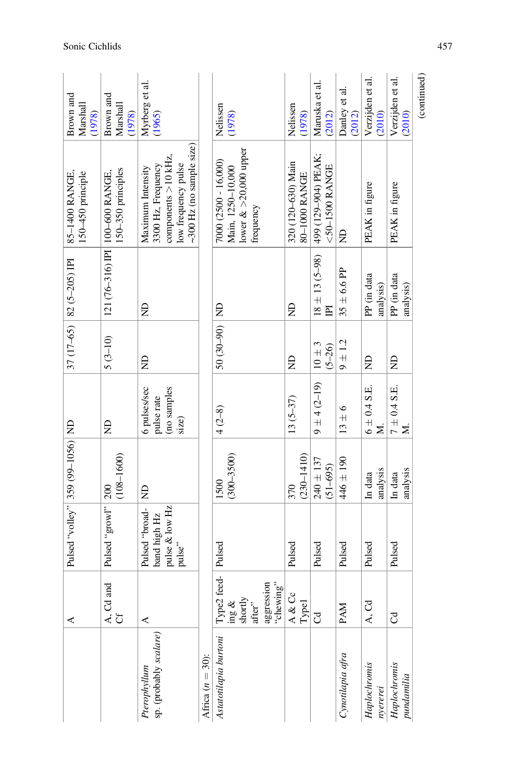|                                        | ⋖                                                                              | Pulsed "volley" 359 (99-1056) ND                           |                               |                                                    |                          | $37(17-65)$ 82 (5-205) IPI           | 85-1400 RANGE,<br>150-450 principle                                                                                       | Brown and<br>Marshall<br>(1978) |
|----------------------------------------|--------------------------------------------------------------------------------|------------------------------------------------------------|-------------------------------|----------------------------------------------------|--------------------------|--------------------------------------|---------------------------------------------------------------------------------------------------------------------------|---------------------------------|
|                                        | $\left  \begin{smallmatrix} A, & Cd \ Af \end{smallmatrix} \right $            | Pulsed "growl"                                             | $(108 - 1600)$<br>200         | Ê                                                  | $5(3-10)$                | 121 (76-316) IPI                     | 150-350 principles<br>100-600 RANGE,                                                                                      | Brown and<br>Marshall<br>(1978) |
| sp. (probably scalare)<br>Pterophyllum | ⋖                                                                              | Pulsed "broad-<br>pulse & low Hz<br>band high Hz<br>pulse" | $\Xi$                         | 6 pulses/sec<br>(no samples<br>pulse rate<br>size) | g                        | Ê                                    | $\sim$ 300 Hz (no sample size)<br>components $>10$ kHz,<br>low frequency pulse<br>3300 Hz, Frequency<br>Maximum Intensity | Myrberg et al.<br>(1965)        |
| Africa $(n = 30)$ :                    |                                                                                |                                                            |                               |                                                    |                          |                                      |                                                                                                                           |                                 |
| Astatotilapia burtoni                  | Type2 feed- Pulsed<br>aggression<br>"chewing"<br>shortly<br>after"<br>$\log a$ |                                                            | $(300 - 3500)$<br>1500        | $4(2-8)$                                           | $50(30-90)$ ND           |                                      | lower $\>20,000$ upper<br>7000 (2500 - 16,000)<br>Main, 1250-10,000<br>frequency                                          | Nelissen<br>(1978)              |
|                                        | A & Cc<br>Type <sub>1</sub>                                                    | Pulsed                                                     | $(230 - 1410)$<br>370         | $13(5-37)$                                         | g                        | £                                    | 320 (120-630) Main<br>80-1000 RANGE                                                                                       | Nelissen<br>(1978)              |
|                                        | $_{\rm C}$                                                                     | Pulsed                                                     | $240 \pm 137$<br>$(51 - 695)$ | $9 \pm 4 (2 - 19)$                                 | $10 \pm 3$<br>$(5 - 26)$ | $18 \pm 13$ (5-98)<br>$\overline{E}$ | 499 (129-904) PEAK;<br>$<$ 50-1500 RANGE                                                                                  | Maruska et al.<br>(2012)        |
| Cynotilapia afra                       | PAM                                                                            | Pulsed                                                     | $446 \pm 190$                 | $13 \pm 6$                                         | $9 \pm 1.2$              | $35 \pm 6.6$ PP                      | €                                                                                                                         | Danley et al.<br>(2012)         |
| Haplochromis<br>$n$ yererei            | A, Cd                                                                          | Pulsed                                                     | analysis<br>In data           | $6 \pm 0.4$ S.E.<br>Σ.                             | Ê                        | PP (in data<br>analysis)             | PEAK in figure                                                                                                            | Verzijden et al.<br>(2010)      |
| Haplochromis<br>pundamilia             | J                                                                              | Pulsed                                                     | analysis<br>In data           | $7\pm0.4$ S.E.<br>N.                               | g                        | PP (in data<br>analysis)             | PEAK in figure                                                                                                            | Verzijden et al.<br>(2010)      |
|                                        |                                                                                |                                                            |                               |                                                    |                          |                                      |                                                                                                                           | (continued)                     |

Sonic Cichlids 457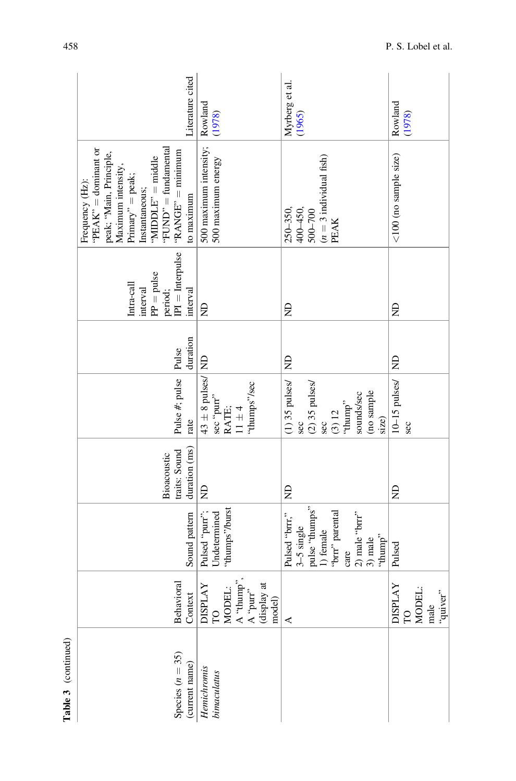| Literature cited                                                                                                                                                                                                      | Rowland<br>(1978)                                                           | Myrberg et al.<br>$(1965)$                                                                                                                                    | Rowland<br>(1978)                                      |
|-----------------------------------------------------------------------------------------------------------------------------------------------------------------------------------------------------------------------|-----------------------------------------------------------------------------|---------------------------------------------------------------------------------------------------------------------------------------------------------------|--------------------------------------------------------|
| "FUND" = fundamental<br>" $PEAK" = dominant or$<br>$"RANGE" = minimum$<br>peak; "Main, Principle,<br>"MIDDLE" = middle<br>Maximum intensity,<br>$Primary' = peak;$<br>Frequency (Hz):<br>Instantaneous;<br>to maximum | 500 maximum intensity;<br>500 maximum energy                                | $(n = 3 \text{ individual fish})$<br>PEAK<br>250–350,<br>400–450,<br>$500 - 700$                                                                              | $<$ 100 (no sample size)                               |
| $\boxed{\begin{bmatrix} \text{period}; \\ \text{IPI} = \text{Interpulse} \end{bmatrix}}$<br>$PP = pulse$<br>Intra-call<br>interval<br>interval                                                                        | £                                                                           | £                                                                                                                                                             | Ê                                                      |
| duration                                                                                                                                                                                                              |                                                                             | $\frac{1}{2}$                                                                                                                                                 |                                                        |
| Pulse #; pulse Pulse<br>rate                                                                                                                                                                                          | $43 \pm 8$ pulses/ ND<br>'thumps''/sec<br>sec "purr"<br>RATE;<br>11 $\pm$ 4 | $(1)$ 35 pulses/<br>$(2)$ 35 pulses/<br>(no sample<br>sounds/sec<br>"thump"<br>(3) 12<br>size)<br><b>Sec</b><br><b>Sec</b>                                    | 10-15 pulses/ ND<br><b>Sec</b>                         |
| duration (ms)<br>traits: Sound<br>Bioacoustic                                                                                                                                                                         | $\Xi$                                                                       | $\Xi$                                                                                                                                                         | £                                                      |
| Sound pattern                                                                                                                                                                                                         | "thumps"/burst<br>Pulsed "purr";<br>Undetermined                            | pulse "thumps"<br>"brrr" parental<br>$\begin{bmatrix} 2 \end{bmatrix}$ male "brrr"<br>3) male<br>Pulsed "brrr,"<br>3-5 single<br>1) female<br>"thump"<br>care | Pulsed                                                 |
| Behavioral<br>Context                                                                                                                                                                                                 | MODEL:<br>A "thump",<br>A "pur"<br>(display at<br>DISPLAY<br>TO<br>model)   | 4                                                                                                                                                             | <b>AY</b><br>MODEL:<br>"quiver"<br>DISPL<br>TO<br>male |
| Species $(n = 35)$<br>(current name)                                                                                                                                                                                  | Henichromis<br>bimaculatus                                                  |                                                                                                                                                               |                                                        |

Table 3 (continued) Table 3 (continued)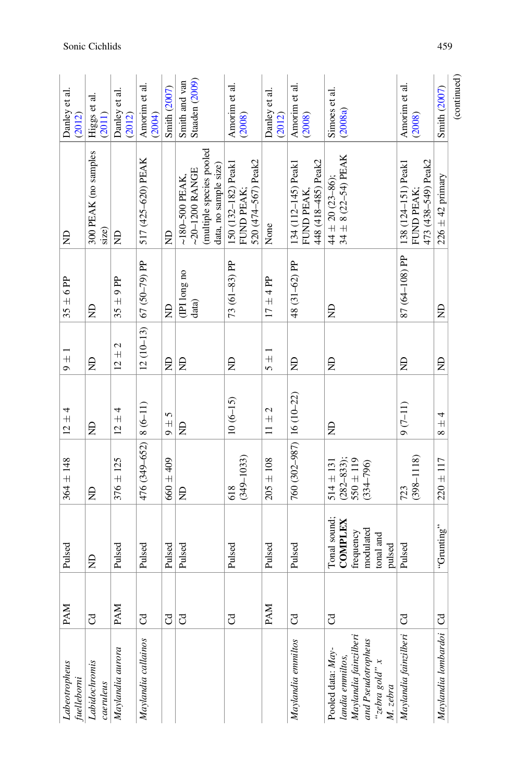| Labeotropheus                                                                                               | <b>PAM</b>                  | Pulsed                                                                          | $364 \pm 148$                                                 | $12 + 4$           | $\frac{1}{2}$                   | $35 \pm 6$ PP                                                      | g                                                                                          | et al.<br>Danley<br>(2012)                                              |
|-------------------------------------------------------------------------------------------------------------|-----------------------------|---------------------------------------------------------------------------------|---------------------------------------------------------------|--------------------|---------------------------------|--------------------------------------------------------------------|--------------------------------------------------------------------------------------------|-------------------------------------------------------------------------|
|                                                                                                             | FO                          | Ê                                                                               | $\Xi$                                                         | g                  | g                               | Ê                                                                  | 300 PEAK (no samples<br>size)                                                              | Higgs et al.<br>$(2011)$                                                |
| Maylandia aurora                                                                                            | <b>PAM</b>                  | Pulsed                                                                          | $376 \pm 125$                                                 | $12 \pm 4$         | $12 \pm 2$                      | $35 \pm 9$ PP                                                      | g                                                                                          | Danley et al.<br>(2012)                                                 |
| Maylandia callainos                                                                                         | ටි                          | Pulsed                                                                          | $476(349-652)$ 8 $(6-11)$                                     |                    | $12(10-13)$                     | $67(50-79)$ PP                                                     | 517 (425-620) PEAK                                                                         | Amorim et al.<br>(2004)                                                 |
|                                                                                                             | $\mathcal{C}^{\mathcal{A}}$ | Pulsed                                                                          | $660 \pm 409$                                                 | $9 \pm 5$          | $\Xi$                           | g                                                                  | £                                                                                          | Smith (2007)                                                            |
|                                                                                                             | $_{\rm C}$                  | Pulsed                                                                          | $\Xi$                                                         | £                  | Ê                               | $\begin{array}{c} \text{(IPI long no} \\ \text{data)} \end{array}$ | (multiple species pooled<br>data, no sample size)<br>~20-1200 RANGE<br>$\sim$ 180-500 PEAK | Smith and van<br>Staaden (2009)                                         |
|                                                                                                             | ටි                          | Pulsed                                                                          | $(349 - 1033)$<br>618                                         | $10(6-15)$         | Ê                               | 73 (61-83) PP                                                      | 520 (474-567) Peak2<br>150 (132–182) Peak1<br>FUND PEAK;                                   | Amorim et al.<br>(2008)                                                 |
|                                                                                                             | <b>PAM</b>                  | Pulsed                                                                          | $205 \pm 108$                                                 | $\frac{1}{2}$<br>Ξ | $\overline{+}$<br>$\mathcal{L}$ | $17 + 4$ PP                                                        | None                                                                                       | Danley et al.<br>(2012)                                                 |
| Maylandia emmiltos                                                                                          | J                           | Pulsed                                                                          | 760 (302-987) 16 (10-22)                                      |                    | Ê                               | 48 (31-62) PP                                                      | 448 (418-485) Peak2<br>134 (112-145) Peak1<br>FUND PEAK,                                   | $\boxed{\begin{array}{l} \text{Amount in et al.}\\ (2008) \end{array}}$ |
| Maylandia fainzilberi<br>and Pseudotropheus<br>Pooled data: May-<br>landia emmiltos,<br>$x_a$ apos $a$ qaz, | J                           | Tonal sound;<br><b>COMPLEX</b><br>modulated<br>frequency<br>tonal and<br>pulsed | $(282 - 833);$<br>550 ± 119<br>$514 \pm 131$<br>$(334 - 796)$ | ₿                  | Ê                               | Ê                                                                  | $34 \pm 8$ (22-54) PEAK<br>$44 \pm 20$ (23-86);                                            | Simoes et al.<br>(2008a)                                                |
| Maylandia fainzilberi                                                                                       | ටී                          | Pulsed                                                                          | $(398 - 1118)$<br>723                                         | $9(7-11)$          | Ê                               | 87 (64-108) PP                                                     | 473 (438-549) Peak2<br>138 (124-151) Peak1<br>FUND PEAK;                                   | Amorim et al.<br>(2008)                                                 |
| Maylandia lombardoi   Cd                                                                                    |                             | "Grunting"                                                                      | $220 \pm 117$                                                 | 4<br>$\frac{+}{8}$ | g                               | g                                                                  | $226 \pm 42$ primary                                                                       | Smith (2007)                                                            |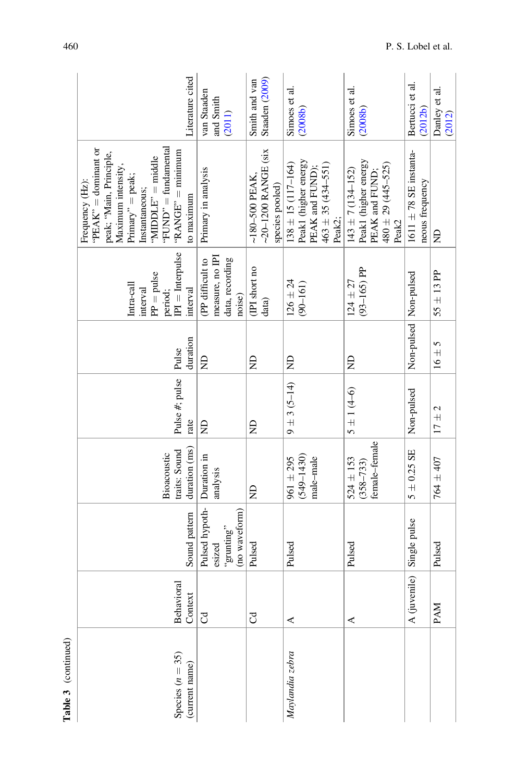| iterature cited                                                                                                                                                                                                     | van Staaden<br>and Smith<br>(2011)                               | Staaden (2009)<br>Smith and van                                | Simoes et al.<br>(2008b)                                                                                | Simoes et al.<br>(2008b)                                                                                          | Bertucci et al.<br>(2012b)                    | Danley et al.<br>(2012) |
|---------------------------------------------------------------------------------------------------------------------------------------------------------------------------------------------------------------------|------------------------------------------------------------------|----------------------------------------------------------------|---------------------------------------------------------------------------------------------------------|-------------------------------------------------------------------------------------------------------------------|-----------------------------------------------|-------------------------|
| 'FUND'' = fundamental<br>"PEAK" = dominant or<br>$"RANGE" = minimum$<br>peak; "Main, Principle,<br>"MIDDLE" = middle<br>Maximum intensity,<br>$Primary' = peak;$<br>Frequency (Hz):<br>Instantaneous;<br>to maximum | Primary in analysis                                              | $-20-1200$ RANGE (six<br>$~180 - 500$ PEAK,<br>species pooled) | Peak1 (higher energy<br>PEAK and FUND);<br>$138 \pm 15$ (117-164)<br>$463 \pm 35 (434 - 551)$<br>Peak2; | Peak1 (higher energy<br>PEAK and FUND;<br>$480 \pm 29 (445 - 525)$<br>$143 \pm 7(134 - 152)$<br>Peak <sup>2</sup> | $1611 \pm 78$ SE instanta-<br>neous frequency | g                       |
| $PI =$ Interpulse<br>$PP = pulse$<br>Intra-call<br>period;<br>interval<br>interval                                                                                                                                  | measure, no IPI<br>data, recording<br>(PP difficult to<br>noise) | (IPI short no<br>data)                                         | $126 \pm 24$<br>$(90 - 161)$                                                                            | $(93 - 165)$ PP<br>$124 \pm 27$                                                                                   | Non-pulsed   Non-pulsed                       | $55 \pm 13$ PP          |
| duration<br>Pulse                                                                                                                                                                                                   | g                                                                | g                                                              | $\frac{1}{2}$                                                                                           | £                                                                                                                 |                                               | $16 \pm 5$              |
| Pulse #; pulse<br>rate                                                                                                                                                                                              | Ê                                                                | g                                                              | $9 \pm 3$ (5-14)                                                                                        | $5 \pm 1 (4 - 6)$                                                                                                 | Non-pulsed                                    | $17 \pm 2$              |
| duration (ms)<br>traits: Sound<br>Bioacoustic                                                                                                                                                                       | Duration in<br>analysis                                          | $\Xi$                                                          | $(549 - 1430)$<br>male-male<br>$961 \pm 295$                                                            | female-female<br>$524 \pm 153$<br>$(358 - 733)$                                                                   | $5\pm0.25$ SE                                 | 764 ± 407               |
| Sound pattern                                                                                                                                                                                                       | Pulsed hypoth-<br>(no waveform)<br>"grunting"<br>esized          | Pulsed                                                         | Pulsed                                                                                                  | Pulsed                                                                                                            | A (juvenile) Single pulse                     | Pulsed                  |
| Behavioral<br>Context                                                                                                                                                                                               | $\overline{c}$                                                   | ටි                                                             | 4                                                                                                       | ⋖                                                                                                                 |                                               | <b>PAM</b>              |
| Species $(n = 35)$<br>(current name)                                                                                                                                                                                |                                                                  |                                                                | Maylandia zebra                                                                                         |                                                                                                                   |                                               |                         |

Table 3 (continued) Table 3 (continued)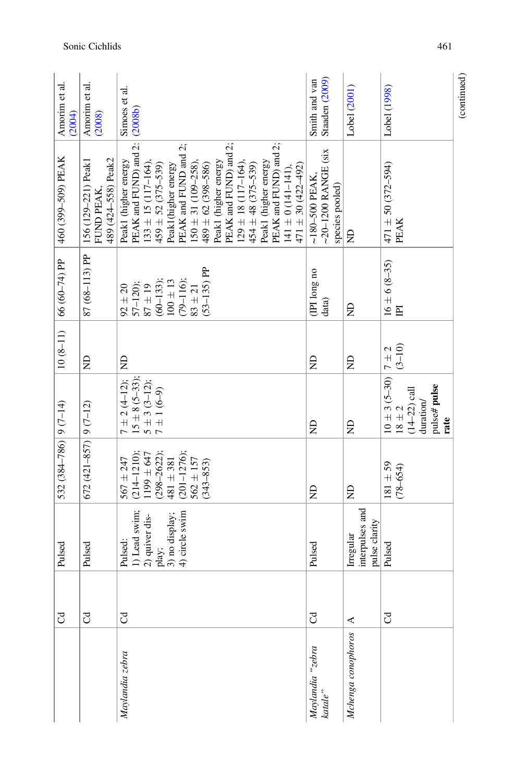| Staaden (2009)<br>Smith and van<br>Lobel (1998)<br>Lobel (2001)<br>Simoes et al.<br>(2008b)<br>(2008)<br>PEAK and FUND) and 2:<br>PEAK and FUND) and 2;<br>PEAK and FUND and 2;<br>150 $\pm$ 31 (109–258),<br>PEAK and FUND) and 2;<br>$\sim$ 20-1200 RANGE (six<br>489 (424-558) Peak2<br>Peak1 (higher energy<br>Peak1 (higher energy<br>$133 \pm 15 (117 - 164),$<br>Peak1 (higher energy<br>$129 \pm 18$ (117-164),<br>$471 \pm 50 (372 - 594)$<br>$489 \pm 62 (398 - 586)$<br>$459 \pm 52 (375 - 539)$<br>Peak1(higher energy<br>$454 \pm 48$ (375-539)<br>$471 \pm 30 (422 - 492)$<br>$141 \pm 0(141 - 141),$<br>$~180 - 500$ PEAK,<br>species pooled)<br>FUND PEAK,<br>PEAK<br>£<br>$16 \pm 6 (8 - 35)$<br>$(53 - 135)$ PP<br>(IPI long no<br>$(60 - 133);$<br>$(79 - 116);$<br>$100\pm13$<br>$92 \pm 20$<br>57-120);<br>$87\pm19$<br>$83 + 21$<br>data)<br>g<br>$\overline{P}$<br>$(3 - 10)$<br>$\begin{array}{c c} 10 \pm 3 & (5-30) & 7 \pm 2 \\ 18 \pm 2 & & (3-10) \end{array}$<br>£<br>£<br>£<br>$15 \pm 8$ (5-33);<br>$7 \pm 2 (4 - 12);$<br>$5 \pm 3$ (3-12);<br>pulse# pulse<br>$7 \pm 1$ (6-9)<br>$(14-22)$ call<br>duration/<br>rate<br>£<br>£<br>$(201 - 1276);$ $562 \pm 157$<br>$(214-1210);$<br>1199 ± 647<br>$(298 - 2622)$ ;<br>$567 + 247$<br>$481 \pm 381$<br>$(343 - 853)$<br>$181 + 59$<br>$(78 - 654)$<br>$\Xi$<br>£<br>interpulses and<br>1) Lead swim;<br>4) circle swim<br>3) no display;<br>2) quiver dis-<br>pulse clarity<br>Irregular<br>Pulsed:<br>Pulsed<br>Pulsed<br>play; | J<br>J | Pulsed | 532 $(384 - 786)$ 9 $(7 - 14)$ |   | $10(8-11)$ 66 (60-74) PP | 460 (399-509) PEAK  | Amorim et al.<br>(2004) |
|-------------------------------------------------------------------------------------------------------------------------------------------------------------------------------------------------------------------------------------------------------------------------------------------------------------------------------------------------------------------------------------------------------------------------------------------------------------------------------------------------------------------------------------------------------------------------------------------------------------------------------------------------------------------------------------------------------------------------------------------------------------------------------------------------------------------------------------------------------------------------------------------------------------------------------------------------------------------------------------------------------------------------------------------------------------------------------------------------------------------------------------------------------------------------------------------------------------------------------------------------------------------------------------------------------------------------------------------------------------------------------------------------------------------------------------------------------------------------------------------------------------------|--------|--------|--------------------------------|---|--------------------------|---------------------|-------------------------|
|                                                                                                                                                                                                                                                                                                                                                                                                                                                                                                                                                                                                                                                                                                                                                                                                                                                                                                                                                                                                                                                                                                                                                                                                                                                                                                                                                                                                                                                                                                                   |        | Pulsed | $672(421 - 857)$ 9 (7-12)      | £ | 87 (68-113) PP           | 156 (129-221) Peak1 | Amorim et al.           |
|                                                                                                                                                                                                                                                                                                                                                                                                                                                                                                                                                                                                                                                                                                                                                                                                                                                                                                                                                                                                                                                                                                                                                                                                                                                                                                                                                                                                                                                                                                                   |        |        |                                |   |                          |                     |                         |
|                                                                                                                                                                                                                                                                                                                                                                                                                                                                                                                                                                                                                                                                                                                                                                                                                                                                                                                                                                                                                                                                                                                                                                                                                                                                                                                                                                                                                                                                                                                   |        |        |                                |   |                          |                     |                         |
|                                                                                                                                                                                                                                                                                                                                                                                                                                                                                                                                                                                                                                                                                                                                                                                                                                                                                                                                                                                                                                                                                                                                                                                                                                                                                                                                                                                                                                                                                                                   |        |        |                                |   |                          |                     |                         |
|                                                                                                                                                                                                                                                                                                                                                                                                                                                                                                                                                                                                                                                                                                                                                                                                                                                                                                                                                                                                                                                                                                                                                                                                                                                                                                                                                                                                                                                                                                                   |        |        |                                |   |                          |                     |                         |
|                                                                                                                                                                                                                                                                                                                                                                                                                                                                                                                                                                                                                                                                                                                                                                                                                                                                                                                                                                                                                                                                                                                                                                                                                                                                                                                                                                                                                                                                                                                   |        |        |                                |   |                          |                     |                         |
|                                                                                                                                                                                                                                                                                                                                                                                                                                                                                                                                                                                                                                                                                                                                                                                                                                                                                                                                                                                                                                                                                                                                                                                                                                                                                                                                                                                                                                                                                                                   |        |        |                                |   |                          |                     |                         |
|                                                                                                                                                                                                                                                                                                                                                                                                                                                                                                                                                                                                                                                                                                                                                                                                                                                                                                                                                                                                                                                                                                                                                                                                                                                                                                                                                                                                                                                                                                                   |        |        |                                |   |                          |                     |                         |
|                                                                                                                                                                                                                                                                                                                                                                                                                                                                                                                                                                                                                                                                                                                                                                                                                                                                                                                                                                                                                                                                                                                                                                                                                                                                                                                                                                                                                                                                                                                   |        |        |                                |   |                          |                     |                         |
|                                                                                                                                                                                                                                                                                                                                                                                                                                                                                                                                                                                                                                                                                                                                                                                                                                                                                                                                                                                                                                                                                                                                                                                                                                                                                                                                                                                                                                                                                                                   |        |        |                                |   |                          |                     |                         |
|                                                                                                                                                                                                                                                                                                                                                                                                                                                                                                                                                                                                                                                                                                                                                                                                                                                                                                                                                                                                                                                                                                                                                                                                                                                                                                                                                                                                                                                                                                                   |        |        |                                |   |                          |                     |                         |
|                                                                                                                                                                                                                                                                                                                                                                                                                                                                                                                                                                                                                                                                                                                                                                                                                                                                                                                                                                                                                                                                                                                                                                                                                                                                                                                                                                                                                                                                                                                   |        |        |                                |   |                          |                     |                         |
|                                                                                                                                                                                                                                                                                                                                                                                                                                                                                                                                                                                                                                                                                                                                                                                                                                                                                                                                                                                                                                                                                                                                                                                                                                                                                                                                                                                                                                                                                                                   |        |        |                                |   |                          |                     |                         |
|                                                                                                                                                                                                                                                                                                                                                                                                                                                                                                                                                                                                                                                                                                                                                                                                                                                                                                                                                                                                                                                                                                                                                                                                                                                                                                                                                                                                                                                                                                                   |        |        |                                |   |                          |                     |                         |
|                                                                                                                                                                                                                                                                                                                                                                                                                                                                                                                                                                                                                                                                                                                                                                                                                                                                                                                                                                                                                                                                                                                                                                                                                                                                                                                                                                                                                                                                                                                   |        |        |                                |   |                          |                     |                         |
|                                                                                                                                                                                                                                                                                                                                                                                                                                                                                                                                                                                                                                                                                                                                                                                                                                                                                                                                                                                                                                                                                                                                                                                                                                                                                                                                                                                                                                                                                                                   |        |        |                                |   |                          |                     |                         |
|                                                                                                                                                                                                                                                                                                                                                                                                                                                                                                                                                                                                                                                                                                                                                                                                                                                                                                                                                                                                                                                                                                                                                                                                                                                                                                                                                                                                                                                                                                                   |        |        |                                |   |                          |                     |                         |
|                                                                                                                                                                                                                                                                                                                                                                                                                                                                                                                                                                                                                                                                                                                                                                                                                                                                                                                                                                                                                                                                                                                                                                                                                                                                                                                                                                                                                                                                                                                   |        |        |                                |   |                          |                     |                         |
|                                                                                                                                                                                                                                                                                                                                                                                                                                                                                                                                                                                                                                                                                                                                                                                                                                                                                                                                                                                                                                                                                                                                                                                                                                                                                                                                                                                                                                                                                                                   |        |        |                                |   |                          |                     |                         |
|                                                                                                                                                                                                                                                                                                                                                                                                                                                                                                                                                                                                                                                                                                                                                                                                                                                                                                                                                                                                                                                                                                                                                                                                                                                                                                                                                                                                                                                                                                                   |        |        |                                |   |                          |                     |                         |
|                                                                                                                                                                                                                                                                                                                                                                                                                                                                                                                                                                                                                                                                                                                                                                                                                                                                                                                                                                                                                                                                                                                                                                                                                                                                                                                                                                                                                                                                                                                   |        |        |                                |   |                          |                     |                         |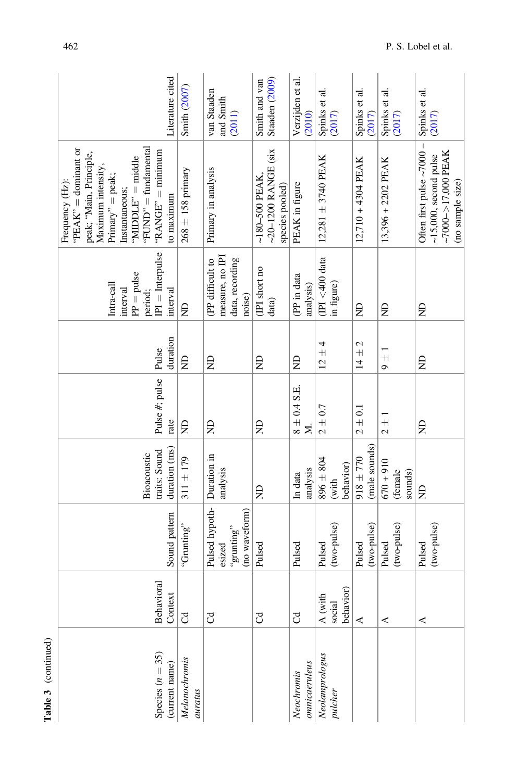| iterature cited                                                                                                                                                                                                     | Smith (2007)             | van Staaden<br>and Smith<br>(2011)                               | Staaden (2009)<br>Smith and van                                  | Verzijden et al.<br>(2010) | Spinks et al.<br>$(2017)$           | Spinks et al.<br>$(2017)$    | Spinks et al.<br>(2017)           | Spinks et al.<br>(2017)                                                                                     |
|---------------------------------------------------------------------------------------------------------------------------------------------------------------------------------------------------------------------|--------------------------|------------------------------------------------------------------|------------------------------------------------------------------|----------------------------|-------------------------------------|------------------------------|-----------------------------------|-------------------------------------------------------------------------------------------------------------|
| 'FUND' = fundamental<br>"PEAK" = dominant or<br>$"RANGE" = minimum$<br>peak; "Main, Principle,<br>$MIDDLE" = middle$<br>Maximum intensity,<br>$Primary' = peak;$<br>Frequency (Hz):<br>Instantaneous;<br>to maximum | $268 \pm 158$ primary    | Primary in analysis                                              | $-20-1200$ RANGE (six<br>$\sim$ 180-500 PEAK,<br>species pooled) | PEAK in figure             | $12,281 \pm 3740$ PEAK              | $12,710 + 4304$ PEAK         | $13,396 + 2202$ PEAK              | Often first pulse $\sim$ 7000 -<br>$~17000 - 17000$ PEAK<br>$\sim$ 15,000, second pulse<br>(no sample size) |
| $\boxed{\begin{bmatrix} \text{period}; \\ \text{IPI} = \text{Interpulse} \end{bmatrix}}$<br>$\text{PP}=\text{pulse}$<br>Intra-call<br>interval<br>interval                                                          | Ê                        | measure, no IPI<br>data, recording<br>(PP difficult to<br>noise) | (IPI short no<br>data)                                           | (PP in data<br>analysis)   | $(IPI < 400$ data<br>in figure)     | Ê                            | £                                 | Ê                                                                                                           |
| duration<br>Pulse                                                                                                                                                                                                   | $\Xi$                    | Ê                                                                | Ê                                                                | g                          | $12 + 4$                            | $14 \pm 2$                   | $9 \pm 1$                         | Ê                                                                                                           |
| Pulse #; pulse<br>rate                                                                                                                                                                                              | Ê                        | Ê                                                                | Ê                                                                | $8 \pm 0.4$ S.E.<br>Σ      | $2 \pm 0.7$                         | $2 \pm 0.1$                  | $\frac{1}{2}$                     | g                                                                                                           |
| duration (ms)<br>traits: Sound<br>Bioacoustic                                                                                                                                                                       | $311 \pm 179$            | Duration in<br>analysis                                          | $\Xi$                                                            | analysis<br>In data        | $896 \pm 804$<br>behavior)<br>(with | (male sounds)<br>$018 + 770$ | $016 + 010$<br>(female<br>sounds) | $\Xi$                                                                                                       |
| Sound pattern                                                                                                                                                                                                       | "Grunting"               | Pulsed hypoth-<br>(no waveform)<br>"grunting"<br>esized          | Pulsed                                                           | Pulsed                     | (two-pulse)<br>Pulsed               | (two-pulse)<br>Pulsed        | (two-pulse)<br>Pulsed             | (two-pulse)<br>Pulsed                                                                                       |
| Behavioral<br>Context                                                                                                                                                                                               | $\mathcal{C}$            | ටි                                                               | ටී                                                               | F                          | behavior)<br>출<br>social<br>A (wit  | $\prec$                      | $\prec$                           | ⋖                                                                                                           |
| Species $(n = 35)$<br>(current name)                                                                                                                                                                                | Melanochromis<br>auratus |                                                                  |                                                                  | omicaeruleus<br>Neochromis | Neolamprologus<br>pulcher           |                              |                                   |                                                                                                             |

Table 3 (continued)

Table 3 (continued)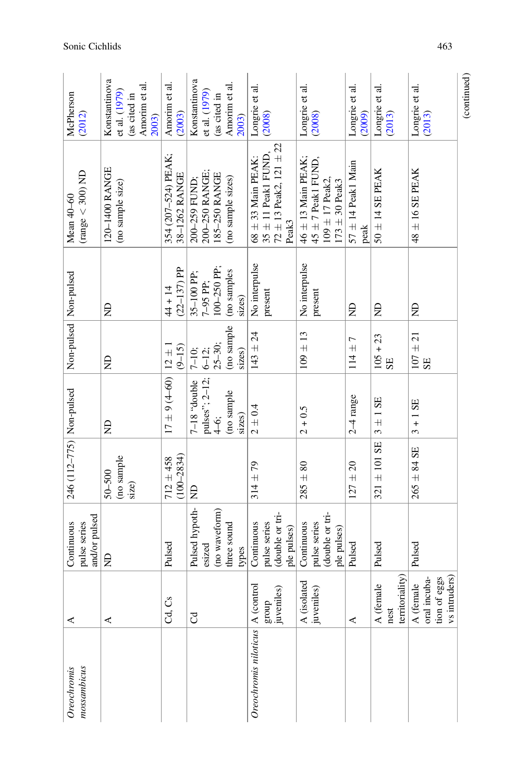| mossambicus<br>Oreochromis         | ⋖                                                              | and/or pulsed<br>pulse series<br>Continuous                  | 246 (112-775) Non-pulsed          |                                                         | Non-pulsed Non-pulsed                        |                                             | (range $<$ 300) ND<br>Mean 40-60                                                             | McPherson<br>(2012)                                                      |
|------------------------------------|----------------------------------------------------------------|--------------------------------------------------------------|-----------------------------------|---------------------------------------------------------|----------------------------------------------|---------------------------------------------|----------------------------------------------------------------------------------------------|--------------------------------------------------------------------------|
|                                    | ≺                                                              | £                                                            | (no sample<br>$50 - 500$<br>size) | Ê                                                       | g                                            | Ê                                           | 120-1400 RANGE<br>(no sample size)                                                           | Konstantinova<br>Amorim et al.<br>et al. (1979)<br>(as cited in<br>2003) |
|                                    | Cd, Cs                                                         | Pulsed                                                       | $(100 - 2834)$<br>$712 + 458$     | $17 \pm 9$ (4–60) $  12 \pm 1$                          | $(9 - 15)$                                   | $(22-137)$ PP<br>$44 + 14$                  | 354 (207-524) PEAK;<br>38-1262 RANGE                                                         | Amorim et al.<br>(2003)                                                  |
|                                    | J                                                              | Pulsed hypoth-<br>(no waveform)<br>three sound<br>esized     | $\Xi$                             | pulses"; 2-12;<br>slduob' 81-7<br>(no sample<br>$4-6$ ; | (no sample<br>$25 - 30;$<br>$7-10;$<br>6-12; | $100 - 250$ PP;<br>$35-100$ PP;<br>7-95 PP; | 200-250 RANGE;<br>185-250 RANGE<br>(no sample sizes)<br>200-259 FUND;                        | Konstantinova<br>Amorim et al.<br>et al. (1979)<br>(as cited in          |
|                                    |                                                                | types                                                        |                                   | sizes)                                                  | sizes)                                       | (no samples<br>sizes)                       |                                                                                              | 2003)                                                                    |
| Oreochromis niloticus   A (control | group<br>juveniles)                                            | (double or tri-<br>Continuous<br>pulse series<br>ple pulses) | $314 \pm 79$                      | $2\pm0.4$                                               | $143 \pm 24$                                 | No interpulse<br>present                    | $72 \pm 13$ Peak2, $121 \pm 22$<br>$35 \pm 11$ Peak1 FUND<br>$68 \pm 33$ Main PEAK:<br>Peak3 | Longrie et al.<br>(2008)                                                 |
|                                    | A (isolated<br>juveniles)                                      | (double or tri-<br>pulse series<br>Continuous<br>ple pulses) | $285 \pm 80$                      | $2 + 0.5$                                               | $109 \pm 13$                                 | No interpulse<br>present                    | $46\pm13$ Main PEAK;<br>$45 \pm 7$ Peak1 FUND,<br>$109 \pm 17$ Peak2,<br>$173 \pm 30$ Peak3  | Longrie et al.<br>(2008)                                                 |
|                                    | ⋖                                                              | Pulsed                                                       | $127 \pm 20$                      | $2-4$ range                                             | $114 \pm 7$                                  | £                                           | $57 \pm 14$ Peak1 Main<br>$\mathop{\rm peak}\nolimits$                                       | Longrie et al.<br>(2009)                                                 |
|                                    | territoriality)<br>$\overline{\mathbf{c}}$<br>A (femal<br>nest | Pulsed                                                       | $321 \pm 101$ SE                  | $3 \pm 1$ SE                                            | $105 + 23$<br>SE                             | Ê                                           | $50 \pm 14$ SE PEAK                                                                          | Longrie et al.<br>(2013)                                                 |
|                                    | vs intruders)<br>tion of eggs<br>oral incuba-<br>A (female     | Pulsed                                                       | $265 \pm 84$ SE                   | $3 + 1$ SE                                              | $107 \pm 21$<br>SE                           | £                                           | $48 \pm 16$ SE PEAK                                                                          | Longrie et al.<br>(2013)                                                 |
|                                    |                                                                |                                                              |                                   |                                                         |                                              |                                             |                                                                                              | (continued)                                                              |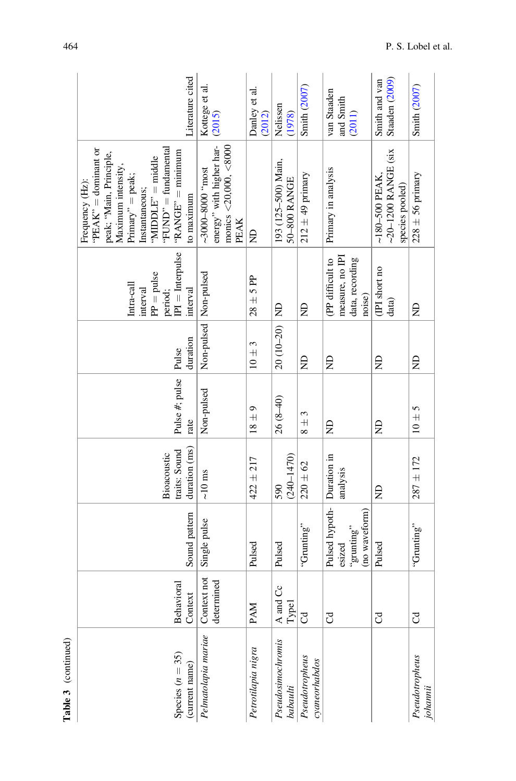| Table 3 (continued)                  |                           |                                                                     |                                               |                        |                         |                                                                                     |                                                                                                                                                                                                                       |                                    |
|--------------------------------------|---------------------------|---------------------------------------------------------------------|-----------------------------------------------|------------------------|-------------------------|-------------------------------------------------------------------------------------|-----------------------------------------------------------------------------------------------------------------------------------------------------------------------------------------------------------------------|------------------------------------|
| Species $(n = 35)$<br>(current name) | Behavioral<br>Context     | Sound pattern                                                       | duration (ms)<br>traits: Sound<br>Bioacoustic | Pulse #; pulse<br>rate | duration<br>Pulse       | $IPI = Interpulse$<br>$PP = pulse$<br>Intra-call<br>interval<br>interval<br>period; | "FUND" = fundamental<br>" $PEAK" =$ dominant or<br>$"RANGE" = minimum$<br>peak; "Main, Principle,<br>"MIDDLE" = middle<br>Maximum intensity,<br>$Primary' = peak;$<br>Frequency (Hz):<br>Instantaneous;<br>to maximum | Literature cited                   |
| Pelmatolapia mariae                  | Context not<br>determined | Single pulse                                                        | $\sim\!\!10~\mathrm{ms}$                      | Non-pulsed             | Non-pulsed   Non-pulsed |                                                                                     | energy" with higher har-<br>monics $<$ 20,000, $<$ 8000<br>psout., 0008-000£~<br>PEAK                                                                                                                                 | Kottege et al.<br>(2015)           |
| Petrotilapia nigra                   | PAM                       | Pulsed                                                              | $422 \pm 217$                                 | $18\pm9$               | $10\pm3$                | $28 \pm 5$ PP                                                                       | ę                                                                                                                                                                                                                     | Danley et al.<br>(2012)            |
| Pseudosimochromis<br>babaulti        | ර<br>A and<br>Type1       | Pulsed                                                              | $(240 - 1470)$<br>590                         | $26(8-40)$             | $20(10-20)$ ND          |                                                                                     | 193 (125-500) Main,<br>50-800 RANGE                                                                                                                                                                                   | Nelissen<br>(1978)                 |
| Pseudotropheus<br>cyaneorhabdos      | J                         | "Grunting"                                                          | $220 \pm 62$                                  | 3<br>$\frac{1}{8}$     | g                       | Ê                                                                                   | $212 \pm 49$ primary                                                                                                                                                                                                  | <b>Smith (2007)</b>                |
|                                      | J                         | Pulsed hypoth- Duration in<br>(no waveform)<br>"grunting"<br>esized | analysis                                      | g                      | g                       | measure, no IPI<br>(PP difficult to<br>data, recording<br>noise)                    | Primary in analysis                                                                                                                                                                                                   | van Staaden<br>and Smith<br>(2011) |
|                                      | J                         | Pulsed                                                              | $\Xi$                                         | g                      | g                       | (IPI short no<br>data)                                                              | $-20-1200$ RANGE (six<br>$~180 - 500$ PEAK<br>species pooled)                                                                                                                                                         | Staaden (2009)<br>Smith and van    |
| Pseudotropheus<br>johannii           | J                         | "Grunting"                                                          | $287 \pm 172$                                 | $10 \pm 5$             | g                       | g                                                                                   | $228 \pm 56$ primary                                                                                                                                                                                                  | <b>Smith (2007)</b>                |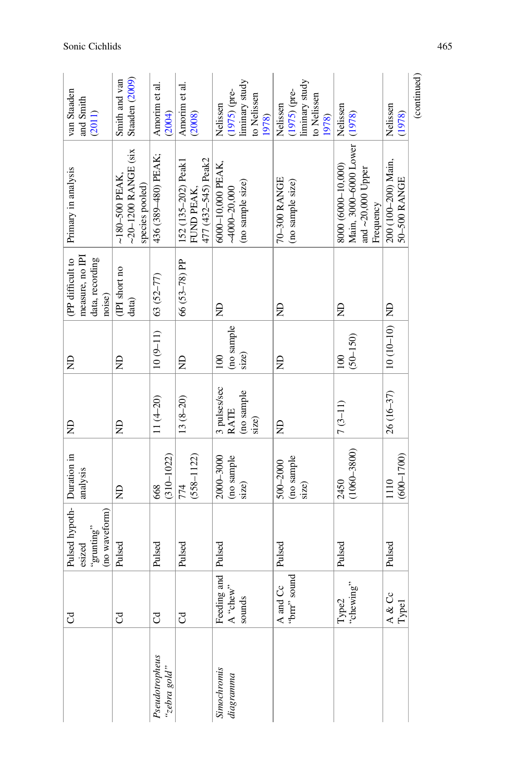|                                | $_{\rm C}$                                                              | Pulsed hypoth- Duration in |                       | £            | g            | (PP difficult to       | Primary in analysis                      | van Staaden                     |
|--------------------------------|-------------------------------------------------------------------------|----------------------------|-----------------------|--------------|--------------|------------------------|------------------------------------------|---------------------------------|
|                                |                                                                         | esized                     | analysis              |              |              | measure, no IPI        |                                          | and Smith                       |
|                                |                                                                         | "grunting"                 |                       |              |              | data, recording        |                                          | (2011)                          |
|                                |                                                                         | (no waveform)              |                       |              |              | noise)                 |                                          |                                 |
|                                | J                                                                       | Pulsed                     | $\Xi$                 | £            | g            | (IPI short no<br>data) | ~20-1200 RANGE (six<br>$~180 - 500$ PEAK | Staaden (2009)<br>Smith and van |
|                                |                                                                         |                            |                       |              |              |                        | species pooled)                          |                                 |
| Pseudotropheus<br>"zebra gold" | J                                                                       | Pulsed                     | $(310 - 1022)$<br>668 | $11(4-20)$   | $10(9-11)$   | 63 (52–77)             | 436 (389-480) PEAK;                      | Amorim et al.<br>(2004)         |
|                                | J                                                                       | Pulsed                     | 774                   | $13(8-20)$   | £            | 66 (53-78) PP          | 152 (135-202) Peak1                      | Amorim et al.                   |
|                                |                                                                         |                            | $(558 - 1122)$        |              |              |                        | 477 (432-545) Peak2<br>FUND PEAK,        | (2008)                          |
| Simochromis                    |                                                                         | Pulsed                     | 2000-3000             | 3 pulses/sec | 100          | £                      | 6000-10,000 PEAK,                        | Nelissen                        |
| diagramma                      | $\begin{array}{ l } \text{Feding and} \\ \text{A ``chew''} \end{array}$ |                            | (no sample            | RATE         | (no sample   |                        | $-4000 - 20,000$                         | $(1975)$ (pre-                  |
|                                | sounds                                                                  |                            | size)                 | (no sample   | size)        |                        | (no sample size)                         | liminary study                  |
|                                |                                                                         |                            |                       | size)        |              |                        |                                          | to Nelissen                     |
|                                |                                                                         |                            |                       |              |              |                        |                                          | 1978)                           |
|                                | A and Cc<br>"brrr" sound                                                | Pulsed                     | 500-2000              | £            | £            | €                      | 70-300 RANGE                             | Nelissen                        |
|                                |                                                                         |                            | (no sample            |              |              |                        | (no sample size)                         | $(1975)$ (pre-                  |
|                                |                                                                         |                            | size)                 |              |              |                        |                                          | liminary study                  |
|                                |                                                                         |                            |                       |              |              |                        |                                          | to Nelissen                     |
|                                |                                                                         |                            |                       |              |              |                        |                                          | 1978)                           |
|                                | Type2<br>"chewing"                                                      | Pulsed                     | 2450                  | $7(3-11)$    | 100          | g                      | 8000 (6000-10,000)                       | Nelissen                        |
|                                |                                                                         |                            | $(1060 - 3800)$       |              | $(50 - 150)$ |                        | Main, 3000-6000 Lower   (1978)           |                                 |
|                                |                                                                         |                            |                       |              |              |                        | and $\sim$ 20,000 Upper                  |                                 |
|                                |                                                                         |                            |                       |              |              |                        | Frequency                                |                                 |
|                                | Cc<br>A &                                                               | Pulsed                     | 1110                  | 26 (16-37)   | $10(10-10)$  |                        | 200 (100-200) Main,                      | Nelissen                        |
|                                | <b>Type1</b>                                                            |                            | $(600 - 1700)$        |              |              |                        | 50-500 RANGE                             | (1978)                          |
|                                |                                                                         |                            |                       |              |              |                        |                                          |                                 |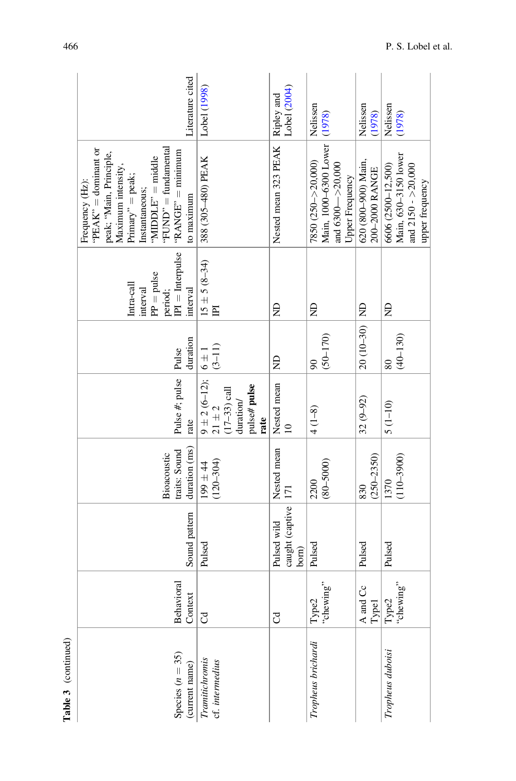| Literature cited                                                                                                                                                                                                    | Lobel (1998)                                                                             | Lobel (2004)                                  | Nelissen                                                                                       | Nelissen<br>(1978)                    | Nelissen<br>(1978)                                                                                                                                                                                                                                                                                                                                                                   |
|---------------------------------------------------------------------------------------------------------------------------------------------------------------------------------------------------------------------|------------------------------------------------------------------------------------------|-----------------------------------------------|------------------------------------------------------------------------------------------------|---------------------------------------|--------------------------------------------------------------------------------------------------------------------------------------------------------------------------------------------------------------------------------------------------------------------------------------------------------------------------------------------------------------------------------------|
| 'FUND" = fundamental<br>"PEAK" = dominant or<br>$"RANGE" = minimum$<br>peak; "Main, Principle,<br>"MIDDLE" = middle<br>Maximum intensity,<br>$Primary'' = peak;$<br>Frequency (Hz):<br>Instantaneous;<br>to maximum | 388 (305-480) PEAK                                                                       | Nested mean 323 PEAK   Ripley and             | Main, 1000-6300 Lower (1978)<br>7850 (250 -> 20,000)<br>and $6300 - 20,000$<br>Upper Frequency | 620 (800-900) Main,<br>200-2000 RANGE | Main, 630-3150 lower<br>and 2150 - >20,000<br>6606 (2500-12,500)<br>upper frequency                                                                                                                                                                                                                                                                                                  |
| $PI =$ Interpulse<br>$PP = pulse$<br>Intra-call<br>interval<br>interval<br>period;                                                                                                                                  | $15 \pm 5 (8 - 34)$<br>$\mathbb H$                                                       | g                                             | Ê                                                                                              |                                       | Ê                                                                                                                                                                                                                                                                                                                                                                                    |
| duration                                                                                                                                                                                                            | $(3-11)$<br>$6 \pm 1$                                                                    | g                                             | $(50 - 170)$<br>$\boldsymbol{\mathcal{S}}$                                                     | $20(10-30)$ ND                        | $(40 - 130)$<br>80                                                                                                                                                                                                                                                                                                                                                                   |
| Pulse #; pulse Pulse<br>rate                                                                                                                                                                                        | $9 \pm 2 (6 - 12);$<br>pulse# pulse<br>$(17-33)$ call<br>duration/<br>$21 \pm 2$<br>rate | Nested mean<br>$\overline{a}$                 | $4(1-8)$                                                                                       | $32(9 - 92)$                          | $5(1 - 10)$                                                                                                                                                                                                                                                                                                                                                                          |
| duration (ms)<br>traits: Sound<br>Bioacoustic                                                                                                                                                                       | $(120 - 304)$<br>$199 \pm 44$                                                            | Nested mean                                   | $(80 - 5000)$<br>2200                                                                          | $(250 - 2350)$<br>830                 | $(110 - 3900)$<br>1370                                                                                                                                                                                                                                                                                                                                                               |
| Sound pattern                                                                                                                                                                                                       | Pulsed                                                                                   | caught (captive   171<br>Pulsed wild<br>born) | Pulsed                                                                                         | Pulsed                                | Pulsed                                                                                                                                                                                                                                                                                                                                                                               |
| Behavioral<br>Context                                                                                                                                                                                               | J                                                                                        | J                                             | Type2<br>"chewing"                                                                             | A and Cc<br>Type1                     | $Type2$<br>$We have: % \begin{align*} \n\mathbf{C} & \mathbf{D} & \mathbf{D} \mathbf{D} \\ \mathbf{D} & \mathbf{D} & \mathbf{D} \mathbf{D} \\ \mathbf{D} & \mathbf{D} & \mathbf{D} \mathbf{D} \\ \mathbf{D} & \mathbf{D} & \mathbf{D} \mathbf{D} \\ \mathbf{D} & \mathbf{D} & \mathbf{D} \mathbf{D} \\ \mathbf{D} & \mathbf{D} & \mathbf{D} \mathbf{D} \\ \mathbf{D} & \mathbf{D} &$ |
| Species $(n = 35)$<br>(current name)                                                                                                                                                                                | Tramitichromis<br>cf. intermedius                                                        |                                               | Tropheus brichardi                                                                             |                                       | Tropheus duboisi                                                                                                                                                                                                                                                                                                                                                                     |

Table 3 (continued) Table 3 (continued)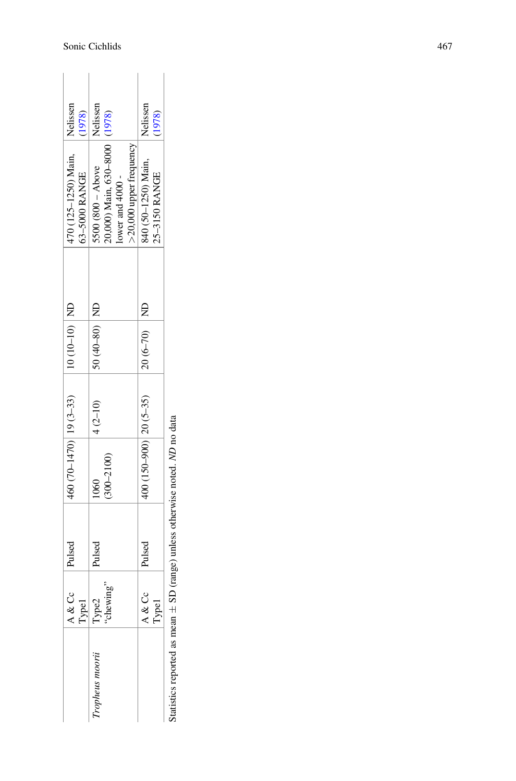| Nelissen<br>(1978)                    | Nelissen                                                                                                 | Nelissen<br>(1978)                   |
|---------------------------------------|----------------------------------------------------------------------------------------------------------|--------------------------------------|
| 470 (125-1250) Main,<br>63-5000 RANGE | 20,000) Main, 630-8000 (1978)<br>$>$ 20,000 upper frequency<br>$5500 (800 - Above$<br>lower and $4000$ - | 340 (50-1250) Main,<br>25-3150 RANGE |
|                                       |                                                                                                          |                                      |
| $ 10(10-10) $ MD                      | $50(40-80)$ ND                                                                                           | $20(6-70)$ ND                        |
|                                       | $4(2-10)$                                                                                                |                                      |
| $460(70-1470)$ 19 (3-33)              | $(300 - 2100)$<br>$\frac{60}{2}$                                                                         | $400(150-900)$ $20(5-35)$            |
| Pulsed                                | Pulsed                                                                                                   | Pulsed                               |
| o.<br>$\frac{1}{2}$                   | $\begin{tabular}{ c c } \hline Type1 \\ Type2 \\ "chewing" \end{tabular}$                                | 9<br>ypel<br>A & (                   |
|                                       | Tropheus moorii                                                                                          |                                      |

Statistics reported as mean Statistics reported as mean  $\pm$  SD (range) unless otherwise noted. ND no data SD (range) unless otherwise noted. ND no data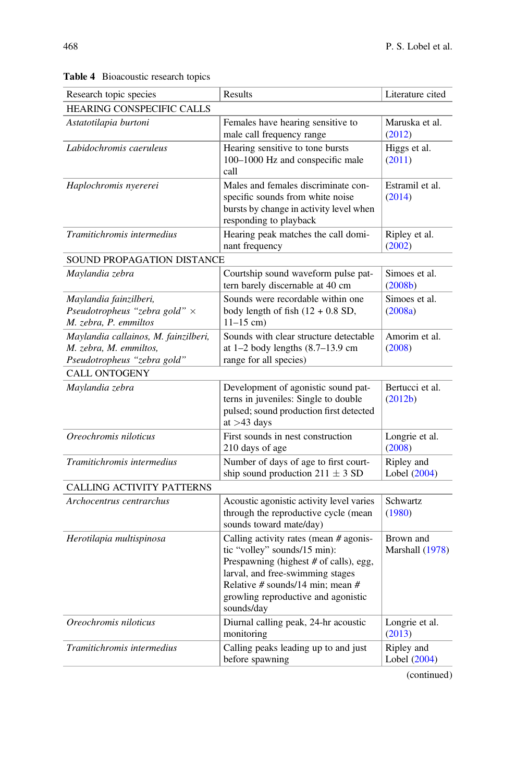| Research topic species                                                                        | Results                                                                                                                                                                                                                                       | Literature cited             |
|-----------------------------------------------------------------------------------------------|-----------------------------------------------------------------------------------------------------------------------------------------------------------------------------------------------------------------------------------------------|------------------------------|
| HEARING CONSPECIFIC CALLS                                                                     |                                                                                                                                                                                                                                               |                              |
| Astatotilapia burtoni                                                                         | Females have hearing sensitive to<br>male call frequency range                                                                                                                                                                                | Maruska et al.<br>(2012)     |
| Labidochromis caeruleus                                                                       | Hearing sensitive to tone bursts<br>100-1000 Hz and conspecific male<br>call                                                                                                                                                                  | Higgs et al.<br>(2011)       |
| Haplochromis nyererei                                                                         | Males and females discriminate con-<br>specific sounds from white noise<br>bursts by change in activity level when<br>responding to playback                                                                                                  | Estramil et al.<br>(2014)    |
| Tramitichromis intermedius                                                                    | Hearing peak matches the call domi-<br>nant frequency                                                                                                                                                                                         | Ripley et al.<br>(2002)      |
| SOUND PROPAGATION DISTANCE                                                                    |                                                                                                                                                                                                                                               |                              |
| Maylandia zebra                                                                               | Courtship sound waveform pulse pat-<br>tern barely discernable at 40 cm                                                                                                                                                                       | Simoes et al.<br>(2008b)     |
| Maylandia fainzilberi,<br>Pseudotropheus "zebra gold" $\times$<br>M. zebra, P. emmiltos       | Sounds were recordable within one<br>body length of fish $(12 + 0.8 S D,$<br>$11-15$ cm)                                                                                                                                                      | Simoes et al.<br>(2008a)     |
| Maylandia callainos, M. fainzilberi,<br>M. zebra, M. emmiltos,<br>Pseudotropheus "zebra gold" | Sounds with clear structure detectable<br>at $1-2$ body lengths $(8.7-13.9 \text{ cm})$<br>range for all species)                                                                                                                             | Amorim et al.<br>(2008)      |
| <b>CALL ONTOGENY</b>                                                                          |                                                                                                                                                                                                                                               |                              |
| Maylandia zebra                                                                               | Development of agonistic sound pat-<br>terns in juveniles: Single to double<br>pulsed; sound production first detected<br>at $>43$ days                                                                                                       | Bertucci et al.<br>(2012b)   |
| Oreochromis niloticus                                                                         | First sounds in nest construction<br>210 days of age                                                                                                                                                                                          | Longrie et al.<br>(2008)     |
| Tramitichromis intermedius                                                                    | Number of days of age to first court-<br>ship sound production $211 \pm 3$ SD                                                                                                                                                                 | Ripley and<br>Lobel (2004)   |
| CALLING ACTIVITY PATTERNS                                                                     |                                                                                                                                                                                                                                               |                              |
| Archocentrus centrarchus                                                                      | Acoustic agonistic activity level varies<br>through the reproductive cycle (mean<br>sounds toward mate/day)                                                                                                                                   | Schwartz<br>(1980)           |
| Herotilapia multispinosa                                                                      | Calling activity rates (mean # agonis-<br>tic "volley" sounds/15 min):<br>Prespawning (highest # of calls), egg,<br>larval, and free-swimming stages<br>Relative # sounds/14 min: mean #<br>growling reproductive and agonistic<br>sounds/day | Brown and<br>Marshall (1978) |
| Oreochromis niloticus                                                                         | Diurnal calling peak, 24-hr acoustic<br>monitoring                                                                                                                                                                                            | Longrie et al.<br>(2013)     |
| Tramitichromis intermedius                                                                    | Calling peaks leading up to and just<br>before spawning                                                                                                                                                                                       | Ripley and<br>Lobel (2004)   |
|                                                                                               |                                                                                                                                                                                                                                               |                              |

Table 4 Bioacoustic research topics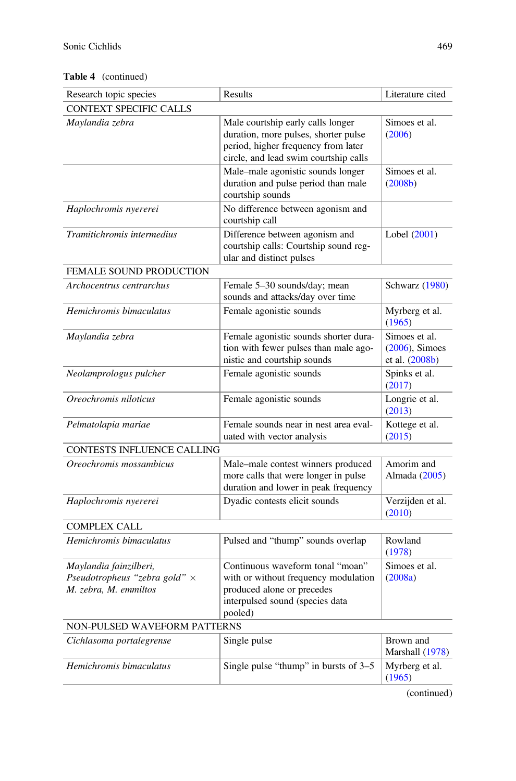#### Table 4 (continued)

| Research topic species                                                                  | Results                                                                                                                                                   | Literature cited                                     |
|-----------------------------------------------------------------------------------------|-----------------------------------------------------------------------------------------------------------------------------------------------------------|------------------------------------------------------|
| CONTEXT SPECIFIC CALLS                                                                  |                                                                                                                                                           |                                                      |
| Maylandia zebra                                                                         | Male courtship early calls longer<br>duration, more pulses, shorter pulse<br>period, higher frequency from later<br>circle, and lead swim courtship calls | Simoes et al.<br>(2006)                              |
|                                                                                         | Male-male agonistic sounds longer<br>duration and pulse period than male<br>courtship sounds                                                              | Simoes et al.<br>(2008b)                             |
| Haplochromis nyererei                                                                   | No difference between agonism and<br>courtship call                                                                                                       |                                                      |
| Tramitichromis intermedius                                                              | Difference between agonism and<br>courtship calls: Courtship sound reg-<br>ular and distinct pulses                                                       | Lobel (2001)                                         |
| FEMALE SOUND PRODUCTION                                                                 |                                                                                                                                                           |                                                      |
| Archocentrus centrarchus                                                                | Female 5-30 sounds/day; mean<br>sounds and attacks/day over time                                                                                          | Schwarz (1980)                                       |
| Hemichromis bimaculatus                                                                 | Female agonistic sounds                                                                                                                                   | Myrberg et al.<br>(1965)                             |
| Maylandia zebra                                                                         | Female agonistic sounds shorter dura-<br>tion with fewer pulses than male ago-<br>nistic and courtship sounds                                             | Simoes et al.<br>$(2006)$ , Simoes<br>et al. (2008b) |
| Neolamprologus pulcher                                                                  | Female agonistic sounds                                                                                                                                   | Spinks et al.<br>(2017)                              |
| Oreochromis niloticus                                                                   | Female agonistic sounds                                                                                                                                   | Longrie et al.<br>(2013)                             |
| Pelmatolapia mariae                                                                     | Female sounds near in nest area eval-<br>uated with vector analysis                                                                                       | Kottege et al.<br>(2015)                             |
| <b>CONTESTS INFLUENCE CALLING</b>                                                       |                                                                                                                                                           |                                                      |
| Oreochromis mossambicus                                                                 | Male-male contest winners produced<br>more calls that were longer in pulse<br>duration and lower in peak frequency                                        | Amorim and<br>Almada (2005)                          |
| Haplochromis nyererei                                                                   | Dyadic contests elicit sounds                                                                                                                             | Verzijden et al.<br>(2010)                           |
| <b>COMPLEX CALL</b>                                                                     |                                                                                                                                                           |                                                      |
| Hemichromis bimaculatus                                                                 | Pulsed and "thump" sounds overlap                                                                                                                         | Rowland<br>(1978)                                    |
| Maylandia fainzilberi,<br>Pseudotropheus "zebra gold" $\times$<br>M. zebra, M. emmiltos | Continuous waveform tonal "moan"<br>with or without frequency modulation<br>produced alone or precedes<br>interpulsed sound (species data<br>pooled)      | Simoes et al.<br>(2008a)                             |
| NON-PULSED WAVEFORM PATTERNS                                                            |                                                                                                                                                           |                                                      |
| Cichlasoma portalegrense                                                                | Single pulse                                                                                                                                              | Brown and<br>Marshall (1978)                         |
| Hemichromis bimaculatus                                                                 | Single pulse "thump" in bursts of 3–5                                                                                                                     | Myrberg et al.<br>(1965)                             |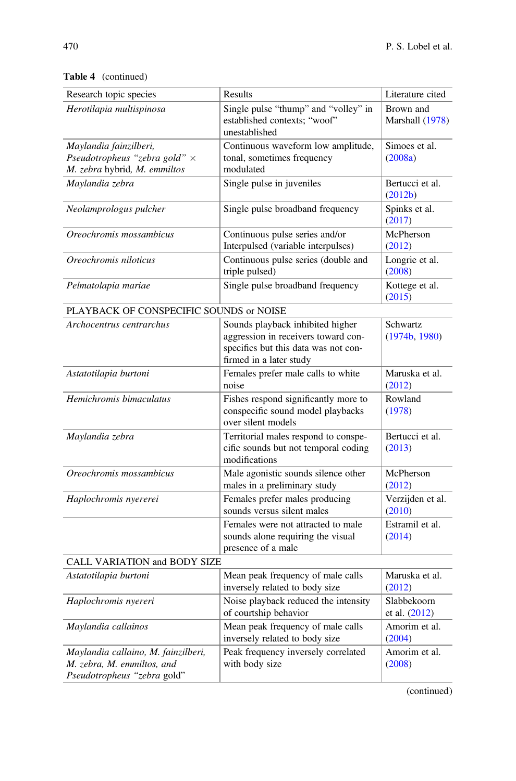| Research topic species                                                                           | Results                                                                                                                                    | Literature cited               |
|--------------------------------------------------------------------------------------------------|--------------------------------------------------------------------------------------------------------------------------------------------|--------------------------------|
| Herotilapia multispinosa                                                                         | Single pulse "thump" and "volley" in<br>established contexts: "woof"<br>unestablished                                                      | Brown and<br>Marshall (1978)   |
| Maylandia fainzilberi,<br>Pseudotropheus "zebra gold" ×<br>M. zebra hybrid, M. emmiltos          | Continuous waveform low amplitude,<br>tonal, sometimes frequency<br>modulated                                                              | Simoes et al.<br>(2008a)       |
| Maylandia zebra                                                                                  | Single pulse in juveniles                                                                                                                  | Bertucci et al.<br>(2012b)     |
| Neolamprologus pulcher                                                                           | Single pulse broadband frequency                                                                                                           | Spinks et al.<br>(2017)        |
| Oreochromis mossambicus                                                                          | Continuous pulse series and/or<br>Interpulsed (variable interpulses)                                                                       | McPherson<br>(2012)            |
| Oreochromis niloticus                                                                            | Continuous pulse series (double and<br>triple pulsed)                                                                                      | Longrie et al.<br>(2008)       |
| Pelmatolapia mariae                                                                              | Single pulse broadband frequency                                                                                                           | Kottege et al.<br>(2015)       |
| PLAYBACK OF CONSPECIFIC SOUNDS or NOISE                                                          |                                                                                                                                            |                                |
| Archocentrus centrarchus                                                                         | Sounds playback inhibited higher<br>aggression in receivers toward con-<br>specifics but this data was not con-<br>firmed in a later study | Schwartz<br>(1974b, 1980)      |
| Astatotilapia burtoni                                                                            | Females prefer male calls to white<br>noise                                                                                                | Maruska et al.<br>(2012)       |
| Hemichromis bimaculatus                                                                          | Fishes respond significantly more to<br>conspecific sound model playbacks<br>over silent models                                            | Rowland<br>(1978)              |
| Maylandia zebra                                                                                  | Territorial males respond to conspe-<br>cific sounds but not temporal coding<br>modifications                                              | Bertucci et al.<br>(2013)      |
| Oreochromis mossambicus                                                                          | Male agonistic sounds silence other<br>males in a preliminary study                                                                        | McPherson<br>(2012)            |
| Haplochromis nyererei                                                                            | Females prefer males producing<br>sounds versus silent males                                                                               | Verzijden et al.<br>(2010)     |
|                                                                                                  | Females were not attracted to male<br>sounds alone requiring the visual<br>presence of a male                                              | Estramil et al.<br>(2014)      |
| CALL VARIATION and BODY SIZE                                                                     |                                                                                                                                            |                                |
| Astatotilapia burtoni                                                                            | Mean peak frequency of male calls<br>inversely related to body size                                                                        | Maruska et al.<br>(2012)       |
| Haplochromis nyereri                                                                             | Noise playback reduced the intensity<br>of courtship behavior                                                                              | Slabbekoorn<br>et al. $(2012)$ |
| Maylandia callainos                                                                              | Mean peak frequency of male calls<br>inversely related to body size                                                                        | Amorim et al.<br>(2004)        |
| Maylandia callaino, M. fainzilberi,<br>M. zebra, M. emmiltos, and<br>Pseudotropheus "zebra gold" | Peak frequency inversely correlated<br>with body size                                                                                      | Amorim et al.<br>(2008)        |

Table 4 (continued)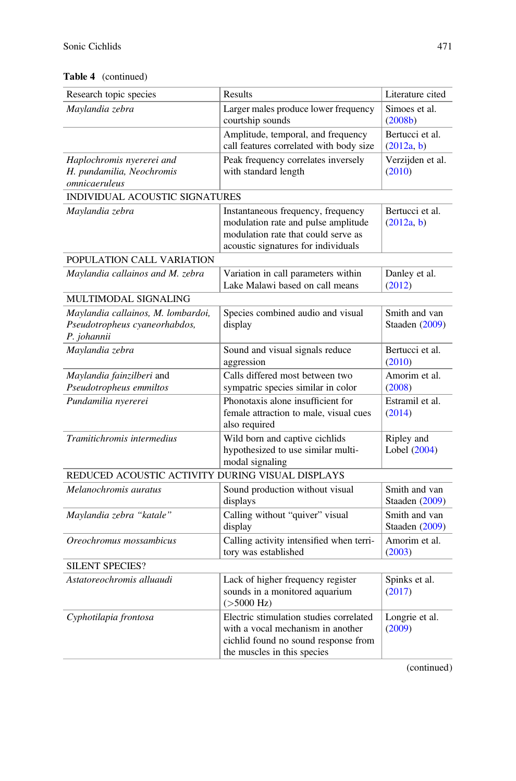#### Table 4 (continued)

| Research topic species                                                             | Results                                                                                                                                                 | Literature cited                |
|------------------------------------------------------------------------------------|---------------------------------------------------------------------------------------------------------------------------------------------------------|---------------------------------|
| Maylandia zebra                                                                    | Larger males produce lower frequency<br>courtship sounds                                                                                                | Simoes et al.<br>(2008b)        |
|                                                                                    | Amplitude, temporal, and frequency<br>call features correlated with body size                                                                           | Bertucci et al.<br>(2012a, b)   |
| Haplochromis nyererei and<br>H. pundamilia, Neochromis<br>omnicaeruleus            | Peak frequency correlates inversely<br>with standard length                                                                                             | Verzijden et al.<br>(2010)      |
| <b>INDIVIDUAL ACOUSTIC SIGNATURES</b>                                              |                                                                                                                                                         |                                 |
| Maylandia zebra                                                                    | Instantaneous frequency, frequency<br>modulation rate and pulse amplitude<br>modulation rate that could serve as<br>acoustic signatures for individuals | Bertucci et al.<br>(2012a, b)   |
| POPULATION CALL VARIATION                                                          |                                                                                                                                                         |                                 |
| Maylandia callainos and M. zebra                                                   | Variation in call parameters within<br>Lake Malawi based on call means                                                                                  | Danley et al.<br>(2012)         |
| MULTIMODAL SIGNALING                                                               |                                                                                                                                                         |                                 |
| Maylandia callainos, M. lombardoi,<br>Pseudotropheus cyaneorhabdos,<br>P. johannii | Species combined audio and visual<br>display                                                                                                            | Smith and van<br>Staaden (2009) |
| Maylandia zebra                                                                    | Sound and visual signals reduce<br>aggression                                                                                                           | Bertucci et al.<br>(2010)       |
| Maylandia fainzilberi and<br>Pseudotropheus emmiltos                               | Calls differed most between two<br>sympatric species similar in color                                                                                   | Amorim et al.<br>(2008)         |
| Pundamilia nyererei                                                                | Phonotaxis alone insufficient for<br>female attraction to male, visual cues<br>also required                                                            | Estramil et al.<br>(2014)       |
| Tramitichromis intermedius                                                         | Wild born and captive cichlids<br>hypothesized to use similar multi-<br>modal signaling                                                                 | Ripley and<br>Lobel (2004)      |
| REDUCED ACOUSTIC ACTIVITY DURING VISUAL DISPLAYS                                   |                                                                                                                                                         |                                 |
| Melanochromis auratus                                                              | Sound production without visual<br>displays                                                                                                             | Smith and van<br>Staaden (2009) |
| Maylandia zebra "katale"                                                           | Calling without "quiver" visual<br>display                                                                                                              | Smith and van<br>Staaden (2009) |
| Oreochromus mossambicus                                                            | Calling activity intensified when terri-<br>tory was established                                                                                        | Amorim et al.<br>(2003)         |
| <b>SILENT SPECIES?</b>                                                             |                                                                                                                                                         |                                 |
| Astatoreochromis alluaudi                                                          | Lack of higher frequency register<br>sounds in a monitored aquarium<br>$($ >5000 Hz)                                                                    | Spinks et al.<br>(2017)         |
| Cyphotilapia frontosa                                                              | Electric stimulation studies correlated<br>with a vocal mechanism in another<br>cichlid found no sound response from<br>the muscles in this species     | Longrie et al.<br>(2009)        |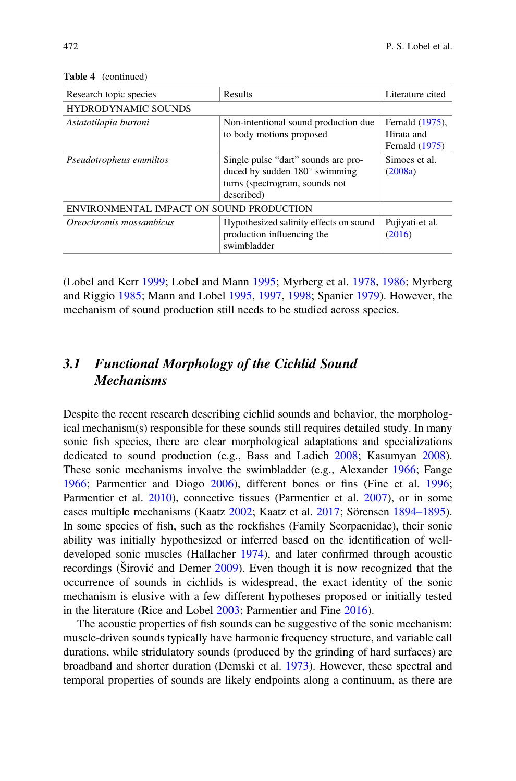| Research topic species                   | Results                                                                                                                     | Literature cited                                |
|------------------------------------------|-----------------------------------------------------------------------------------------------------------------------------|-------------------------------------------------|
| <b>HYDRODYNAMIC SOUNDS</b>               |                                                                                                                             |                                                 |
| Astatotilapia burtoni                    | Non-intentional sound production due<br>to body motions proposed                                                            | Fernald (1975),<br>Hirata and<br>Fernald (1975) |
| Pseudotropheus emmiltos                  | Single pulse "dart" sounds are pro-<br>duced by sudden $180^\circ$ swimming<br>turns (spectrogram, sounds not<br>described) | Simoes et al.<br>(2008a)                        |
| ENVIRONMENTAL IMPACT ON SOUND PRODUCTION |                                                                                                                             |                                                 |
| Oreochromis mossambicus                  | Hypothesized salinity effects on sound<br>production influencing the<br>swimbladder                                         | Pujiyati et al.<br>(2016)                       |

Table 4 (continued)

(Lobel and Kerr 1999; Lobel and Mann 1995; Myrberg et al. 1978, 1986; Myrberg and Riggio 1985; Mann and Lobel 1995, 1997, 1998; Spanier 1979). However, the mechanism of sound production still needs to be studied across species.

# 3.1 Functional Morphology of the Cichlid Sound Mechanisms

Despite the recent research describing cichlid sounds and behavior, the morphological mechanism(s) responsible for these sounds still requires detailed study. In many sonic fish species, there are clear morphological adaptations and specializations dedicated to sound production (e.g., Bass and Ladich 2008; Kasumyan 2008). These sonic mechanisms involve the swimbladder (e.g., Alexander 1966; Fange 1966; Parmentier and Diogo 2006), different bones or fins (Fine et al. 1996; Parmentier et al. 2010), connective tissues (Parmentier et al. 2007), or in some cases multiple mechanisms (Kaatz 2002; Kaatz et al. 2017; Sörensen 1894–1895). In some species of fish, such as the rockfishes (Family Scorpaenidae), their sonic ability was initially hypothesized or inferred based on the identification of welldeveloped sonic muscles (Hallacher 1974), and later confirmed through acoustic recordings (Širović and Demer 2009). Even though it is now recognized that the occurrence of sounds in cichlids is widespread, the exact identity of the sonic mechanism is elusive with a few different hypotheses proposed or initially tested in the literature (Rice and Lobel 2003; Parmentier and Fine 2016).

The acoustic properties of fish sounds can be suggestive of the sonic mechanism: muscle-driven sounds typically have harmonic frequency structure, and variable call durations, while stridulatory sounds (produced by the grinding of hard surfaces) are broadband and shorter duration (Demski et al. 1973). However, these spectral and temporal properties of sounds are likely endpoints along a continuum, as there are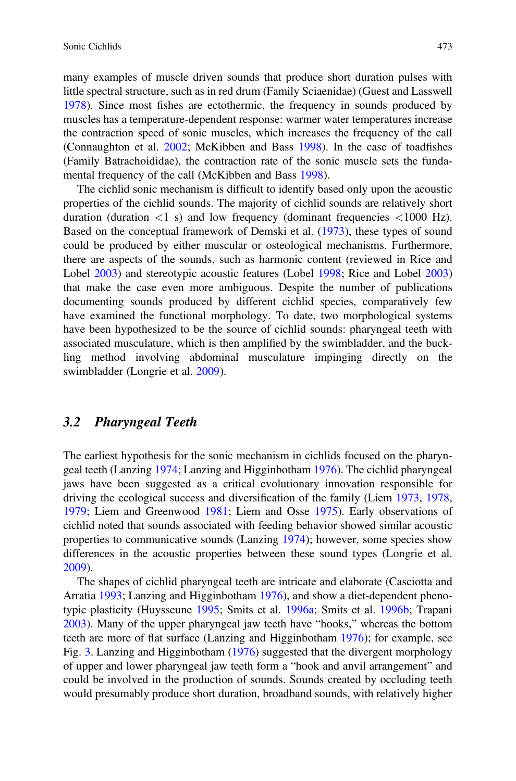many examples of muscle driven sounds that produce short duration pulses with little spectral structure, such as in red drum (Family Sciaenidae) (Guest and Lasswell 1978). Since most fishes are ectothermic, the frequency in sounds produced by muscles has a temperature-dependent response: warmer water temperatures increase the contraction speed of sonic muscles, which increases the frequency of the call (Connaughton et al. 2002; McKibben and Bass 1998). In the case of toadfishes (Family Batrachoididae), the contraction rate of the sonic muscle sets the fundamental frequency of the call (McKibben and Bass 1998).

The cichlid sonic mechanism is difficult to identify based only upon the acoustic properties of the cichlid sounds. The majority of cichlid sounds are relatively short duration (duration  $\langle 1 \rangle$  s) and low frequency (dominant frequencies  $\langle 1000 \rangle$  Hz). Based on the conceptual framework of Demski et al. (1973), these types of sound could be produced by either muscular or osteological mechanisms. Furthermore, there are aspects of the sounds, such as harmonic content (reviewed in Rice and Lobel 2003) and stereotypic acoustic features (Lobel 1998; Rice and Lobel 2003) that make the case even more ambiguous. Despite the number of publications documenting sounds produced by different cichlid species, comparatively few have examined the functional morphology. To date, two morphological systems have been hypothesized to be the source of cichlid sounds: pharyngeal teeth with associated musculature, which is then amplified by the swimbladder, and the buckling method involving abdominal musculature impinging directly on the swimbladder (Longrie et al. 2009).

#### 3.2 Pharyngeal Teeth

The earliest hypothesis for the sonic mechanism in cichlids focused on the pharyngeal teeth (Lanzing 1974; Lanzing and Higginbotham 1976). The cichlid pharyngeal jaws have been suggested as a critical evolutionary innovation responsible for driving the ecological success and diversification of the family (Liem 1973, 1978, 1979; Liem and Greenwood 1981; Liem and Osse 1975). Early observations of cichlid noted that sounds associated with feeding behavior showed similar acoustic properties to communicative sounds (Lanzing 1974); however, some species show differences in the acoustic properties between these sound types (Longrie et al. 2009).

The shapes of cichlid pharyngeal teeth are intricate and elaborate (Casciotta and Arratia 1993; Lanzing and Higginbotham 1976), and show a diet-dependent phenotypic plasticity (Huysseune 1995; Smits et al. 1996a; Smits et al. 1996b; Trapani 2003). Many of the upper pharyngeal jaw teeth have "hooks," whereas the bottom teeth are more of flat surface (Lanzing and Higginbotham 1976); for example, see Fig. 3. Lanzing and Higginbotham (1976) suggested that the divergent morphology of upper and lower pharyngeal jaw teeth form a "hook and anvil arrangement" and could be involved in the production of sounds. Sounds created by occluding teeth would presumably produce short duration, broadband sounds, with relatively higher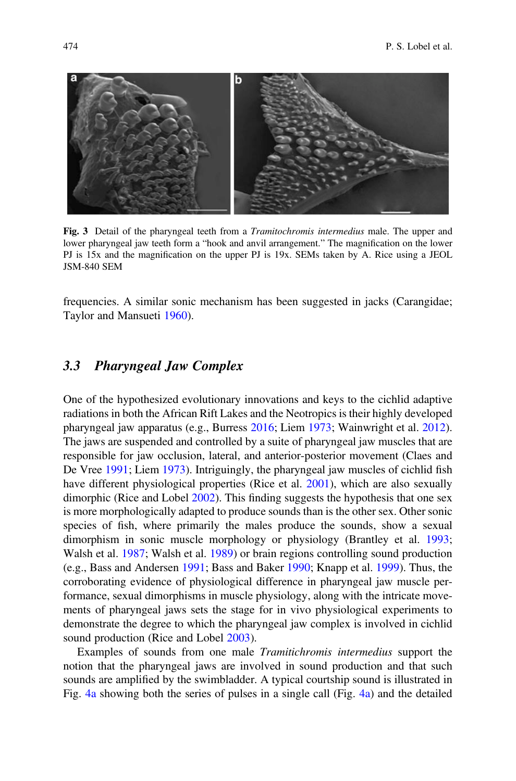

Fig. 3 Detail of the pharyngeal teeth from a *Tramitochromis intermedius* male. The upper and lower pharyngeal jaw teeth form a "hook and anvil arrangement." The magnification on the lower PJ is 15x and the magnification on the upper PJ is 19x. SEMs taken by A. Rice using a JEOL JSM-840 SEM

frequencies. A similar sonic mechanism has been suggested in jacks (Carangidae; Taylor and Mansueti 1960).

#### 3.3 Pharyngeal Jaw Complex

One of the hypothesized evolutionary innovations and keys to the cichlid adaptive radiations in both the African Rift Lakes and the Neotropics is their highly developed pharyngeal jaw apparatus (e.g., Burress 2016; Liem 1973; Wainwright et al. 2012). The jaws are suspended and controlled by a suite of pharyngeal jaw muscles that are responsible for jaw occlusion, lateral, and anterior-posterior movement (Claes and De Vree 1991; Liem 1973). Intriguingly, the pharyngeal jaw muscles of cichlid fish have different physiological properties (Rice et al. 2001), which are also sexually dimorphic (Rice and Lobel 2002). This finding suggests the hypothesis that one sex is more morphologically adapted to produce sounds than is the other sex. Other sonic species of fish, where primarily the males produce the sounds, show a sexual dimorphism in sonic muscle morphology or physiology (Brantley et al. 1993; Walsh et al. 1987; Walsh et al. 1989) or brain regions controlling sound production (e.g., Bass and Andersen 1991; Bass and Baker 1990; Knapp et al. 1999). Thus, the corroborating evidence of physiological difference in pharyngeal jaw muscle performance, sexual dimorphisms in muscle physiology, along with the intricate movements of pharyngeal jaws sets the stage for in vivo physiological experiments to demonstrate the degree to which the pharyngeal jaw complex is involved in cichlid sound production (Rice and Lobel 2003).

Examples of sounds from one male Tramitichromis intermedius support the notion that the pharyngeal jaws are involved in sound production and that such sounds are amplified by the swimbladder. A typical courtship sound is illustrated in Fig. 4a showing both the series of pulses in a single call (Fig. 4a) and the detailed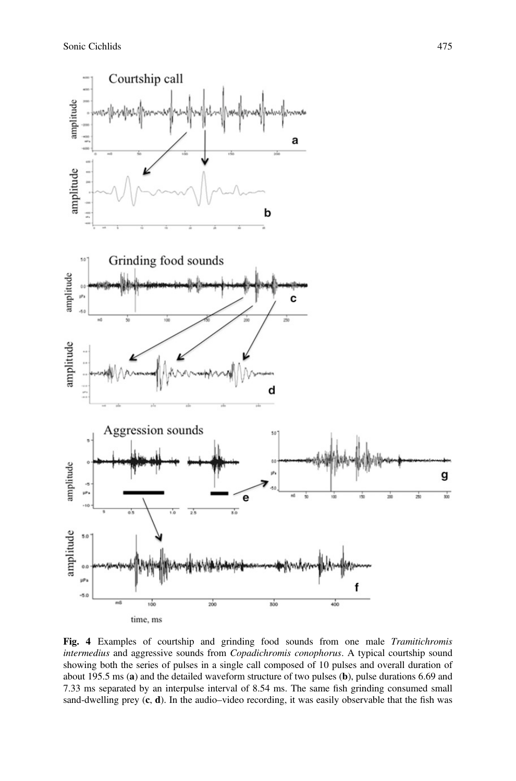

Fig. 4 Examples of courtship and grinding food sounds from one male Tramitichromis intermedius and aggressive sounds from Copadichromis conophorus. A typical courtship sound showing both the series of pulses in a single call composed of 10 pulses and overall duration of about 195.5 ms (a) and the detailed waveform structure of two pulses (b), pulse durations 6.69 and 7.33 ms separated by an interpulse interval of 8.54 ms. The same fish grinding consumed small sand-dwelling prey  $(c, d)$ . In the audio–video recording, it was easily observable that the fish was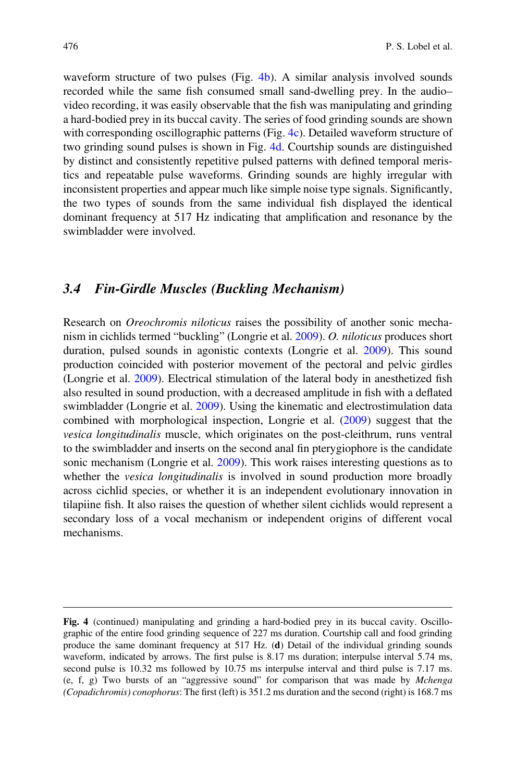waveform structure of two pulses (Fig. 4b). A similar analysis involved sounds recorded while the same fish consumed small sand-dwelling prey. In the audio– video recording, it was easily observable that the fish was manipulating and grinding a hard-bodied prey in its buccal cavity. The series of food grinding sounds are shown with corresponding oscillographic patterns (Fig. 4c). Detailed waveform structure of two grinding sound pulses is shown in Fig. 4d. Courtship sounds are distinguished by distinct and consistently repetitive pulsed patterns with defined temporal meristics and repeatable pulse waveforms. Grinding sounds are highly irregular with inconsistent properties and appear much like simple noise type signals. Significantly, the two types of sounds from the same individual fish displayed the identical dominant frequency at 517 Hz indicating that amplification and resonance by the swimbladder were involved.

#### 3.4 Fin-Girdle Muscles (Buckling Mechanism)

Research on Oreochromis niloticus raises the possibility of another sonic mechanism in cichlids termed "buckling" (Longrie et al. 2009). O. niloticus produces short duration, pulsed sounds in agonistic contexts (Longrie et al. 2009). This sound production coincided with posterior movement of the pectoral and pelvic girdles (Longrie et al. 2009). Electrical stimulation of the lateral body in anesthetized fish also resulted in sound production, with a decreased amplitude in fish with a deflated swimbladder (Longrie et al. 2009). Using the kinematic and electrostimulation data combined with morphological inspection, Longrie et al. (2009) suggest that the vesica longitudinalis muscle, which originates on the post-cleithrum, runs ventral to the swimbladder and inserts on the second anal fin pterygiophore is the candidate sonic mechanism (Longrie et al. 2009). This work raises interesting questions as to whether the *vesica longitudinalis* is involved in sound production more broadly across cichlid species, or whether it is an independent evolutionary innovation in tilapiine fish. It also raises the question of whether silent cichlids would represent a secondary loss of a vocal mechanism or independent origins of different vocal mechanisms.

Fig. 4 (continued) manipulating and grinding a hard-bodied prey in its buccal cavity. Oscillographic of the entire food grinding sequence of 227 ms duration. Courtship call and food grinding produce the same dominant frequency at 517 Hz. (d) Detail of the individual grinding sounds waveform, indicated by arrows. The first pulse is 8.17 ms duration; interpulse interval 5.74 ms, second pulse is 10.32 ms followed by 10.75 ms interpulse interval and third pulse is 7.17 ms. (e, f, g) Two bursts of an "aggressive sound" for comparison that was made by Mchenga (Copadichromis) conophorus: The first (left) is 351.2 ms duration and the second (right) is 168.7 ms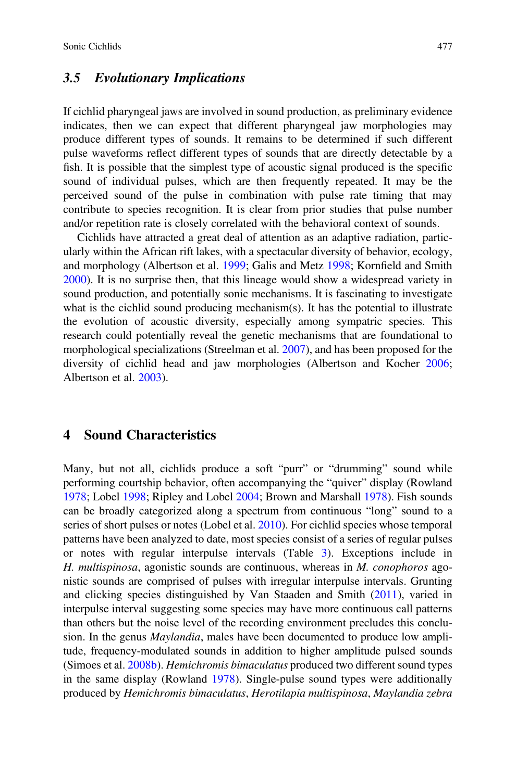#### 3.5 Evolutionary Implications

If cichlid pharyngeal jaws are involved in sound production, as preliminary evidence indicates, then we can expect that different pharyngeal jaw morphologies may produce different types of sounds. It remains to be determined if such different pulse waveforms reflect different types of sounds that are directly detectable by a fish. It is possible that the simplest type of acoustic signal produced is the specific sound of individual pulses, which are then frequently repeated. It may be the perceived sound of the pulse in combination with pulse rate timing that may contribute to species recognition. It is clear from prior studies that pulse number and/or repetition rate is closely correlated with the behavioral context of sounds.

Cichlids have attracted a great deal of attention as an adaptive radiation, particularly within the African rift lakes, with a spectacular diversity of behavior, ecology, and morphology (Albertson et al. 1999; Galis and Metz 1998; Kornfield and Smith 2000). It is no surprise then, that this lineage would show a widespread variety in sound production, and potentially sonic mechanisms. It is fascinating to investigate what is the cichlid sound producing mechanism(s). It has the potential to illustrate the evolution of acoustic diversity, especially among sympatric species. This research could potentially reveal the genetic mechanisms that are foundational to morphological specializations (Streelman et al. 2007), and has been proposed for the diversity of cichlid head and jaw morphologies (Albertson and Kocher 2006; Albertson et al. 2003).

#### 4 Sound Characteristics

Many, but not all, cichlids produce a soft "purr" or "drumming" sound while performing courtship behavior, often accompanying the "quiver" display (Rowland 1978; Lobel 1998; Ripley and Lobel 2004; Brown and Marshall 1978). Fish sounds can be broadly categorized along a spectrum from continuous "long" sound to a series of short pulses or notes (Lobel et al. 2010). For cichlid species whose temporal patterns have been analyzed to date, most species consist of a series of regular pulses or notes with regular interpulse intervals (Table 3). Exceptions include in H. multispinosa, agonistic sounds are continuous, whereas in M. conophoros agonistic sounds are comprised of pulses with irregular interpulse intervals. Grunting and clicking species distinguished by Van Staaden and Smith (2011), varied in interpulse interval suggesting some species may have more continuous call patterns than others but the noise level of the recording environment precludes this conclusion. In the genus *Maylandia*, males have been documented to produce low amplitude, frequency-modulated sounds in addition to higher amplitude pulsed sounds (Simoes et al. 2008b). Hemichromis bimaculatus produced two different sound types in the same display (Rowland 1978). Single-pulse sound types were additionally produced by Hemichromis bimaculatus, Herotilapia multispinosa, Maylandia zebra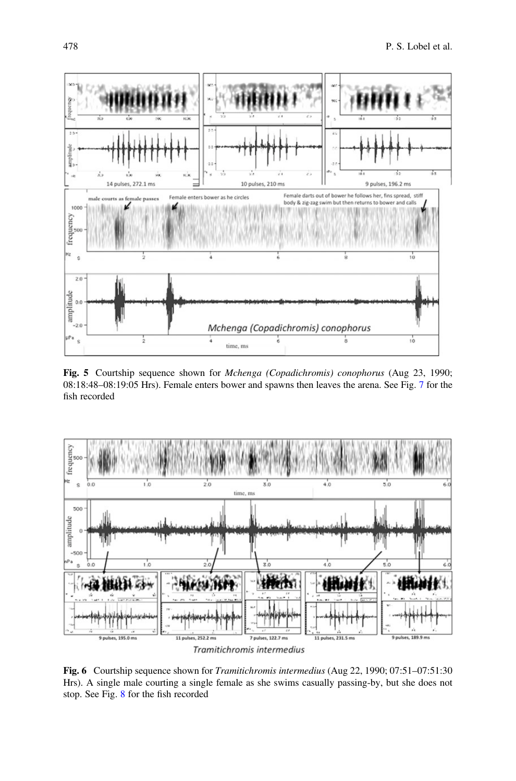

Fig. 5 Courtship sequence shown for Mchenga (Copadichromis) conophorus (Aug 23, 1990; 08:18:48–08:19:05 Hrs). Female enters bower and spawns then leaves the arena. See Fig. 7 for the fish recorded



Fig. 6 Courtship sequence shown for *Tramitichromis intermedius* (Aug 22, 1990; 07:51–07:51:30) Hrs). A single male courting a single female as she swims casually passing-by, but she does not stop. See Fig. 8 for the fish recorded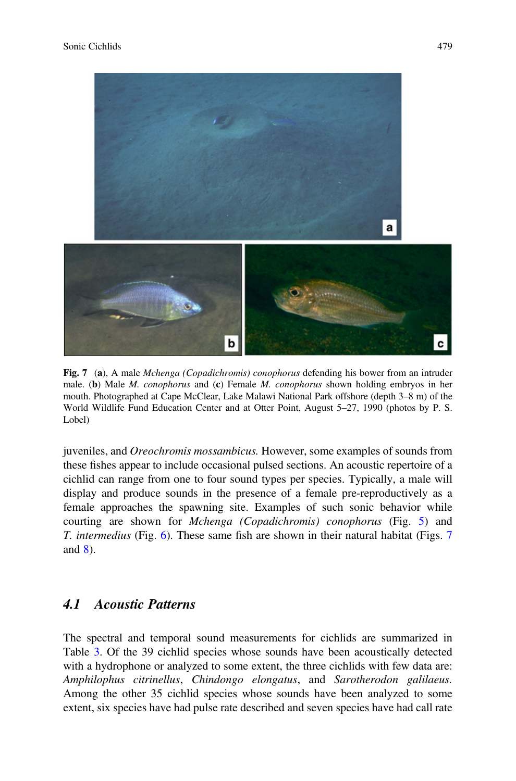

Fig. 7 (a), A male Mchenga (Copadichromis) conophorus defending his bower from an intruder male. (b) Male *M. conophorus* and (c) Female *M. conophorus* shown holding embryos in her mouth. Photographed at Cape McClear, Lake Malawi National Park offshore (depth 3–8 m) of the World Wildlife Fund Education Center and at Otter Point, August 5–27, 1990 (photos by P. S. Lobel)

juveniles, and Oreochromis mossambicus. However, some examples of sounds from these fishes appear to include occasional pulsed sections. An acoustic repertoire of a cichlid can range from one to four sound types per species. Typically, a male will display and produce sounds in the presence of a female pre-reproductively as a female approaches the spawning site. Examples of such sonic behavior while courting are shown for Mchenga (Copadichromis) conophorus (Fig. 5) and T. intermedius (Fig. 6). These same fish are shown in their natural habitat (Figs. 7 and 8).

# 4.1 Acoustic Patterns

The spectral and temporal sound measurements for cichlids are summarized in Table 3. Of the 39 cichlid species whose sounds have been acoustically detected with a hydrophone or analyzed to some extent, the three cichlids with few data are: Amphilophus citrinellus, Chindongo elongatus, and Sarotherodon galilaeus. Among the other 35 cichlid species whose sounds have been analyzed to some extent, six species have had pulse rate described and seven species have had call rate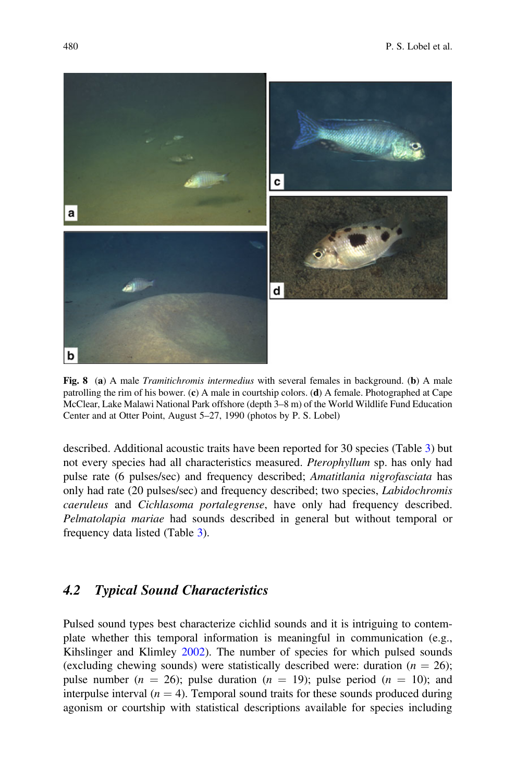

Fig. 8 (a) A male *Tramitichromis intermedius* with several females in background. (b) A male patrolling the rim of his bower.  $(c)$  A male in courtship colors.  $(d)$  A female. Photographed at Cape McClear, Lake Malawi National Park offshore (depth 3–8 m) of the World Wildlife Fund Education Center and at Otter Point, August 5–27, 1990 (photos by P. S. Lobel)

described. Additional acoustic traits have been reported for 30 species (Table 3) but not every species had all characteristics measured. Pterophyllum sp. has only had pulse rate (6 pulses/sec) and frequency described; Amatitlania nigrofasciata has only had rate (20 pulses/sec) and frequency described; two species, Labidochromis caeruleus and Cichlasoma portalegrense, have only had frequency described. Pelmatolapia mariae had sounds described in general but without temporal or frequency data listed (Table 3).

#### 4.2 Typical Sound Characteristics

Pulsed sound types best characterize cichlid sounds and it is intriguing to contemplate whether this temporal information is meaningful in communication (e.g., Kihslinger and Klimley 2002). The number of species for which pulsed sounds (excluding chewing sounds) were statistically described were: duration ( $n = 26$ ); pulse number ( $n = 26$ ); pulse duration ( $n = 19$ ); pulse period ( $n = 10$ ); and interpulse interval  $(n = 4)$ . Temporal sound traits for these sounds produced during agonism or courtship with statistical descriptions available for species including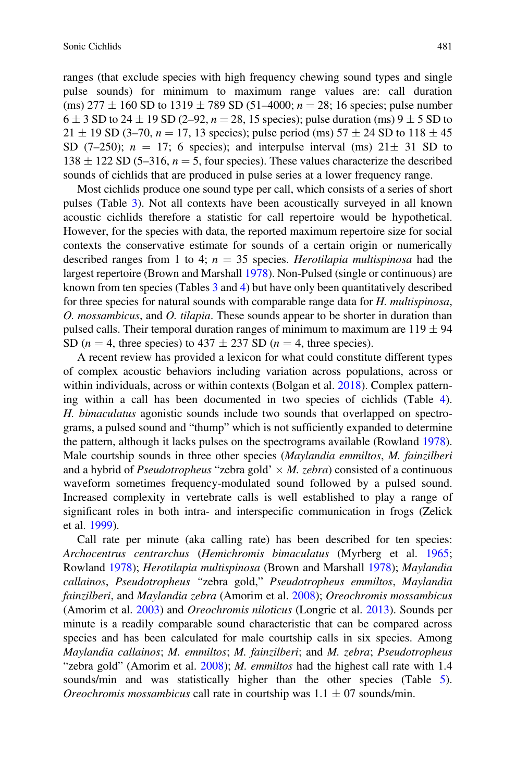ranges (that exclude species with high frequency chewing sound types and single pulse sounds) for minimum to maximum range values are: call duration (ms)  $277 \pm 160$  SD to  $1319 \pm 789$  SD (51–4000;  $n = 28$ ; 16 species; pulse number  $6 \pm 3$  SD to 24  $\pm$  19 SD (2–92,  $n = 28$ , 15 species); pulse duration (ms) 9  $\pm$  5 SD to  $21 \pm 19$  SD (3-70,  $n = 17$ , 13 species); pulse period (ms)  $57 \pm 24$  SD to  $118 \pm 45$ SD (7-250);  $n = 17$ ; 6 species); and interpulse interval (ms)  $21 \pm 31$  SD to  $138 \pm 122$  SD (5–316,  $n = 5$ , four species). These values characterize the described sounds of cichlids that are produced in pulse series at a lower frequency range.

Most cichlids produce one sound type per call, which consists of a series of short pulses (Table 3). Not all contexts have been acoustically surveyed in all known acoustic cichlids therefore a statistic for call repertoire would be hypothetical. However, for the species with data, the reported maximum repertoire size for social contexts the conservative estimate for sounds of a certain origin or numerically described ranges from 1 to 4;  $n = 35$  species. Herotilapia multispinosa had the largest repertoire (Brown and Marshall 1978). Non-Pulsed (single or continuous) are known from ten species (Tables 3 and 4) but have only been quantitatively described for three species for natural sounds with comparable range data for H. multispinosa, O. mossambicus, and O. tilapia. These sounds appear to be shorter in duration than pulsed calls. Their temporal duration ranges of minimum to maximum are  $119 \pm 94$ SD ( $n = 4$ , three species) to 437  $\pm$  237 SD ( $n = 4$ , three species).

A recent review has provided a lexicon for what could constitute different types of complex acoustic behaviors including variation across populations, across or within individuals, across or within contexts (Bolgan et al. 2018). Complex patterning within a call has been documented in two species of cichlids (Table 4). H. bimaculatus agonistic sounds include two sounds that overlapped on spectrograms, a pulsed sound and "thump" which is not sufficiently expanded to determine the pattern, although it lacks pulses on the spectrograms available (Rowland 1978). Male courtship sounds in three other species (Maylandia emmiltos, M. fainzilberi and a hybrid of *Pseudotropheus* "zebra gold'  $\times$  *M. zebra*) consisted of a continuous waveform sometimes frequency-modulated sound followed by a pulsed sound. Increased complexity in vertebrate calls is well established to play a range of significant roles in both intra- and interspecific communication in frogs (Zelick et al. 1999).

Call rate per minute (aka calling rate) has been described for ten species: Archocentrus centrarchus (Hemichromis bimaculatus (Myrberg et al. 1965; Rowland 1978); Herotilapia multispinosa (Brown and Marshall 1978); Maylandia callainos, Pseudotropheus "zebra gold," Pseudotropheus emmiltos, Maylandia fainzilberi, and Maylandia zebra (Amorim et al. 2008); Oreochromis mossambicus (Amorim et al. 2003) and Oreochromis niloticus (Longrie et al. 2013). Sounds per minute is a readily comparable sound characteristic that can be compared across species and has been calculated for male courtship calls in six species. Among Maylandia callainos; M. emmiltos; M. fainzilberi; and M. zebra; Pseudotropheus "zebra gold" (Amorim et al.  $2008$ ); *M. emmiltos* had the highest call rate with 1.4 sounds/min and was statistically higher than the other species (Table 5). *Oreochromis mossambicus* call rate in courtship was  $1.1 \pm 07$  sounds/min.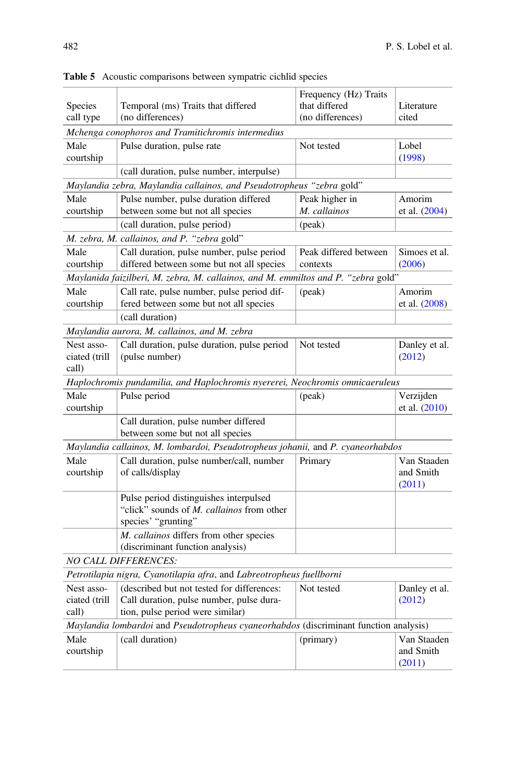| Species<br>call type                 | Temporal (ms) Traits that differed<br>(no differences)                                                                     | Frequency (Hz) Traits<br>that differed<br>(no differences) | Literature<br>cited                |
|--------------------------------------|----------------------------------------------------------------------------------------------------------------------------|------------------------------------------------------------|------------------------------------|
|                                      | Mchenga conophoros and Tramitichromis intermedius                                                                          |                                                            |                                    |
| Male<br>courtship                    | Pulse duration, pulse rate                                                                                                 | Not tested                                                 | Lobel<br>(1998)                    |
|                                      | (call duration, pulse number, interpulse)                                                                                  |                                                            |                                    |
|                                      | Maylandia zebra, Maylandia callainos, and Pseudotropheus "zebra gold"                                                      |                                                            |                                    |
| Male                                 | Pulse number, pulse duration differed                                                                                      | Peak higher in                                             | Amorim                             |
| courtship                            | between some but not all species                                                                                           | M. callainos                                               | et al. $(2004)$                    |
|                                      | (call duration, pulse period)                                                                                              | (peak)                                                     |                                    |
|                                      | M. zebra, M. callainos, and P. "zebra gold"                                                                                |                                                            |                                    |
| Male<br>courtship                    | Call duration, pulse number, pulse period<br>differed between some but not all species                                     | Peak differed between<br>contexts                          | Simoes et al.<br>(2006)            |
|                                      | Maylanida faizilberi, M. zebra, M. callainos, and M. emmiltos and P. "zebra gold"                                          |                                                            |                                    |
| Male<br>courtship                    | Call rate, pulse number, pulse period dif-<br>fered between some but not all species                                       | (peak)                                                     | Amorim<br>et al. $(2008)$          |
|                                      | (call duration)                                                                                                            |                                                            |                                    |
|                                      | Maylandia aurora, M. callainos, and M. zebra                                                                               |                                                            |                                    |
| Nest asso-<br>ciated (trill<br>call) | Call duration, pulse duration, pulse period<br>(pulse number)                                                              | Not tested                                                 | Danley et al.<br>(2012)            |
|                                      | Haplochromis pundamilia, and Haplochromis nyererei, Neochromis omnicaeruleus                                               |                                                            |                                    |
| Male<br>courtship                    | Pulse period                                                                                                               | (peak)                                                     | Verzijden<br>et al. (2010)         |
|                                      | Call duration, pulse number differed<br>between some but not all species                                                   |                                                            |                                    |
|                                      | Maylandia callainos, M. lombardoi, Pseudotropheus johanii, and P. cyaneorhabdos                                            |                                                            |                                    |
| Male<br>courtship                    | Call duration, pulse number/call, number<br>of calls/display                                                               | Primary                                                    | Van Staaden<br>and Smith<br>(2011) |
|                                      | Pulse period distinguishes interpulsed<br>"click" sounds of M. callainos from other<br>species' "grunting"                 |                                                            |                                    |
|                                      | M. callainos differs from other species<br>(discriminant function analysis)                                                |                                                            |                                    |
|                                      | <b>NO CALL DIFFERENCES:</b>                                                                                                |                                                            |                                    |
|                                      | Petrotilapia nigra, Cyanotilapia afra, and Labreotropheus fuellborni                                                       |                                                            |                                    |
| Nest asso-<br>ciated (trill<br>call) | (described but not tested for differences:<br>Call duration, pulse number, pulse dura-<br>tion, pulse period were similar) | Not tested                                                 | Danley et al.<br>(2012)            |
|                                      | Maylandia lombardoi and Pseudotropheus cyaneorhabdos (discriminant function analysis)                                      |                                                            |                                    |
| Male<br>courtship                    | (call duration)                                                                                                            | (primary)                                                  | Van Staaden<br>and Smith<br>(2011) |

Table 5 Acoustic comparisons between sympatric cichlid species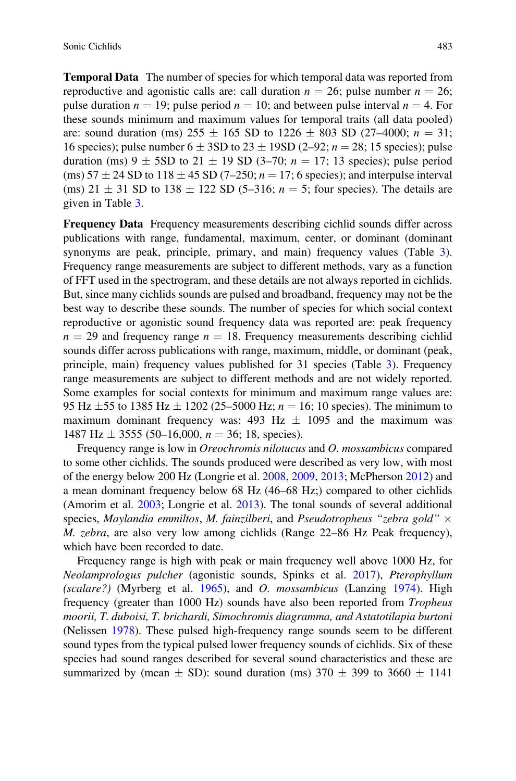Temporal Data The number of species for which temporal data was reported from reproductive and agonistic calls are: call duration  $n = 26$ ; pulse number  $n = 26$ ; pulse duration  $n = 19$ ; pulse period  $n = 10$ ; and between pulse interval  $n = 4$ . For these sounds minimum and maximum values for temporal traits (all data pooled) are: sound duration (ms)  $255 \pm 165$  SD to  $1226 \pm 803$  SD (27-4000;  $n = 31$ ; 16 species); pulse number  $6 \pm 3SD$  to  $23 \pm 19SD$  (2–92;  $n = 28$ ; 15 species); pulse duration (ms)  $9 \pm 5SD$  to  $21 \pm 19$  SD (3-70;  $n = 17$ ; 13 species); pulse period (ms)  $57 \pm 24$  SD to  $118 \pm 45$  SD (7-250;  $n = 17$ ; 6 species); and interpulse interval (ms)  $21 \pm 31$  SD to  $138 \pm 122$  SD (5–316;  $n = 5$ ; four species). The details are given in Table 3.

Frequency Data Frequency measurements describing cichlid sounds differ across publications with range, fundamental, maximum, center, or dominant (dominant synonyms are peak, principle, primary, and main) frequency values (Table 3). Frequency range measurements are subject to different methods, vary as a function of FFT used in the spectrogram, and these details are not always reported in cichlids. But, since many cichlids sounds are pulsed and broadband, frequency may not be the best way to describe these sounds. The number of species for which social context reproductive or agonistic sound frequency data was reported are: peak frequency  $n = 29$  and frequency range  $n = 18$ . Frequency measurements describing cichlid sounds differ across publications with range, maximum, middle, or dominant (peak, principle, main) frequency values published for 31 species (Table 3). Frequency range measurements are subject to different methods and are not widely reported. Some examples for social contexts for minimum and maximum range values are: 95 Hz  $\pm$  55 to 1385 Hz  $\pm$  1202 (25–5000 Hz;  $n = 16$ ; 10 species). The minimum to maximum dominant frequency was:  $493$  Hz  $\pm$  1095 and the maximum was 1487 Hz  $\pm$  3555 (50–16,000,  $n = 36$ ; 18, species).

Frequency range is low in Oreochromis nilotucus and O. mossambicus compared to some other cichlids. The sounds produced were described as very low, with most of the energy below 200 Hz (Longrie et al. 2008, 2009, 2013; McPherson 2012) and a mean dominant frequency below 68 Hz (46–68 Hz;) compared to other cichlids (Amorim et al. 2003; Longrie et al. 2013). The tonal sounds of several additional species, Maylandia emmiltos, M. fainzilberi, and Pseudotropheus "zebra gold"  $\times$ M. zebra, are also very low among cichlids (Range 22–86 Hz Peak frequency), which have been recorded to date.

Frequency range is high with peak or main frequency well above 1000 Hz, for Neolamprologus pulcher (agonistic sounds, Spinks et al. 2017), Pterophyllum (scalare?) (Myrberg et al. 1965), and O. mossambicus (Lanzing 1974). High frequency (greater than 1000 Hz) sounds have also been reported from Tropheus moorii, T. duboisi, T. brichardi, Simochromis diagramma, and Astatotilapia burtoni (Nelissen 1978). These pulsed high-frequency range sounds seem to be different sound types from the typical pulsed lower frequency sounds of cichlids. Six of these species had sound ranges described for several sound characteristics and these are summarized by (mean  $\pm$  SD): sound duration (ms) 370  $\pm$  399 to 3660  $\pm$  1141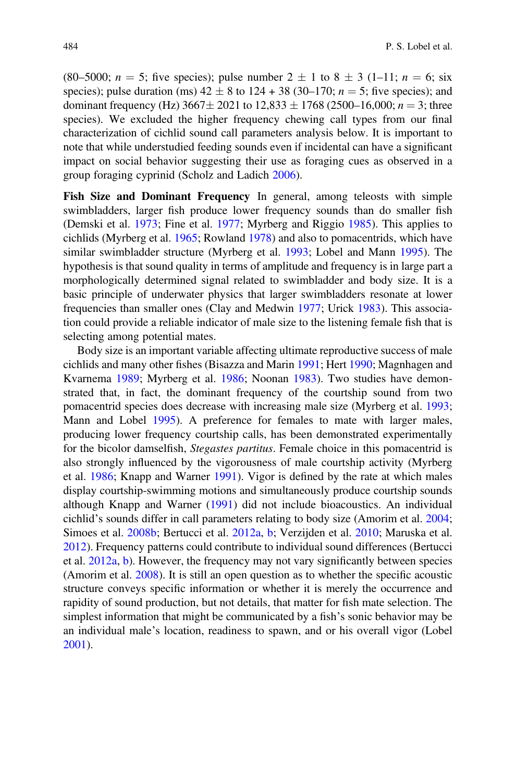(80–5000;  $n = 5$ ; five species); pulse number  $2 \pm 1$  to  $8 \pm 3$  (1–11;  $n = 6$ ; six species); pulse duration (ms)  $42 \pm 8$  to  $124 + 38$  (30–170;  $n = 5$ ; five species); and dominant frequency (Hz)  $3667 \pm 2021$  to  $12,833 \pm 1768$  (2500–16,000;  $n = 3$ ; three species). We excluded the higher frequency chewing call types from our final characterization of cichlid sound call parameters analysis below. It is important to note that while understudied feeding sounds even if incidental can have a significant impact on social behavior suggesting their use as foraging cues as observed in a group foraging cyprinid (Scholz and Ladich 2006).

Fish Size and Dominant Frequency In general, among teleosts with simple swimbladders, larger fish produce lower frequency sounds than do smaller fish (Demski et al. 1973; Fine et al. 1977; Myrberg and Riggio 1985). This applies to cichlids (Myrberg et al. 1965; Rowland 1978) and also to pomacentrids, which have similar swimbladder structure (Myrberg et al. 1993; Lobel and Mann 1995). The hypothesis is that sound quality in terms of amplitude and frequency is in large part a morphologically determined signal related to swimbladder and body size. It is a basic principle of underwater physics that larger swimbladders resonate at lower frequencies than smaller ones (Clay and Medwin 1977; Urick 1983). This association could provide a reliable indicator of male size to the listening female fish that is selecting among potential mates.

Body size is an important variable affecting ultimate reproductive success of male cichlids and many other fishes (Bisazza and Marin 1991; Hert 1990; Magnhagen and Kvarnema 1989; Myrberg et al. 1986; Noonan 1983). Two studies have demonstrated that, in fact, the dominant frequency of the courtship sound from two pomacentrid species does decrease with increasing male size (Myrberg et al. 1993; Mann and Lobel 1995). A preference for females to mate with larger males, producing lower frequency courtship calls, has been demonstrated experimentally for the bicolor damselfish, Stegastes partitus. Female choice in this pomacentrid is also strongly influenced by the vigorousness of male courtship activity (Myrberg et al. 1986; Knapp and Warner 1991). Vigor is defined by the rate at which males display courtship-swimming motions and simultaneously produce courtship sounds although Knapp and Warner (1991) did not include bioacoustics. An individual cichlid's sounds differ in call parameters relating to body size (Amorim et al. 2004; Simoes et al. 2008b; Bertucci et al. 2012a, b; Verzijden et al. 2010; Maruska et al. 2012). Frequency patterns could contribute to individual sound differences (Bertucci et al. 2012a, b). However, the frequency may not vary significantly between species (Amorim et al. 2008). It is still an open question as to whether the specific acoustic structure conveys specific information or whether it is merely the occurrence and rapidity of sound production, but not details, that matter for fish mate selection. The simplest information that might be communicated by a fish's sonic behavior may be an individual male's location, readiness to spawn, and or his overall vigor (Lobel 2001).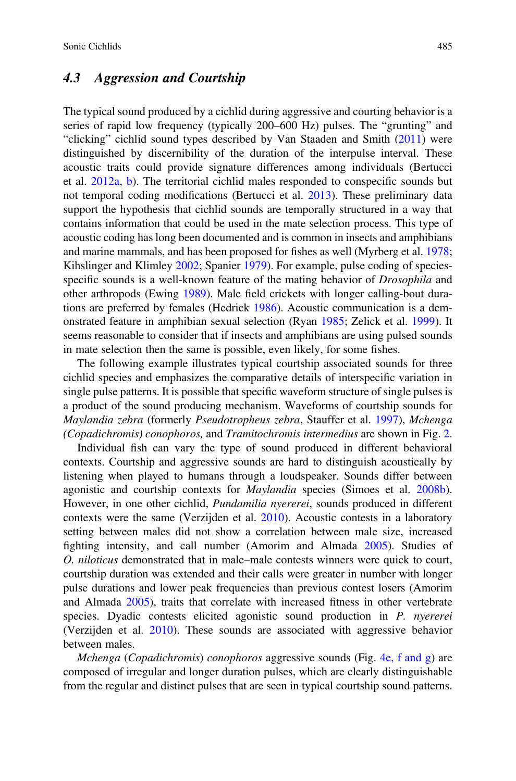#### 4.3 Aggression and Courtship

The typical sound produced by a cichlid during aggressive and courting behavior is a series of rapid low frequency (typically 200–600 Hz) pulses. The "grunting" and "clicking" cichlid sound types described by Van Staaden and Smith (2011) were distinguished by discernibility of the duration of the interpulse interval. These acoustic traits could provide signature differences among individuals (Bertucci et al. 2012a, b). The territorial cichlid males responded to conspecific sounds but not temporal coding modifications (Bertucci et al. 2013). These preliminary data support the hypothesis that cichlid sounds are temporally structured in a way that contains information that could be used in the mate selection process. This type of acoustic coding has long been documented and is common in insects and amphibians and marine mammals, and has been proposed for fishes as well (Myrberg et al. 1978; Kihslinger and Klimley 2002; Spanier 1979). For example, pulse coding of speciesspecific sounds is a well-known feature of the mating behavior of Drosophila and other arthropods (Ewing 1989). Male field crickets with longer calling-bout durations are preferred by females (Hedrick 1986). Acoustic communication is a demonstrated feature in amphibian sexual selection (Ryan 1985; Zelick et al. 1999). It seems reasonable to consider that if insects and amphibians are using pulsed sounds in mate selection then the same is possible, even likely, for some fishes.

The following example illustrates typical courtship associated sounds for three cichlid species and emphasizes the comparative details of interspecific variation in single pulse patterns. It is possible that specific waveform structure of single pulses is a product of the sound producing mechanism. Waveforms of courtship sounds for Maylandia zebra (formerly Pseudotropheus zebra, Stauffer et al. 1997), Mchenga (Copadichromis) conophoros, and Tramitochromis intermedius are shown in Fig. 2.

Individual fish can vary the type of sound produced in different behavioral contexts. Courtship and aggressive sounds are hard to distinguish acoustically by listening when played to humans through a loudspeaker. Sounds differ between agonistic and courtship contexts for Maylandia species (Simoes et al. 2008b). However, in one other cichlid, Pundamilia nyererei, sounds produced in different contexts were the same (Verzijden et al. 2010). Acoustic contests in a laboratory setting between males did not show a correlation between male size, increased fighting intensity, and call number (Amorim and Almada 2005). Studies of O. niloticus demonstrated that in male–male contests winners were quick to court, courtship duration was extended and their calls were greater in number with longer pulse durations and lower peak frequencies than previous contest losers (Amorim and Almada 2005), traits that correlate with increased fitness in other vertebrate species. Dyadic contests elicited agonistic sound production in *P. nyererei* (Verzijden et al. 2010). These sounds are associated with aggressive behavior between males.

*Mchenga* (*Copadichromis*) *conophoros* aggressive sounds (Fig. 4e, f and g) are composed of irregular and longer duration pulses, which are clearly distinguishable from the regular and distinct pulses that are seen in typical courtship sound patterns.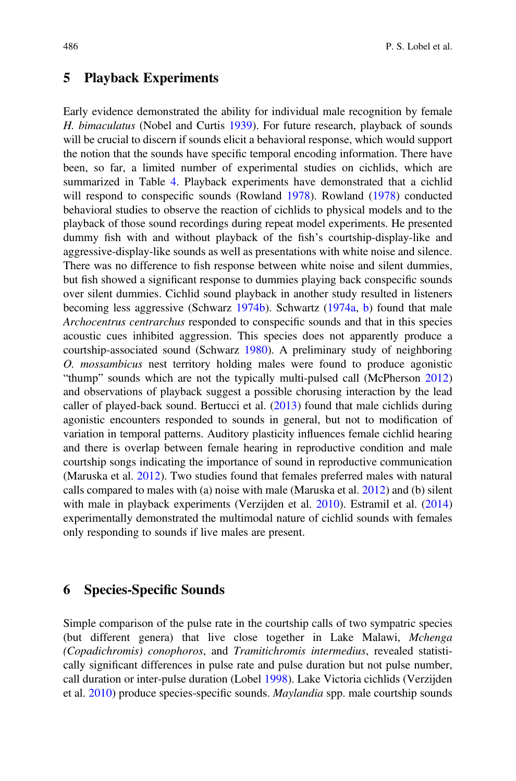#### 5 Playback Experiments

Early evidence demonstrated the ability for individual male recognition by female H. bimaculatus (Nobel and Curtis 1939). For future research, playback of sounds will be crucial to discern if sounds elicit a behavioral response, which would support the notion that the sounds have specific temporal encoding information. There have been, so far, a limited number of experimental studies on cichlids, which are summarized in Table 4. Playback experiments have demonstrated that a cichlid will respond to conspecific sounds (Rowland 1978). Rowland (1978) conducted behavioral studies to observe the reaction of cichlids to physical models and to the playback of those sound recordings during repeat model experiments. He presented dummy fish with and without playback of the fish's courtship-display-like and aggressive-display-like sounds as well as presentations with white noise and silence. There was no difference to fish response between white noise and silent dummies, but fish showed a significant response to dummies playing back conspecific sounds over silent dummies. Cichlid sound playback in another study resulted in listeners becoming less aggressive (Schwarz 1974b). Schwartz (1974a, b) found that male Archocentrus centrarchus responded to conspecific sounds and that in this species acoustic cues inhibited aggression. This species does not apparently produce a courtship-associated sound (Schwarz 1980). A preliminary study of neighboring O. mossambicus nest territory holding males were found to produce agonistic "thump" sounds which are not the typically multi-pulsed call (McPherson 2012) and observations of playback suggest a possible chorusing interaction by the lead caller of played-back sound. Bertucci et al. (2013) found that male cichlids during agonistic encounters responded to sounds in general, but not to modification of variation in temporal patterns. Auditory plasticity influences female cichlid hearing and there is overlap between female hearing in reproductive condition and male courtship songs indicating the importance of sound in reproductive communication (Maruska et al. 2012). Two studies found that females preferred males with natural calls compared to males with (a) noise with male (Maruska et al. 2012) and (b) silent with male in playback experiments (Verzijden et al. 2010). Estramil et al. (2014) experimentally demonstrated the multimodal nature of cichlid sounds with females only responding to sounds if live males are present.

#### 6 Species-Specific Sounds

Simple comparison of the pulse rate in the courtship calls of two sympatric species (but different genera) that live close together in Lake Malawi, Mchenga (Copadichromis) conophoros, and Tramitichromis intermedius, revealed statistically significant differences in pulse rate and pulse duration but not pulse number, call duration or inter-pulse duration (Lobel 1998). Lake Victoria cichlids (Verzijden et al. 2010) produce species-specific sounds. Maylandia spp. male courtship sounds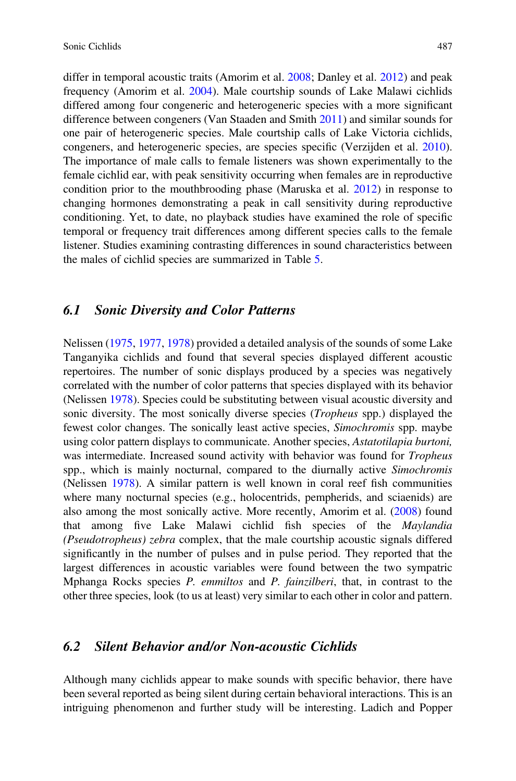differ in temporal acoustic traits (Amorim et al. 2008; Danley et al. 2012) and peak frequency (Amorim et al. 2004). Male courtship sounds of Lake Malawi cichlids differed among four congeneric and heterogeneric species with a more significant difference between congeners (Van Staaden and Smith 2011) and similar sounds for one pair of heterogeneric species. Male courtship calls of Lake Victoria cichlids, congeners, and heterogeneric species, are species specific (Verzijden et al. 2010). The importance of male calls to female listeners was shown experimentally to the female cichlid ear, with peak sensitivity occurring when females are in reproductive condition prior to the mouthbrooding phase (Maruska et al. 2012) in response to changing hormones demonstrating a peak in call sensitivity during reproductive conditioning. Yet, to date, no playback studies have examined the role of specific temporal or frequency trait differences among different species calls to the female listener. Studies examining contrasting differences in sound characteristics between the males of cichlid species are summarized in Table 5.

#### 6.1 Sonic Diversity and Color Patterns

Nelissen (1975, 1977, 1978) provided a detailed analysis of the sounds of some Lake Tanganyika cichlids and found that several species displayed different acoustic repertoires. The number of sonic displays produced by a species was negatively correlated with the number of color patterns that species displayed with its behavior (Nelissen 1978). Species could be substituting between visual acoustic diversity and sonic diversity. The most sonically diverse species (Tropheus spp.) displayed the fewest color changes. The sonically least active species, Simochromis spp. maybe using color pattern displays to communicate. Another species, Astatotilapia burtoni, was intermediate. Increased sound activity with behavior was found for *Tropheus* spp., which is mainly nocturnal, compared to the diurnally active *Simochromis* (Nelissen 1978). A similar pattern is well known in coral reef fish communities where many nocturnal species (e.g., holocentrids, pempherids, and sciaenids) are also among the most sonically active. More recently, Amorim et al. (2008) found that among five Lake Malawi cichlid fish species of the Maylandia (Pseudotropheus) zebra complex, that the male courtship acoustic signals differed significantly in the number of pulses and in pulse period. They reported that the largest differences in acoustic variables were found between the two sympatric Mphanga Rocks species P. emmiltos and P. fainzilberi, that, in contrast to the other three species, look (to us at least) very similar to each other in color and pattern.

#### 6.2 Silent Behavior and/or Non-acoustic Cichlids

Although many cichlids appear to make sounds with specific behavior, there have been several reported as being silent during certain behavioral interactions. This is an intriguing phenomenon and further study will be interesting. Ladich and Popper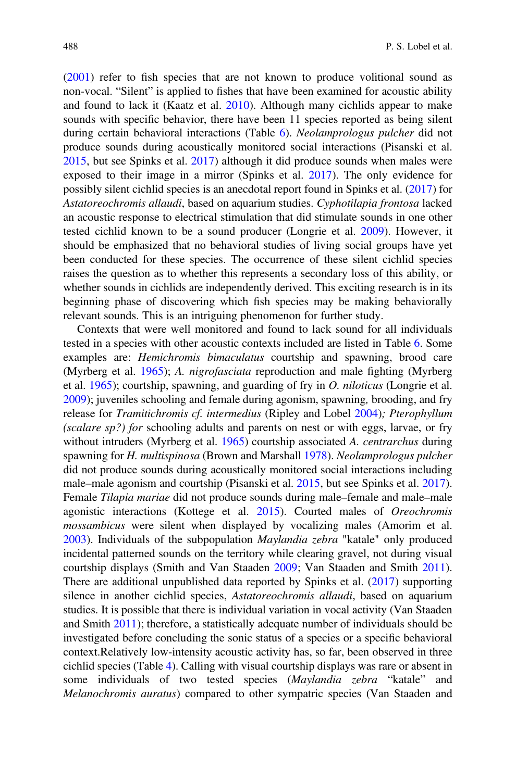(2001) refer to fish species that are not known to produce volitional sound as non-vocal. "Silent" is applied to fishes that have been examined for acoustic ability and found to lack it (Kaatz et al. 2010). Although many cichlids appear to make sounds with specific behavior, there have been 11 species reported as being silent during certain behavioral interactions (Table 6). Neolamprologus pulcher did not produce sounds during acoustically monitored social interactions (Pisanski et al. 2015, but see Spinks et al. 2017) although it did produce sounds when males were exposed to their image in a mirror (Spinks et al. 2017). The only evidence for possibly silent cichlid species is an anecdotal report found in Spinks et al. (2017) for Astatoreochromis allaudi, based on aquarium studies. Cyphotilapia frontosa lacked an acoustic response to electrical stimulation that did stimulate sounds in one other tested cichlid known to be a sound producer (Longrie et al. 2009). However, it should be emphasized that no behavioral studies of living social groups have yet been conducted for these species. The occurrence of these silent cichlid species raises the question as to whether this represents a secondary loss of this ability, or whether sounds in cichlids are independently derived. This exciting research is in its beginning phase of discovering which fish species may be making behaviorally relevant sounds. This is an intriguing phenomenon for further study.

Contexts that were well monitored and found to lack sound for all individuals tested in a species with other acoustic contexts included are listed in Table 6. Some examples are: Hemichromis bimaculatus courtship and spawning, brood care (Myrberg et al. 1965); A. nigrofasciata reproduction and male fighting (Myrberg et al. 1965); courtship, spawning, and guarding of fry in O. niloticus (Longrie et al. 2009); juveniles schooling and female during agonism, spawning, brooding, and fry release for Tramitichromis cf. intermedius (Ripley and Lobel 2004); Pterophyllum (scalare sp?) for schooling adults and parents on nest or with eggs, larvae, or fry without intruders (Myrberg et al. 1965) courtship associated A. *centrarchus* during spawning for H. multispinosa (Brown and Marshall 1978). Neolamprologus pulcher did not produce sounds during acoustically monitored social interactions including male–male agonism and courtship (Pisanski et al. 2015, but see Spinks et al. 2017). Female Tilapia mariae did not produce sounds during male–female and male–male agonistic interactions (Kottege et al. 2015). Courted males of Oreochromis mossambicus were silent when displayed by vocalizing males (Amorim et al. 2003). Individuals of the subpopulation Maylandia zebra "katale" only produced incidental patterned sounds on the territory while clearing gravel, not during visual courtship displays (Smith and Van Staaden 2009; Van Staaden and Smith 2011). There are additional unpublished data reported by Spinks et al. (2017) supporting silence in another cichlid species, Astatoreochromis allaudi, based on aquarium studies. It is possible that there is individual variation in vocal activity (Van Staaden and Smith 2011); therefore, a statistically adequate number of individuals should be investigated before concluding the sonic status of a species or a specific behavioral context.Relatively low-intensity acoustic activity has, so far, been observed in three cichlid species (Table 4). Calling with visual courtship displays was rare or absent in some individuals of two tested species (Maylandia zebra "katale" and Melanochromis auratus) compared to other sympatric species (Van Staaden and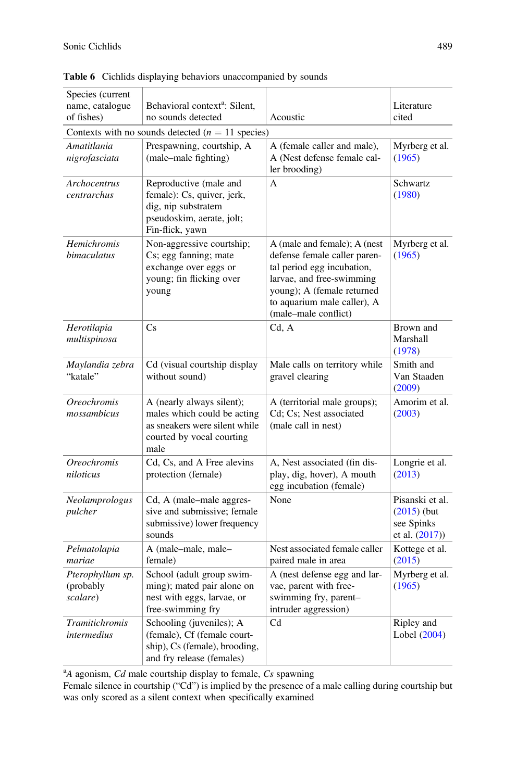| Species (current                          |                                                                                                                                |                                                                                                                                                                                                              |                                                                  |
|-------------------------------------------|--------------------------------------------------------------------------------------------------------------------------------|--------------------------------------------------------------------------------------------------------------------------------------------------------------------------------------------------------------|------------------------------------------------------------------|
| name, catalogue                           | Behavioral context <sup>a</sup> : Silent,                                                                                      |                                                                                                                                                                                                              | Literature                                                       |
| of fishes)                                | no sounds detected                                                                                                             | Acoustic                                                                                                                                                                                                     | cited                                                            |
|                                           | Contexts with no sounds detected $(n = 11$ species)                                                                            |                                                                                                                                                                                                              |                                                                  |
| Amatitlania<br>nigrofasciata              | Prespawning, courtship, A<br>(male-male fighting)                                                                              | A (female caller and male),<br>A (Nest defense female cal-<br>ler brooding)                                                                                                                                  | Myrberg et al.<br>(1965)                                         |
| Archocentrus<br>centrarchus               | Reproductive (male and<br>female): Cs, quiver, jerk,<br>dig, nip substratem<br>pseudoskim, aerate, jolt;<br>Fin-flick, yawn    | A                                                                                                                                                                                                            | Schwartz<br>(1980)                                               |
| Hemichromis<br>bimaculatus                | Non-aggressive courtship;<br>Cs; egg fanning; mate<br>exchange over eggs or<br>young; fin flicking over<br>young               | A (male and female); A (nest<br>defense female caller paren-<br>tal period egg incubation,<br>larvae, and free-swimming<br>young); A (female returned<br>to aquarium male caller), A<br>(male-male conflict) | Myrberg et al.<br>(1965)                                         |
| Herotilapia<br>multispinosa               | Cs                                                                                                                             | Cd. A                                                                                                                                                                                                        | Brown and<br>Marshall<br>(1978)                                  |
| Maylandia zebra<br>"katale"               | Cd (visual courtship display<br>without sound)                                                                                 | Male calls on territory while<br>gravel clearing                                                                                                                                                             | Smith and<br>Van Staaden<br>(2009)                               |
| <i><b>Oreochromis</b></i><br>mossambicus  | A (nearly always silent);<br>males which could be acting<br>as sneakers were silent while<br>courted by vocal courting<br>male | A (territorial male groups);<br>Cd; Cs; Nest associated<br>(male call in nest)                                                                                                                               | Amorim et al.<br>(2003)                                          |
| <b>Oreochromis</b><br>niloticus           | Cd, Cs, and A Free alevins<br>protection (female)                                                                              | A, Nest associated (fin dis-<br>play, dig, hover), A mouth<br>egg incubation (female)                                                                                                                        | Longrie et al.<br>(2013)                                         |
| Neolamprologus<br>pulcher                 | Cd, A (male–male aggres-<br>sive and submissive; female<br>submissive) lower frequency<br>sounds                               | None                                                                                                                                                                                                         | Pisanski et al.<br>$(2015)$ (but<br>see Spinks<br>et al. (2017)) |
| Pelmatolapia<br>mariae                    | A (male-male, male-<br>female)                                                                                                 | Nest associated female caller<br>paired male in area                                                                                                                                                         | Kottege et al.<br>(2015)                                         |
| Pterophyllum sp.<br>(probably<br>scalare) | School (adult group swim-<br>ming); mated pair alone on<br>nest with eggs, larvae, or<br>free-swimming fry                     | A (nest defense egg and lar-<br>vae, parent with free-<br>swimming fry, parent-<br>intruder aggression)                                                                                                      | Myrberg et al.<br>(1965)                                         |
| <b>Tramitichromis</b><br>intermedius      | Schooling (juveniles); A<br>(female), Cf (female court-<br>ship), Cs (female), brooding,<br>and fry release (females)          | C <sub>d</sub>                                                                                                                                                                                               | Ripley and<br>Lobel (2004)                                       |

Table 6 Cichlids displaying behaviors unaccompanied by sounds

 $A$  agonism, Cd male courtship display to female, Cs spawning

Female silence in courtship ("Cd") is implied by the presence of a male calling during courtship but was only scored as a silent context when specifically examined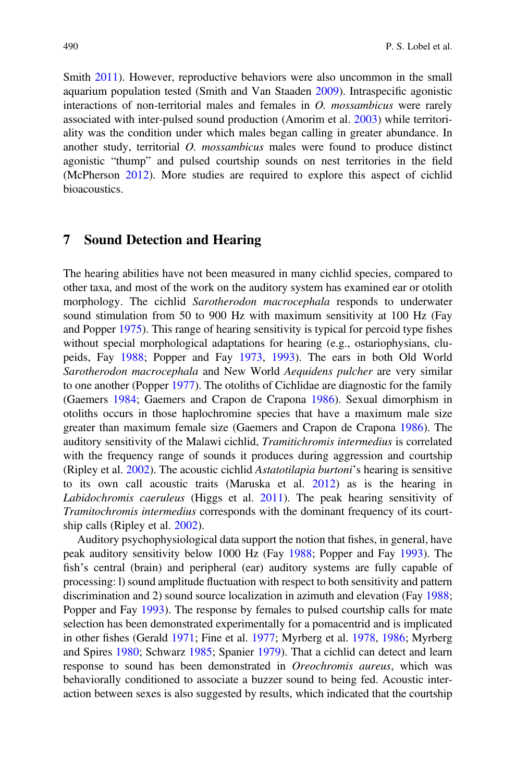Smith 2011). However, reproductive behaviors were also uncommon in the small aquarium population tested (Smith and Van Staaden 2009). Intraspecific agonistic interactions of non-territorial males and females in O. mossambicus were rarely associated with inter-pulsed sound production (Amorim et al. 2003) while territoriality was the condition under which males began calling in greater abundance. In another study, territorial O. mossambicus males were found to produce distinct agonistic "thump" and pulsed courtship sounds on nest territories in the field (McPherson 2012). More studies are required to explore this aspect of cichlid bioacoustics.

#### 7 Sound Detection and Hearing

The hearing abilities have not been measured in many cichlid species, compared to other taxa, and most of the work on the auditory system has examined ear or otolith morphology. The cichlid Sarotherodon macrocephala responds to underwater sound stimulation from 50 to 900 Hz with maximum sensitivity at 100 Hz (Fay and Popper 1975). This range of hearing sensitivity is typical for percoid type fishes without special morphological adaptations for hearing (e.g., ostariophysians, clupeids, Fay 1988; Popper and Fay 1973, 1993). The ears in both Old World Sarotherodon macrocephala and New World Aequidens pulcher are very similar to one another (Popper 1977). The otoliths of Cichlidae are diagnostic for the family (Gaemers 1984; Gaemers and Crapon de Crapona 1986). Sexual dimorphism in otoliths occurs in those haplochromine species that have a maximum male size greater than maximum female size (Gaemers and Crapon de Crapona 1986). The auditory sensitivity of the Malawi cichlid, Tramitichromis intermedius is correlated with the frequency range of sounds it produces during aggression and courtship (Ripley et al. 2002). The acoustic cichlid Astatotilapia burtoni's hearing is sensitive to its own call acoustic traits (Maruska et al. 2012) as is the hearing in Labidochromis caeruleus (Higgs et al. 2011). The peak hearing sensitivity of Tramitochromis intermedius corresponds with the dominant frequency of its courtship calls (Ripley et al. 2002).

Auditory psychophysiological data support the notion that fishes, in general, have peak auditory sensitivity below 1000 Hz (Fay 1988; Popper and Fay 1993). The fish's central (brain) and peripheral (ear) auditory systems are fully capable of processing: l) sound amplitude fluctuation with respect to both sensitivity and pattern discrimination and 2) sound source localization in azimuth and elevation (Fay 1988; Popper and Fay 1993). The response by females to pulsed courtship calls for mate selection has been demonstrated experimentally for a pomacentrid and is implicated in other fishes (Gerald 1971; Fine et al. 1977; Myrberg et al. 1978, 1986; Myrberg and Spires 1980; Schwarz 1985; Spanier 1979). That a cichlid can detect and learn response to sound has been demonstrated in Oreochromis aureus, which was behaviorally conditioned to associate a buzzer sound to being fed. Acoustic interaction between sexes is also suggested by results, which indicated that the courtship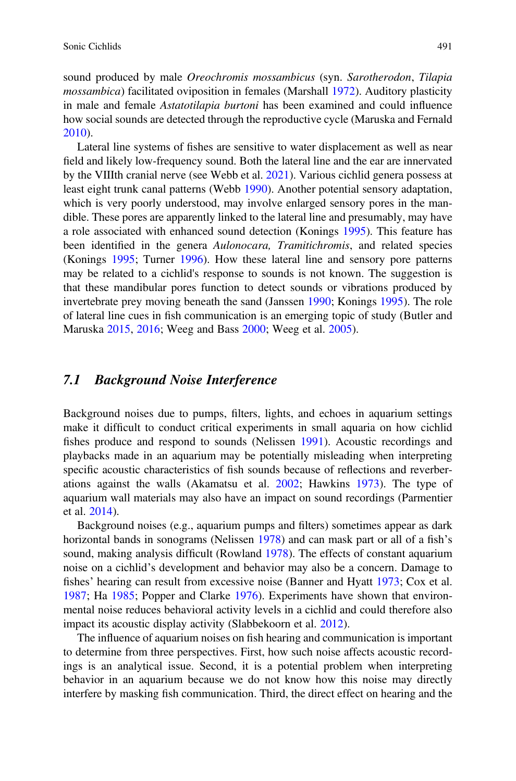sound produced by male Oreochromis mossambicus (syn. Sarotherodon, Tilapia mossambica) facilitated oviposition in females (Marshall 1972). Auditory plasticity in male and female Astatotilapia burtoni has been examined and could influence how social sounds are detected through the reproductive cycle (Maruska and Fernald 2010).

Lateral line systems of fishes are sensitive to water displacement as well as near field and likely low-frequency sound. Both the lateral line and the ear are innervated by the VIIIth cranial nerve (see Webb et al. 2021). Various cichlid genera possess at least eight trunk canal patterns (Webb 1990). Another potential sensory adaptation, which is very poorly understood, may involve enlarged sensory pores in the mandible. These pores are apparently linked to the lateral line and presumably, may have a role associated with enhanced sound detection (Konings 1995). This feature has been identified in the genera Aulonocara, Tramitichromis, and related species (Konings 1995; Turner 1996). How these lateral line and sensory pore patterns may be related to a cichlid's response to sounds is not known. The suggestion is that these mandibular pores function to detect sounds or vibrations produced by invertebrate prey moving beneath the sand (Janssen 1990; Konings 1995). The role of lateral line cues in fish communication is an emerging topic of study (Butler and Maruska 2015, 2016; Weeg and Bass 2000; Weeg et al. 2005).

### 7.1 Background Noise Interference

Background noises due to pumps, filters, lights, and echoes in aquarium settings make it difficult to conduct critical experiments in small aquaria on how cichlid fishes produce and respond to sounds (Nelissen 1991). Acoustic recordings and playbacks made in an aquarium may be potentially misleading when interpreting specific acoustic characteristics of fish sounds because of reflections and reverberations against the walls (Akamatsu et al. 2002; Hawkins 1973). The type of aquarium wall materials may also have an impact on sound recordings (Parmentier et al. 2014).

Background noises (e.g., aquarium pumps and filters) sometimes appear as dark horizontal bands in sonograms (Nelissen 1978) and can mask part or all of a fish's sound, making analysis difficult (Rowland 1978). The effects of constant aquarium noise on a cichlid's development and behavior may also be a concern. Damage to fishes' hearing can result from excessive noise (Banner and Hyatt 1973; Cox et al. 1987; Ha 1985; Popper and Clarke 1976). Experiments have shown that environmental noise reduces behavioral activity levels in a cichlid and could therefore also impact its acoustic display activity (Slabbekoorn et al. 2012).

The influence of aquarium noises on fish hearing and communication is important to determine from three perspectives. First, how such noise affects acoustic recordings is an analytical issue. Second, it is a potential problem when interpreting behavior in an aquarium because we do not know how this noise may directly interfere by masking fish communication. Third, the direct effect on hearing and the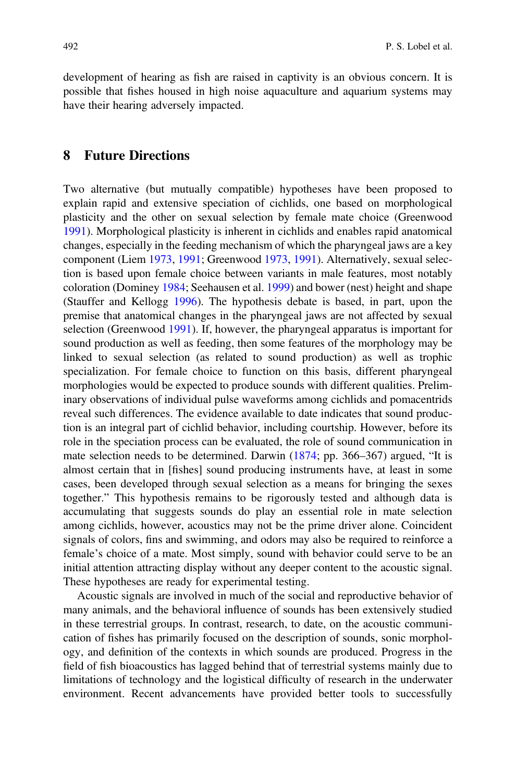development of hearing as fish are raised in captivity is an obvious concern. It is possible that fishes housed in high noise aquaculture and aquarium systems may have their hearing adversely impacted.

#### 8 Future Directions

Two alternative (but mutually compatible) hypotheses have been proposed to explain rapid and extensive speciation of cichlids, one based on morphological plasticity and the other on sexual selection by female mate choice (Greenwood 1991). Morphological plasticity is inherent in cichlids and enables rapid anatomical changes, especially in the feeding mechanism of which the pharyngeal jaws are a key component (Liem 1973, 1991; Greenwood 1973, 1991). Alternatively, sexual selection is based upon female choice between variants in male features, most notably coloration (Dominey 1984; Seehausen et al. 1999) and bower (nest) height and shape (Stauffer and Kellogg 1996). The hypothesis debate is based, in part, upon the premise that anatomical changes in the pharyngeal jaws are not affected by sexual selection (Greenwood 1991). If, however, the pharyngeal apparatus is important for sound production as well as feeding, then some features of the morphology may be linked to sexual selection (as related to sound production) as well as trophic specialization. For female choice to function on this basis, different pharyngeal morphologies would be expected to produce sounds with different qualities. Preliminary observations of individual pulse waveforms among cichlids and pomacentrids reveal such differences. The evidence available to date indicates that sound production is an integral part of cichlid behavior, including courtship. However, before its role in the speciation process can be evaluated, the role of sound communication in mate selection needs to be determined. Darwin (1874; pp. 366–367) argued, "It is almost certain that in [fishes] sound producing instruments have, at least in some cases, been developed through sexual selection as a means for bringing the sexes together." This hypothesis remains to be rigorously tested and although data is accumulating that suggests sounds do play an essential role in mate selection among cichlids, however, acoustics may not be the prime driver alone. Coincident signals of colors, fins and swimming, and odors may also be required to reinforce a female's choice of a mate. Most simply, sound with behavior could serve to be an initial attention attracting display without any deeper content to the acoustic signal. These hypotheses are ready for experimental testing.

Acoustic signals are involved in much of the social and reproductive behavior of many animals, and the behavioral influence of sounds has been extensively studied in these terrestrial groups. In contrast, research, to date, on the acoustic communication of fishes has primarily focused on the description of sounds, sonic morphology, and definition of the contexts in which sounds are produced. Progress in the field of fish bioacoustics has lagged behind that of terrestrial systems mainly due to limitations of technology and the logistical difficulty of research in the underwater environment. Recent advancements have provided better tools to successfully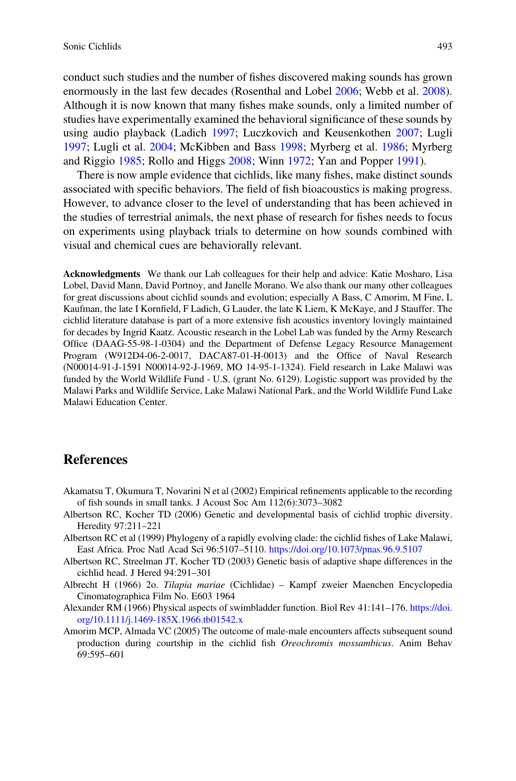conduct such studies and the number of fishes discovered making sounds has grown enormously in the last few decades (Rosenthal and Lobel 2006; Webb et al. 2008). Although it is now known that many fishes make sounds, only a limited number of studies have experimentally examined the behavioral significance of these sounds by using audio playback (Ladich 1997; Luczkovich and Keusenkothen 2007; Lugli 1997; Lugli et al. 2004; McKibben and Bass 1998; Myrberg et al. 1986; Myrberg and Riggio 1985; Rollo and Higgs 2008; Winn 1972; Yan and Popper 1991).

There is now ample evidence that cichlids, like many fishes, make distinct sounds associated with specific behaviors. The field of fish bioacoustics is making progress. However, to advance closer to the level of understanding that has been achieved in the studies of terrestrial animals, the next phase of research for fishes needs to focus on experiments using playback trials to determine on how sounds combined with visual and chemical cues are behaviorally relevant.

Acknowledgments We thank our Lab colleagues for their help and advice: Katie Mosharo, Lisa Lobel, David Mann, David Portnoy, and Janelle Morano. We also thank our many other colleagues for great discussions about cichlid sounds and evolution; especially A Bass, C Amorim, M Fine, L Kaufman, the late I Kornfield, F Ladich, G Lauder, the late K Liem, K McKaye, and J Stauffer. The cichlid literature database is part of a more extensive fish acoustics inventory lovingly maintained for decades by Ingrid Kaatz. Acoustic research in the Lobel Lab was funded by the Army Research Office (DAAG-55-98-1-0304) and the Department of Defense Legacy Resource Management Program (W912D4-06-2-0017, DACA87-01-H-0013) and the Office of Naval Research (N00014-91-J-1591 N00014-92-J-1969, MO 14-95-1-1324). Field research in Lake Malawi was funded by the World Wildlife Fund - U.S. (grant No. 6129). Logistic support was provided by the Malawi Parks and Wildlife Service, Lake Malawi National Park, and the World Wildlife Fund Lake Malawi Education Center.

#### **References**

- Akamatsu T, Okumura T, Novarini N et al (2002) Empirical refinements applicable to the recording of fish sounds in small tanks. J Acoust Soc Am 112(6):3073–3082
- Albertson RC, Kocher TD (2006) Genetic and developmental basis of cichlid trophic diversity. Heredity 97:211–221
- Albertson RC et al (1999) Phylogeny of a rapidly evolving clade: the cichlid fishes of Lake Malawi, East Africa. Proc Natl Acad Sci 96:5107–5110. <https://doi.org/10.1073/pnas.96.9.5107>
- Albertson RC, Streelman JT, Kocher TD (2003) Genetic basis of adaptive shape differences in the cichlid head. J Hered 94:291–301
- Albrecht H (1966) 2o. Tilapia mariae (Cichlidae) Kampf zweier Maenchen Encyclopedia Cinomatographica Film No. E603 1964
- Alexander RM (1966) Physical aspects of swimbladder function. Biol Rev 41:141–176. [https://doi.](https://doi.org/10.1111/j.1469-185X.1966.tb01542.x) [org/10.1111/j.1469-185X.1966.tb01542.x](https://doi.org/10.1111/j.1469-185X.1966.tb01542.x)
- Amorim MCP, Almada VC (2005) The outcome of male-male encounters affects subsequent sound production during courtship in the cichlid fish Oreochromis mossambicus. Anim Behav 69:595–601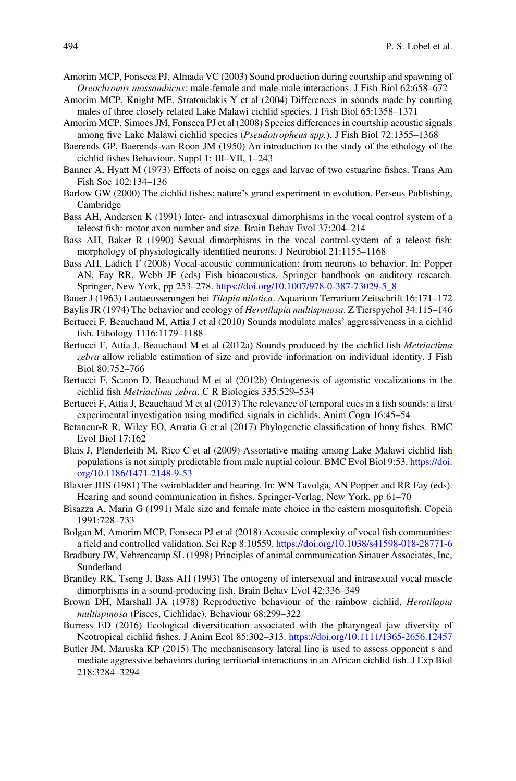- Amorim MCP, Fonseca PJ, Almada VC (2003) Sound production during courtship and spawning of Oreochromis mossambicus: male-female and male-male interactions. J Fish Biol 62:658–672
- Amorim MCP, Knight ME, Stratoudakis Y et al (2004) Differences in sounds made by courting males of three closely related Lake Malawi cichlid species. J Fish Biol 65:1358–1371
- Amorim MCP, Simoes JM, Fonseca PJ et al (2008) Species differences in courtship acoustic signals among five Lake Malawi cichlid species (Pseudotropheus spp.). J Fish Biol 72:1355–1368
- Baerends GP, Baerends-van Roon JM (1950) An introduction to the study of the ethology of the cichlid fishes Behaviour. Suppl 1: III–VII, 1–243
- Banner A, Hyatt M (1973) Effects of noise on eggs and larvae of two estuarine fishes. Trans Am Fish Soc 102:134–136
- Barlow GW (2000) The cichlid fishes: nature's grand experiment in evolution. Perseus Publishing, Cambridge
- Bass AH, Andersen K (1991) Inter- and intrasexual dimorphisms in the vocal control system of a teleost fish: motor axon number and size. Brain Behav Evol 37:204–214
- Bass AH, Baker R (1990) Sexual dimorphisms in the vocal control-system of a teleost fish: morphology of physiologically identified neurons. J Neurobiol 21:1155–1168
- Bass AH, Ladich F (2008) Vocal-acoustic communication: from neurons to behavior. In: Popper AN, Fay RR, Webb JF (eds) Fish bioacoustics. Springer handbook on auditory research. Springer, New York, pp 253–278. [https://doi.org/10.1007/978-0-387-73029-5\\_8](https://doi.org/10.1007/978-0-387-73029-5_8)
- Bauer J (1963) Lautaeusserungen bei Tilapia nilotica. Aquarium Terrarium Zeitschrift 16:171–172
- Baylis JR (1974) The behavior and ecology of Herotilapia multispinosa. Z Tierspychol 34:115–146
- Bertucci F, Beauchaud M, Attia J et al (2010) Sounds modulate males' aggressiveness in a cichlid fish. Ethology 1116:1179–1188
- Bertucci F, Attia J, Beauchaud M et al (2012a) Sounds produced by the cichlid fish Metriaclima zebra allow reliable estimation of size and provide information on individual identity. J Fish Biol 80:752–766
- Bertucci F, Scaion D, Beauchaud M et al (2012b) Ontogenesis of agonistic vocalizations in the cichlid fish Metriaclima zebra. C R Biologies 335:529–534
- Bertucci F, Attia J, Beauchaud M et al (2013) The relevance of temporal cues in a fish sounds: a first experimental investigation using modified signals in cichlids. Anim Cogn 16:45–54
- Betancur-R R, Wiley EO, Arratia G et al (2017) Phylogenetic classification of bony fishes. BMC Evol Biol 17:162
- Blais J, Plenderleith M, Rico C et al (2009) Assortative mating among Lake Malawi cichlid fish populations is not simply predictable from male nuptial colour. BMC Evol Biol 9:53. [https://doi.](https://doi.org/10.1186/1471-2148-9-53) [org/10.1186/1471-2148-9-53](https://doi.org/10.1186/1471-2148-9-53)
- Blaxter JHS (1981) The swimbladder and hearing. In: WN Tavolga, AN Popper and RR Fay (eds). Hearing and sound communication in fishes. Springer-Verlag, New York, pp 61–70
- Bisazza A, Marin G (1991) Male size and female mate choice in the eastern mosquitofish. Copeia 1991:728–733
- Bolgan M, Amorim MCP, Fonseca PJ et al (2018) Acoustic complexity of vocal fish communities: a field and controlled validation. Sci Rep 8:10559. <https://doi.org/10.1038/s41598-018-28771-6>
- Bradbury JW, Vehrencamp SL (1998) Principles of animal communication Sinauer Associates, Inc, Sunderland
- Brantley RK, Tseng J, Bass AH (1993) The ontogeny of intersexual and intrasexual vocal muscle dimorphisms in a sound-producing fish. Brain Behav Evol 42:336–349
- Brown DH, Marshall JA (1978) Reproductive behaviour of the rainbow cichlid, Herotilapia multispinosa (Pisces, Cichlidae). Behaviour 68:299–322
- Burress ED (2016) Ecological diversification associated with the pharyngeal jaw diversity of Neotropical cichlid fishes. J Anim Ecol 85:302–313. <https://doi.org/10.1111/1365-2656.12457>
- Butler JM, Maruska KP (2015) The mechanisensory lateral line is used to assess opponent s and mediate aggressive behaviors during territorial interactions in an African cichlid fish. J Exp Biol 218:3284–3294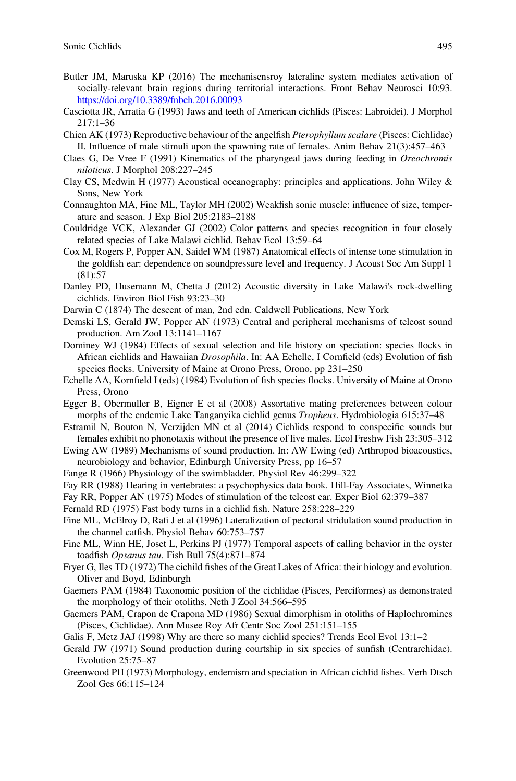- Butler JM, Maruska KP (2016) The mechanisensroy lateraline system mediates activation of socially-relevant brain regions during territorial interactions. Front Behav Neurosci 10:93. <https://doi.org/10.3389/fnbeh.2016.00093>
- Casciotta JR, Arratia G (1993) Jaws and teeth of American cichlids (Pisces: Labroidei). J Morphol 217:1–36
- Chien AK (1973) Reproductive behaviour of the angelfish Pterophyllum scalare (Pisces: Cichlidae) II. Influence of male stimuli upon the spawning rate of females. Anim Behav 21(3):457–463
- Claes G, De Vree F (1991) Kinematics of the pharyngeal jaws during feeding in Oreochromis niloticus. J Morphol 208:227–245
- Clay CS, Medwin H (1977) Acoustical oceanography: principles and applications. John Wiley & Sons, New York
- Connaughton MA, Fine ML, Taylor MH (2002) Weakfish sonic muscle: influence of size, temperature and season. J Exp Biol 205:2183–2188
- Couldridge VCK, Alexander GJ (2002) Color patterns and species recognition in four closely related species of Lake Malawi cichlid. Behav Ecol 13:59–64
- Cox M, Rogers P, Popper AN, Saidel WM (1987) Anatomical effects of intense tone stimulation in the goldfish ear: dependence on soundpressure level and frequency. J Acoust Soc Am Suppl 1 (81):57
- Danley PD, Husemann M, Chetta J (2012) Acoustic diversity in Lake Malawi's rock-dwelling cichlids. Environ Biol Fish 93:23–30
- Darwin C (1874) The descent of man, 2nd edn. Caldwell Publications, New York
- Demski LS, Gerald JW, Popper AN (1973) Central and peripheral mechanisms of teleost sound production. Am Zool 13:1141–1167
- Dominey WJ (1984) Effects of sexual selection and life history on speciation: species flocks in African cichlids and Hawaiian Drosophila. In: AA Echelle, I Cornfield (eds) Evolution of fish species flocks. University of Maine at Orono Press, Orono, pp 231–250
- Echelle AA, Kornfield I (eds) (1984) Evolution of fish species flocks. University of Maine at Orono Press, Orono
- Egger B, Obermuller B, Eigner E et al (2008) Assortative mating preferences between colour morphs of the endemic Lake Tanganyika cichlid genus *Tropheus*. Hydrobiologia 615:37–48
- Estramil N, Bouton N, Verzijden MN et al (2014) Cichlids respond to conspecific sounds but females exhibit no phonotaxis without the presence of live males. Ecol Freshw Fish 23:305–312
- Ewing AW (1989) Mechanisms of sound production. In: AW Ewing (ed) Arthropod bioacoustics, neurobiology and behavior, Edinburgh University Press, pp 16–57
- Fange R (1966) Physiology of the swimbladder. Physiol Rev 46:299–322
- Fay RR (1988) Hearing in vertebrates: a psychophysics data book. Hill-Fay Associates, Winnetka
- Fay RR, Popper AN (1975) Modes of stimulation of the teleost ear. Exper Biol 62:379–387
- Fernald RD (1975) Fast body turns in a cichlid fish. Nature 258:228–229
- Fine ML, McElroy D, Rafi J et al (1996) Lateralization of pectoral stridulation sound production in the channel catfish. Physiol Behav 60:753–757
- Fine ML, Winn HE, Joset L, Perkins PJ (1977) Temporal aspects of calling behavior in the oyster toadfish Opsanus tau. Fish Bull 75(4):871–874
- Fryer G, Iles TD (1972) The cichild fishes of the Great Lakes of Africa: their biology and evolution. Oliver and Boyd, Edinburgh
- Gaemers PAM (1984) Taxonomic position of the cichlidae (Pisces, Perciformes) as demonstrated the morphology of their otoliths. Neth J Zool 34:566–595
- Gaemers PAM, Crapon de Crapona MD (1986) Sexual dimorphism in otoliths of Haplochromines (Pisces, Cichlidae). Ann Musee Roy Afr Centr Soc Zool 251:151–155
- Galis F, Metz JAJ (1998) Why are there so many cichlid species? Trends Ecol Evol 13:1–2
- Gerald JW (1971) Sound production during courtship in six species of sunfish (Centrarchidae). Evolution 25:75–87
- Greenwood PH (1973) Morphology, endemism and speciation in African cichlid fishes. Verh Dtsch Zool Ges 66:115–124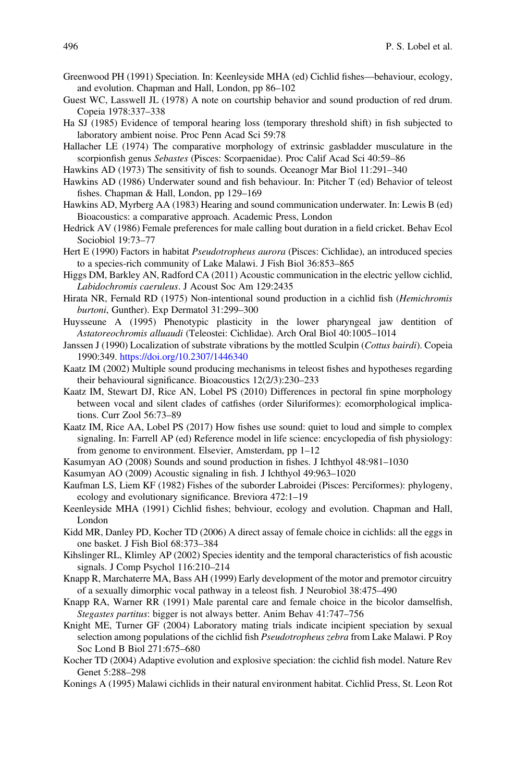- Greenwood PH (1991) Speciation. In: Keenleyside MHA (ed) Cichlid fishes—behaviour, ecology, and evolution. Chapman and Hall, London, pp 86–102
- Guest WC, Lasswell JL (1978) A note on courtship behavior and sound production of red drum. Copeia 1978:337–338
- Ha SJ (1985) Evidence of temporal hearing loss (temporary threshold shift) in fish subjected to laboratory ambient noise. Proc Penn Acad Sci 59:78
- Hallacher LE (1974) The comparative morphology of extrinsic gasbladder musculature in the scorpionfish genus Sebastes (Pisces: Scorpaenidae). Proc Calif Acad Sci 40:59-86
- Hawkins AD (1973) The sensitivity of fish to sounds. Oceanogr Mar Biol 11:291–340
- Hawkins AD (1986) Underwater sound and fish behaviour. In: Pitcher T (ed) Behavior of teleost fishes. Chapman & Hall, London, pp 129–169
- Hawkins AD, Myrberg AA (1983) Hearing and sound communication underwater. In: Lewis B (ed) Bioacoustics: a comparative approach. Academic Press, London
- Hedrick AV (1986) Female preferences for male calling bout duration in a field cricket. Behav Ecol Sociobiol 19:73–77
- Hert E (1990) Factors in habitat Pseudotropheus aurora (Pisces: Cichlidae), an introduced species to a species-rich community of Lake Malawi. J Fish Biol 36:853–865
- Higgs DM, Barkley AN, Radford CA (2011) Acoustic communication in the electric yellow cichlid, Labidochromis caeruleus. J Acoust Soc Am 129:2435
- Hirata NR, Fernald RD (1975) Non-intentional sound production in a cichlid fish (Hemichromis burtoni, Gunther). Exp Dermatol 31:299–300
- Huysseune A (1995) Phenotypic plasticity in the lower pharyngeal jaw dentition of Astatoreochromis alluaudi (Teleostei: Cichlidae). Arch Oral Biol 40:1005–1014
- Janssen J (1990) Localization of substrate vibrations by the mottled Sculpin (Cottus bairdi). Copeia 1990:349. <https://doi.org/10.2307/1446340>
- Kaatz IM (2002) Multiple sound producing mechanisms in teleost fishes and hypotheses regarding their behavioural significance. Bioacoustics 12(2/3):230–233
- Kaatz IM, Stewart DJ, Rice AN, Lobel PS (2010) Differences in pectoral fin spine morphology between vocal and silent clades of catfishes (order Siluriformes): ecomorphological implications. Curr Zool 56:73–89
- Kaatz IM, Rice AA, Lobel PS (2017) How fishes use sound: quiet to loud and simple to complex signaling. In: Farrell AP (ed) Reference model in life science: encyclopedia of fish physiology: from genome to environment. Elsevier, Amsterdam, pp 1–12
- Kasumyan AO (2008) Sounds and sound production in fishes. J Ichthyol 48:981–1030
- Kasumyan AO (2009) Acoustic signaling in fish. J Ichthyol 49:963–1020
- Kaufman LS, Liem KF (1982) Fishes of the suborder Labroidei (Pisces: Perciformes): phylogeny, ecology and evolutionary significance. Breviora 472:1–19
- Keenleyside MHA (1991) Cichlid fishes; behviour, ecology and evolution. Chapman and Hall, London
- Kidd MR, Danley PD, Kocher TD (2006) A direct assay of female choice in cichlids: all the eggs in one basket. J Fish Biol 68:373–384
- Kihslinger RL, Klimley AP (2002) Species identity and the temporal characteristics of fish acoustic signals. J Comp Psychol 116:210–214
- Knapp R, Marchaterre MA, Bass AH (1999) Early development of the motor and premotor circuitry of a sexually dimorphic vocal pathway in a teleost fish. J Neurobiol 38:475–490
- Knapp RA, Warner RR (1991) Male parental care and female choice in the bicolor damselfish, Stegastes partitus: bigger is not always better. Anim Behav 41:747–756
- Knight ME, Turner GF (2004) Laboratory mating trials indicate incipient speciation by sexual selection among populations of the cichlid fish Pseudotropheus zebra from Lake Malawi. P Roy Soc Lond B Biol 271:675–680
- Kocher TD (2004) Adaptive evolution and explosive speciation: the cichlid fish model. Nature Rev Genet 5:288–298
- Konings A (1995) Malawi cichlids in their natural environment habitat. Cichlid Press, St. Leon Rot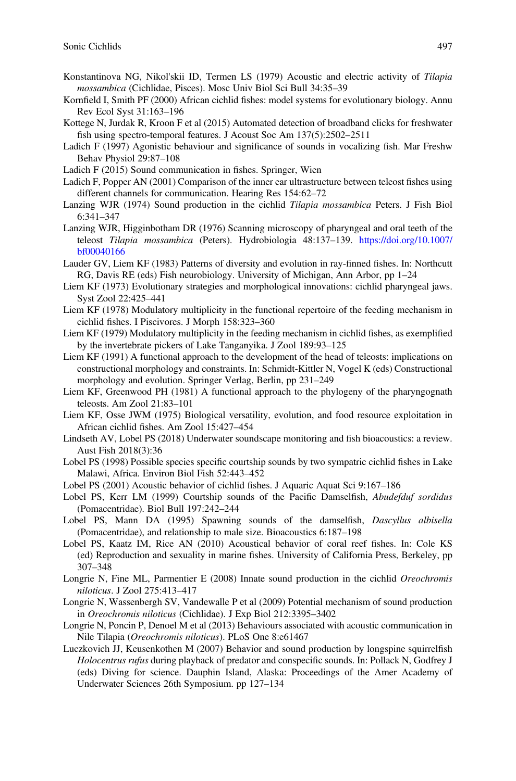- Konstantinova NG, Nikol'skii ID, Termen LS (1979) Acoustic and electric activity of Tilapia mossambica (Cichlidae, Pisces). Mosc Univ Biol Sci Bull 34:35–39
- Kornfield I, Smith PF (2000) African cichlid fishes: model systems for evolutionary biology. Annu Rev Ecol Syst 31:163–196
- Kottege N, Jurdak R, Kroon F et al (2015) Automated detection of broadband clicks for freshwater fish using spectro-temporal features. J Acoust Soc Am 137(5):2502–2511
- Ladich F (1997) Agonistic behaviour and significance of sounds in vocalizing fish. Mar Freshw Behav Physiol 29:87–108
- Ladich F (2015) Sound communication in fishes. Springer, Wien
- Ladich F, Popper AN (2001) Comparison of the inner ear ultrastructure between teleost fishes using different channels for communication. Hearing Res 154:62–72
- Lanzing WJR (1974) Sound production in the cichlid Tilapia mossambica Peters. J Fish Biol 6:341–347
- Lanzing WJR, Higginbotham DR (1976) Scanning microscopy of pharyngeal and oral teeth of the teleost Tilapia mossambica (Peters). Hydrobiologia 48:137–139. [https://doi.org/10.1007/](https://doi.org/10.1007/bf00040166) [bf00040166](https://doi.org/10.1007/bf00040166)
- Lauder GV, Liem KF (1983) Patterns of diversity and evolution in ray-finned fishes. In: Northcutt RG, Davis RE (eds) Fish neurobiology. University of Michigan, Ann Arbor, pp 1–24
- Liem KF (1973) Evolutionary strategies and morphological innovations: cichlid pharyngeal jaws. Syst Zool 22:425–441
- Liem KF (1978) Modulatory multiplicity in the functional repertoire of the feeding mechanism in cichlid fishes. I Piscivores. J Morph 158:323–360
- Liem KF (1979) Modulatory multiplicity in the feeding mechanism in cichlid fishes, as exemplified by the invertebrate pickers of Lake Tanganyika. J Zool 189:93–125
- Liem KF (1991) A functional approach to the development of the head of teleosts: implications on constructional morphology and constraints. In: Schmidt-Kittler N, Vogel K (eds) Constructional morphology and evolution. Springer Verlag, Berlin, pp 231–249
- Liem KF, Greenwood PH (1981) A functional approach to the phylogeny of the pharyngognath teleosts. Am Zool 21:83–101
- Liem KF, Osse JWM (1975) Biological versatility, evolution, and food resource exploitation in African cichlid fishes. Am Zool 15:427–454
- Lindseth AV, Lobel PS (2018) Underwater soundscape monitoring and fish bioacoustics: a review. Aust Fish 2018(3):36
- Lobel PS (1998) Possible species specific courtship sounds by two sympatric cichlid fishes in Lake Malawi, Africa. Environ Biol Fish 52:443–452
- Lobel PS (2001) Acoustic behavior of cichlid fishes. J Aquaric Aquat Sci 9:167–186
- Lobel PS, Kerr LM (1999) Courtship sounds of the Pacific Damselfish, Abudefduf sordidus (Pomacentridae). Biol Bull 197:242–244
- Lobel PS, Mann DA (1995) Spawning sounds of the damselfish, Dascyllus albisella (Pomacentridae), and relationship to male size. Bioacoustics 6:187–198
- Lobel PS, Kaatz IM, Rice AN (2010) Acoustical behavior of coral reef fishes. In: Cole KS (ed) Reproduction and sexuality in marine fishes. University of California Press, Berkeley, pp 307–348
- Longrie N, Fine ML, Parmentier E (2008) Innate sound production in the cichlid Oreochromis niloticus. J Zool 275:413–417
- Longrie N, Wassenbergh SV, Vandewalle P et al (2009) Potential mechanism of sound production in Oreochromis niloticus (Cichlidae). J Exp Biol 212:3395–3402
- Longrie N, Poncin P, Denoel M et al (2013) Behaviours associated with acoustic communication in Nile Tilapia (Oreochromis niloticus). PLoS One 8:e61467
- Luczkovich JJ, Keusenkothen M (2007) Behavior and sound production by longspine squirrelfish Holocentrus rufus during playback of predator and conspecific sounds. In: Pollack N, Godfrey J (eds) Diving for science. Dauphin Island, Alaska: Proceedings of the Amer Academy of Underwater Sciences 26th Symposium. pp 127–134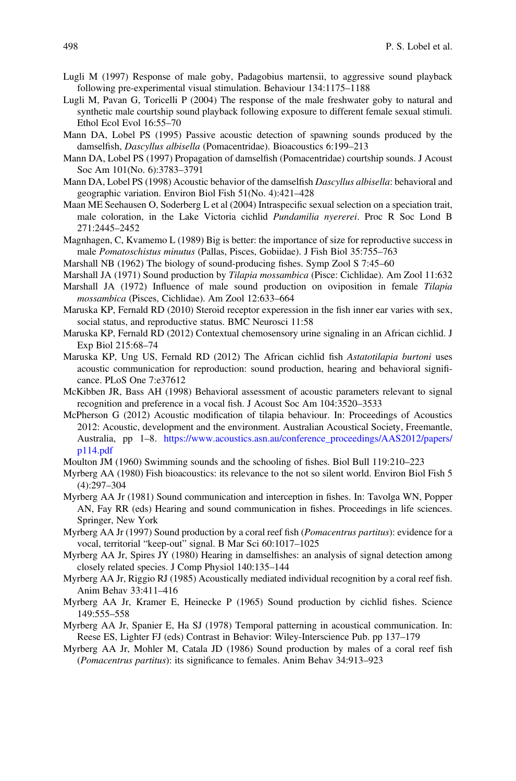- Lugli M (1997) Response of male goby, Padagobius martensii, to aggressive sound playback following pre-experimental visual stimulation. Behaviour 134:1175–1188
- Lugli M, Pavan G, Toricelli P (2004) The response of the male freshwater goby to natural and synthetic male courtship sound playback following exposure to different female sexual stimuli. Ethol Ecol Evol 16:55–70
- Mann DA, Lobel PS (1995) Passive acoustic detection of spawning sounds produced by the damselfish, Dascyllus albisella (Pomacentridae). Bioacoustics 6:199–213
- Mann DA, Lobel PS (1997) Propagation of damselfish (Pomacentridae) courtship sounds. J Acoust Soc Am 101(No. 6):3783–3791
- Mann DA, Lobel PS (1998) Acoustic behavior of the damselfish *Dascyllus albisella*: behavioral and geographic variation. Environ Biol Fish 51(No. 4):421–428
- Maan ME Seehausen O, Soderberg L et al (2004) Intraspecific sexual selection on a speciation trait, male coloration, in the Lake Victoria cichlid Pundamilia nyererei. Proc R Soc Lond B 271:2445–2452
- Magnhagen, C, Kvamemo L (1989) Big is better: the importance of size for reproductive success in male Pomatoschistus minutus (Pallas, Pisces, Gobiidae). J Fish Biol 35:755-763
- Marshall NB (1962) The biology of sound-producing fishes. Symp Zool S 7:45–60
- Marshall JA (1971) Sound production by Tilapia mossambica (Pisce: Cichlidae). Am Zool 11:632
- Marshall JA (1972) Influence of male sound production on oviposition in female Tilapia mossambica (Pisces, Cichlidae). Am Zool 12:633–664
- Maruska KP, Fernald RD (2010) Steroid receptor experession in the fish inner ear varies with sex, social status, and reproductive status. BMC Neurosci 11:58
- Maruska KP, Fernald RD (2012) Contextual chemosensory urine signaling in an African cichlid. J Exp Biol 215:68–74
- Maruska KP, Ung US, Fernald RD (2012) The African cichlid fish Astatotilapia burtoni uses acoustic communication for reproduction: sound production, hearing and behavioral significance. PLoS One 7:e37612
- McKibben JR, Bass AH (1998) Behavioral assessment of acoustic parameters relevant to signal recognition and preference in a vocal fish. J Acoust Soc Am 104:3520–3533
- McPherson G (2012) Acoustic modification of tilapia behaviour. In: Proceedings of Acoustics 2012: Acoustic, development and the environment. Australian Acoustical Society, Freemantle, Australia, pp 1–8. [https://www.acoustics.asn.au/conference\\_proceedings/AAS2012/papers/](https://www.acoustics.asn.au/conference_proceedings/AAS2012/papers/p114.pdf) [p114.pdf](https://www.acoustics.asn.au/conference_proceedings/AAS2012/papers/p114.pdf)
- Moulton JM (1960) Swimming sounds and the schooling of fishes. Biol Bull 119:210–223
- Myrberg AA (1980) Fish bioacoustics: its relevance to the not so silent world. Environ Biol Fish 5 (4):297–304
- Myrberg AA Jr (1981) Sound communication and interception in fishes. In: Tavolga WN, Popper AN, Fay RR (eds) Hearing and sound communication in fishes. Proceedings in life sciences. Springer, New York
- Myrberg AA Jr (1997) Sound production by a coral reef fish (*Pomacentrus partitus*): evidence for a vocal, territorial "keep-out" signal. B Mar Sci 60:1017–1025
- Myrberg AA Jr, Spires JY (1980) Hearing in damselfishes: an analysis of signal detection among closely related species. J Comp Physiol 140:135–144
- Myrberg AA Jr, Riggio RJ (1985) Acoustically mediated individual recognition by a coral reef fish. Anim Behav 33:411–416
- Myrberg AA Jr, Kramer E, Heinecke P (1965) Sound production by cichlid fishes. Science 149:555–558
- Myrberg AA Jr, Spanier E, Ha SJ (1978) Temporal patterning in acoustical communication. In: Reese ES, Lighter FJ (eds) Contrast in Behavior: Wiley-Interscience Pub. pp 137–179
- Myrberg AA Jr, Mohler M, Catala JD (1986) Sound production by males of a coral reef fish (Pomacentrus partitus): its significance to females. Anim Behav 34:913–923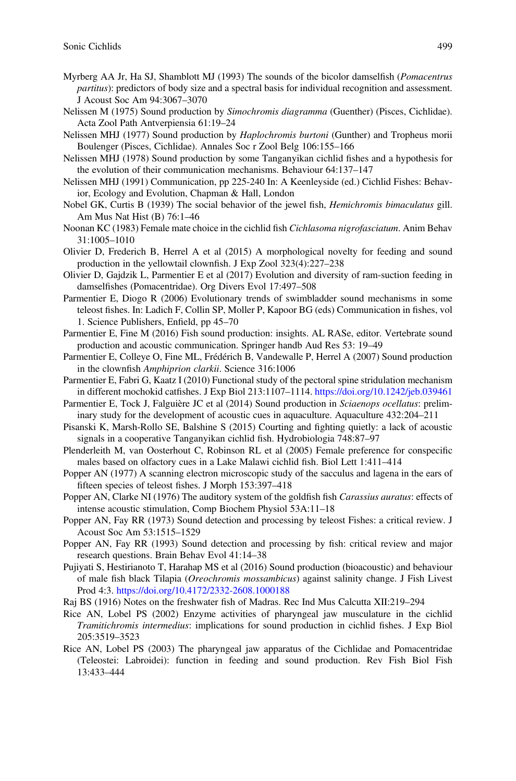- Myrberg AA Jr, Ha SJ, Shamblott MJ (1993) The sounds of the bicolor damselfish (*Pomacentrus* partitus): predictors of body size and a spectral basis for individual recognition and assessment. J Acoust Soc Am 94:3067–3070
- Nelissen M (1975) Sound production by Simochromis diagramma (Guenther) (Pisces, Cichlidae). Acta Zool Path Antverpiensia 61:19–24
- Nelissen MHJ (1977) Sound production by *Haplochromis burtoni* (Gunther) and Tropheus morii Boulenger (Pisces, Cichlidae). Annales Soc r Zool Belg 106:155–166
- Nelissen MHJ (1978) Sound production by some Tanganyikan cichlid fishes and a hypothesis for the evolution of their communication mechanisms. Behaviour 64:137–147
- Nelissen MHJ (1991) Communication, pp 225-240 In: A Keenleyside (ed.) Cichlid Fishes: Behavior, Ecology and Evolution, Chapman & Hall, London
- Nobel GK, Curtis B (1939) The social behavior of the jewel fish, Hemichromis bimaculatus gill. Am Mus Nat Hist (B) 76:1–46
- Noonan KC (1983) Female mate choice in the cichlid fish *Cichlasoma nigrofasciatum*. Anim Behav 31:1005–1010
- Olivier D, Frederich B, Herrel A et al (2015) A morphological novelty for feeding and sound production in the yellowtail clownfish. J Exp Zool 323(4):227–238
- Olivier D, Gajdzik L, Parmentier E et al (2017) Evolution and diversity of ram-suction feeding in damselfishes (Pomacentridae). Org Divers Evol 17:497–508
- Parmentier E, Diogo R (2006) Evolutionary trends of swimbladder sound mechanisms in some teleost fishes. In: Ladich F, Collin SP, Moller P, Kapoor BG (eds) Communication in fishes, vol 1. Science Publishers, Enfield, pp 45–70
- Parmentier E, Fine M (2016) Fish sound production: insights. AL RASe, editor. Vertebrate sound production and acoustic communication. Springer handb Aud Res 53: 19–49
- Parmentier E, Colleye O, Fine ML, Frédérich B, Vandewalle P, Herrel A (2007) Sound production in the clownfish Amphiprion clarkii. Science 316:1006
- Parmentier E, Fabri G, Kaatz I (2010) Functional study of the pectoral spine stridulation mechanism in different mochokid catfishes. J Exp Biol 213:1107–1114. <https://doi.org/10.1242/jeb.039461>
- Parmentier E, Tock J, Falguière JC et al (2014) Sound production in Sciaenops ocellatus: preliminary study for the development of acoustic cues in aquaculture. Aquaculture 432:204–211
- Pisanski K, Marsh-Rollo SE, Balshine S (2015) Courting and fighting quietly: a lack of acoustic signals in a cooperative Tanganyikan cichlid fish. Hydrobiologia 748:87–97
- Plenderleith M, van Oosterhout C, Robinson RL et al (2005) Female preference for conspecific males based on olfactory cues in a Lake Malawi cichlid fish. Biol Lett 1:411–414
- Popper AN (1977) A scanning electron microscopic study of the sacculus and lagena in the ears of fifteen species of teleost fishes. J Morph 153:397–418
- Popper AN, Clarke NI (1976) The auditory system of the goldfish fish Carassius auratus: effects of intense acoustic stimulation, Comp Biochem Physiol 53A:11–18
- Popper AN, Fay RR (1973) Sound detection and processing by teleost Fishes: a critical review. J Acoust Soc Am 53:1515–1529
- Popper AN, Fay RR (1993) Sound detection and processing by fish: critical review and major research questions. Brain Behav Evol 41:14–38
- Pujiyati S, Hestirianoto T, Harahap MS et al (2016) Sound production (bioacoustic) and behaviour of male fish black Tilapia (Oreochromis mossambicus) against salinity change. J Fish Livest Prod 4:3. <https://doi.org/10.4172/2332-2608.1000188>
- Raj BS (1916) Notes on the freshwater fish of Madras. Rec Ind Mus Calcutta XII:219–294
- Rice AN, Lobel PS (2002) Enzyme activities of pharyngeal jaw musculature in the cichlid Tramitichromis intermedius: implications for sound production in cichlid fishes. J Exp Biol 205:3519–3523
- Rice AN, Lobel PS (2003) The pharyngeal jaw apparatus of the Cichlidae and Pomacentridae (Teleostei: Labroidei): function in feeding and sound production. Rev Fish Biol Fish 13:433–444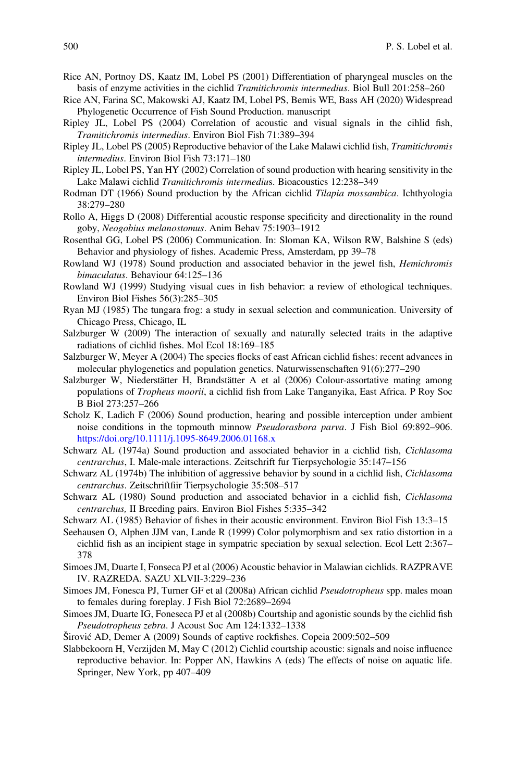- Rice AN, Portnoy DS, Kaatz IM, Lobel PS (2001) Differentiation of pharyngeal muscles on the basis of enzyme activities in the cichlid Tramitichromis intermedius. Biol Bull 201:258–260
- Rice AN, Farina SC, Makowski AJ, Kaatz IM, Lobel PS, Bemis WE, Bass AH (2020) Widespread Phylogenetic Occurrence of Fish Sound Production. manuscript
- Ripley JL, Lobel PS (2004) Correlation of acoustic and visual signals in the cihlid fish, Tramitichromis intermedius. Environ Biol Fish 71:389–394
- Ripley JL, Lobel PS (2005) Reproductive behavior of the Lake Malawi cichlid fish, Tramitichromis intermedius. Environ Biol Fish 73:171–180
- Ripley JL, Lobel PS, Yan HY (2002) Correlation of sound production with hearing sensitivity in the Lake Malawi cichlid Tramitichromis intermedius. Bioacoustics 12:238–349
- Rodman DT (1966) Sound production by the African cichlid Tilapia mossambica. Ichthyologia 38:279–280
- Rollo A, Higgs D (2008) Differential acoustic response specificity and directionality in the round goby, Neogobius melanostomus. Anim Behav 75:1903–1912
- Rosenthal GG, Lobel PS (2006) Communication. In: Sloman KA, Wilson RW, Balshine S (eds) Behavior and physiology of fishes. Academic Press, Amsterdam, pp 39–78
- Rowland WJ (1978) Sound production and associated behavior in the jewel fish, Hemichromis bimaculatus. Behaviour 64:125–136
- Rowland WJ (1999) Studying visual cues in fish behavior: a review of ethological techniques. Environ Biol Fishes 56(3):285–305
- Ryan MJ (1985) The tungara frog: a study in sexual selection and communication. University of Chicago Press, Chicago, IL
- Salzburger W (2009) The interaction of sexually and naturally selected traits in the adaptive radiations of cichlid fishes. Mol Ecol 18:169–185
- Salzburger W, Meyer A (2004) The species flocks of east African cichlid fishes: recent advances in molecular phylogenetics and population genetics. Naturwissenschaften 91(6):277–290
- Salzburger W, Niederstätter H, Brandstätter A et al (2006) Colour-assortative mating among populations of Tropheus moorii, a cichlid fish from Lake Tanganyika, East Africa. P Roy Soc B Biol 273:257–266
- Scholz K, Ladich F (2006) Sound production, hearing and possible interception under ambient noise conditions in the topmouth minnow *Pseudorasbora parva*. J Fish Biol 69:892–906. <https://doi.org/10.1111/j.1095-8649.2006.01168.x>
- Schwarz AL (1974a) Sound production and associated behavior in a cichlid fish, *Cichlasoma* centrarchus, I. Male-male interactions. Zeitschrift fur Tierpsychologie 35:147–156
- Schwarz AL (1974b) The inhibition of aggressive behavior by sound in a cichlid fish, Cichlasoma centrarchus. Zeitschriftfiir Tierpsychologie 35:508–517
- Schwarz AL (1980) Sound production and associated behavior in a cichlid fish, Cichlasoma centrarchus, II Breeding pairs. Environ Biol Fishes 5:335–342
- Schwarz AL (1985) Behavior of fishes in their acoustic environment. Environ Biol Fish 13:3–15
- Seehausen O, Alphen JJM van, Lande R (1999) Color polymorphism and sex ratio distortion in a cichlid fish as an incipient stage in sympatric speciation by sexual selection. Ecol Lett 2:367– 378
- Simoes JM, Duarte I, Fonseca PJ et al (2006) Acoustic behavior in Malawian cichlids. RAZPRAVE IV. RAZREDA. SAZU XLVII-3:229–236
- Simoes JM, Fonesca PJ, Turner GF et al (2008a) African cichlid Pseudotropheus spp. males moan to females during foreplay. J Fish Biol 72:2689–2694
- Simoes JM, Duarte IG, Foneseca PJ et al (2008b) Courtship and agonistic sounds by the cichlid fish Pseudotropheus zebra. J Acoust Soc Am 124:1332–1338
- Širović AD, Demer A (2009) Sounds of captive rockfishes. Copeia 2009:502–509
- Slabbekoorn H, Verzijden M, May C (2012) Cichlid courtship acoustic: signals and noise influence reproductive behavior. In: Popper AN, Hawkins A (eds) The effects of noise on aquatic life. Springer, New York, pp 407–409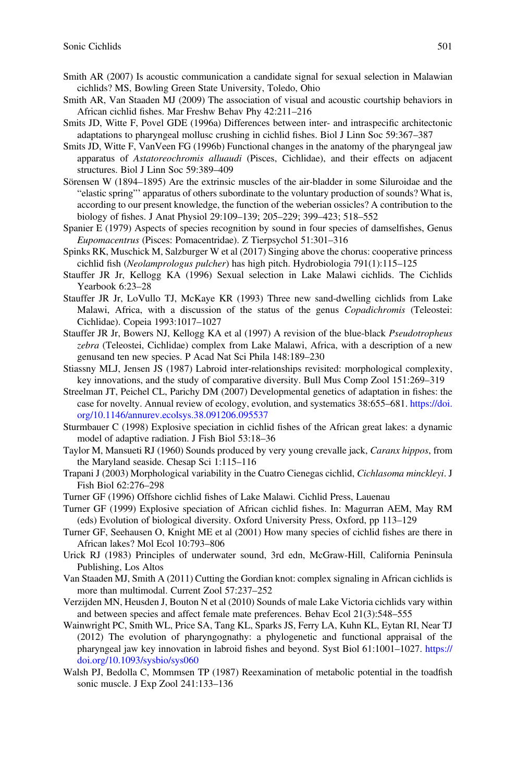- Smith AR (2007) Is acoustic communication a candidate signal for sexual selection in Malawian cichlids? MS, Bowling Green State University, Toledo, Ohio
- Smith AR, Van Staaden MJ (2009) The association of visual and acoustic courtship behaviors in African cichlid fishes. Mar Freshw Behav Phy 42:211–216
- Smits JD, Witte F, Povel GDE (1996a) Differences between inter- and intraspecific architectonic adaptations to pharyngeal mollusc crushing in cichlid fishes. Biol J Linn Soc 59:367–387
- Smits JD, Witte F, VanVeen FG (1996b) Functional changes in the anatomy of the pharyngeal jaw apparatus of Astatoreochromis alluaudi (Pisces, Cichlidae), and their effects on adjacent structures. Biol J Linn Soc 59:389–409
- Sörensen W (1894–1895) Are the extrinsic muscles of the air-bladder in some Siluroidae and the "elastic spring"' apparatus of others subordinate to the voluntary production of sounds? What is, according to our present knowledge, the function of the weberian ossicles? A contribution to the biology of fishes. J Anat Physiol 29:109–139; 205–229; 399–423; 518–552
- Spanier E (1979) Aspects of species recognition by sound in four species of damselfishes, Genus Eupomacentrus (Pisces: Pomacentridae). Z Tierpsychol 51:301–316
- Spinks RK, Muschick M, Salzburger W et al (2017) Singing above the chorus: cooperative princess cichlid fish (Neolamprologus pulcher) has high pitch. Hydrobiologia 791(1):115–125
- Stauffer JR Jr, Kellogg KA (1996) Sexual selection in Lake Malawi cichlids. The Cichlids Yearbook 6:23–28
- Stauffer JR Jr, LoVullo TJ, McKaye KR (1993) Three new sand-dwelling cichlids from Lake Malawi, Africa, with a discussion of the status of the genus Copadichromis (Teleostei: Cichlidae). Copeia 1993:1017–1027
- Stauffer JR Jr, Bowers NJ, Kellogg KA et al (1997) A revision of the blue-black Pseudotropheus zebra (Teleostei, Cichlidae) complex from Lake Malawi, Africa, with a description of a new genusand ten new species. P Acad Nat Sci Phila 148:189–230
- Stiassny MLJ, Jensen JS (1987) Labroid inter-relationships revisited: morphological complexity, key innovations, and the study of comparative diversity. Bull Mus Comp Zool 151:269–319
- Streelman JT, Peichel CL, Parichy DM (2007) Developmental genetics of adaptation in fishes: the case for novelty. Annual review of ecology, evolution, and systematics 38:655–681. [https://doi.](https://doi.org/10.1146/annurev.ecolsys.38.091206.095537) [org/10.1146/annurev.ecolsys.38.091206.095537](https://doi.org/10.1146/annurev.ecolsys.38.091206.095537)
- Sturmbauer C (1998) Explosive speciation in cichlid fishes of the African great lakes: a dynamic model of adaptive radiation. J Fish Biol 53:18–36
- Taylor M, Mansueti RJ (1960) Sounds produced by very young crevalle jack, Caranx hippos, from the Maryland seaside. Chesap Sci 1:115–116
- Trapani J (2003) Morphological variability in the Cuatro Cienegas cichlid, Cichlasoma minckleyi. J Fish Biol 62:276–298
- Turner GF (1996) Offshore cichlid fishes of Lake Malawi. Cichlid Press, Lauenau
- Turner GF (1999) Explosive speciation of African cichlid fishes. In: Magurran AEM, May RM (eds) Evolution of biological diversity. Oxford University Press, Oxford, pp 113–129
- Turner GF, Seehausen O, Knight ME et al (2001) How many species of cichlid fishes are there in African lakes? Mol Ecol 10:793–806
- Urick RJ (1983) Principles of underwater sound, 3rd edn, McGraw-Hill, California Peninsula Publishing, Los Altos
- Van Staaden MJ, Smith A (2011) Cutting the Gordian knot: complex signaling in African cichlids is more than multimodal. Current Zool 57:237–252
- Verzijden MN, Heusden J, Bouton N et al (2010) Sounds of male Lake Victoria cichlids vary within and between species and affect female mate preferences. Behav Ecol 21(3):548–555
- Wainwright PC, Smith WL, Price SA, Tang KL, Sparks JS, Ferry LA, Kuhn KL, Eytan RI, Near TJ (2012) The evolution of pharyngognathy: a phylogenetic and functional appraisal of the pharyngeal jaw key innovation in labroid fishes and beyond. Syst Biol 61:1001–1027. [https://](https://doi.org/10.1093/sysbio/sys060) [doi.org/10.1093/sysbio/sys060](https://doi.org/10.1093/sysbio/sys060)
- Walsh PJ, Bedolla C, Mommsen TP (1987) Reexamination of metabolic potential in the toadfish sonic muscle. J Exp Zool 241:133–136